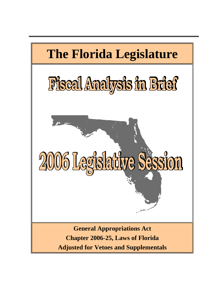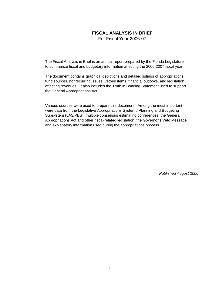### **FISCAL ANALYSIS IN BRIEF**

For Fiscal Year 2006-07

The Fiscal Analysis in Brief is an annual report prepared by the Florida Legislature to summarize fiscal and budgetary information affecting the 2006-2007 fiscal year.

The document contains graphical depictions and detailed listings of appropriations, fund sources, nonrecurring issues, vetoed items, financial outlooks, and legislation affecting revenues. It also includes the Truth in Bonding Statement used to support the General Appropriations Act.

Various sources were used to prepare this document. Among the most important were data from the Legislative Appropriations System / Planning and Budgeting Subsystem (LAS/PBS), multiple consensus estimating conferences, the General Appropriations Act and other fiscal-related legislation, the Governor's Veto Message and explanatory information used during the appropriations process.

*Published August 2006*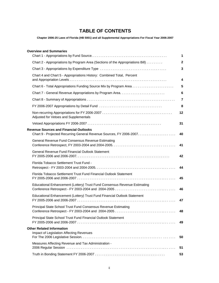# **TABLE OF CONTENTS**

**Chapter 2006-25 Laws of Florida (HB 5001) and all Supplemental Appropriations For Fiscal Year 2006-2007**

### **Overview and Summaries**

|                                                                                                                       | $\mathbf 1$     |
|-----------------------------------------------------------------------------------------------------------------------|-----------------|
| Chart 2 - Appropriations by Program Area (Sections of the Appropriations Bill)                                        | $\mathbf{2}$    |
|                                                                                                                       | 3               |
| Chart 4 and Chart 5 - Appropriations History: Combined Total, Percent                                                 | 4               |
|                                                                                                                       | 5               |
|                                                                                                                       | $6\phantom{1}6$ |
|                                                                                                                       | $\overline{7}$  |
|                                                                                                                       | 8               |
| Adjusted for Vetoes and Supplementals                                                                                 | 12              |
|                                                                                                                       | 31              |
| <b>Revenue Sources and Financial Outlooks</b><br>Chart 9 - Projected Recurring General Revenue Sources, FY 2006-2007. | 40              |
| <b>General Revenue Fund Consensus Revenue Estimating</b>                                                              | 41              |
| <b>General Revenue Fund Financial Outlook Statement</b>                                                               | 42              |
| Florida Tobacco Settlement Trust Fund -                                                                               | 44              |
| Florida Tobacco Settlement Trust Fund Financial Outlook Statement                                                     | 45              |
| Educational Enhancement (Lottery) Trust Fund Consensus Revenue Estimating                                             | 46              |
| Educational Enhancement (Lottery) Trust Fund Financial Outlook Statement                                              | 47              |
| Principal State School Trust Fund Consensus Revenue Estimating                                                        | 48              |
| Principal State School Trust Fund Financial Outlook Statement                                                         | 49              |
| <b>Other Related Information</b><br><b>Impact of Legislation Affecting Revenues</b>                                   | 50              |
| Measures Affecting Revenue and Tax Administration -                                                                   | 51              |
|                                                                                                                       | 53              |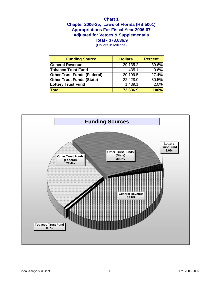## **Chapter 2006-25, Laws of Florida (HB 5001) Chart 1 Total - \$73,636.9 Appropriations For Fiscal Year 2006-07 Adjusted for Vetoes & Supplementals**

| <b>Funding Source</b>       | <b>Dollars</b> | <b>Percent</b> |
|-----------------------------|----------------|----------------|
| General Revenue             | 29,135.2       | 39.6%          |
| Tobacco Trust Fund          | 435.1          | 0.6%           |
| Other Trust Funds (Federal) | 20,199.5       | 27.4%          |
| Other Trust Funds (State)   | 22,428.0       | 30.5%          |
| Lottery Trust Fund          | 1,439.1        | 2.0%           |
| $\blacksquare$ Total        | 73,636.9       | <b>100%</b>    |

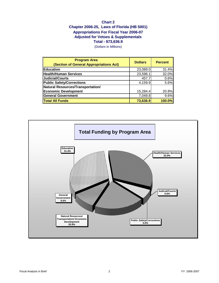## **Chart 2 Chapter 2006-25, Laws of Florida (HB 5001) Appropriations For Fiscal Year 2006-07 Adjusted for Vetoes & Supplementals Total - \$73,636.9**

| <b>Program Area</b><br>(Section of General Appropriations Act) | <b>Dollars</b> | <b>Percent</b> |
|----------------------------------------------------------------|----------------|----------------|
| <b>Education</b>                                               | 23,089.0       | 31.4%          |
| Health/Human Services                                          | 23,596.1       | 32.0%          |
| Judicial/Courts                                                | 457.7          | 0.6%           |
| Public Safety/Corrections                                      | 4,159.9        | 5.6%           |
| Natural Resources/Transportation/                              |                |                |
| <b>Economic Development</b>                                    | 15,284.4       | 20.8%          |
| General Government                                             | 7,049.8        | 9.6%           |
| <b>Total All Funds</b>                                         | 73,636.9       | 100.0%         |

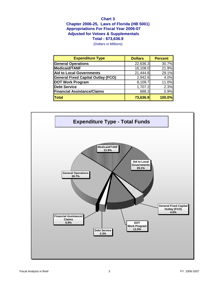## **Chart 3 Chapter 2006-25, Laws of Florida (HB 5001) Total - \$73,636.9 Appropriations For Fiscal Year 2006-07 Adjusted for Vetoes & Supplementals**

| <b>Expenditure Type</b>                   | <b>Dollars</b> | <b>Percent</b> |
|-------------------------------------------|----------------|----------------|
| <b>General Operations</b>                 | 22,636.3       | 30.7%          |
| <b>Medicaid/TANF</b>                      | 16,108.0       | 21.9%          |
| <b>Aid to Local Governments</b>           | 21,444.8       | 29.1%          |
| <b>General Fixed Capital Outlay (FCO)</b> | 2,942.6        | 4.0%           |
| <b>DOT Work Program</b>                   | 8,109.7        | 11.0%          |
| <b>Debt Service</b>                       | 1,707.2        | 2.3%           |
| <b>Financial Assistance/Claims</b>        | 688.3          | 0.9%           |
| <b>Total</b>                              | 73,636.9       | 100.0%         |

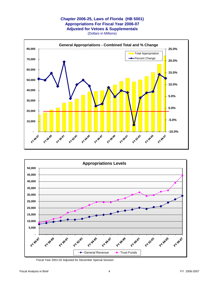### **Chapter 2006-25, Laws of Florida (HB 5001) Appropriations For Fiscal Year 2006-07 Adjusted for Vetoes & Supplementals** (Dollars in Millions)





Fiscal Year 2001-02 Adjusted for December Special Session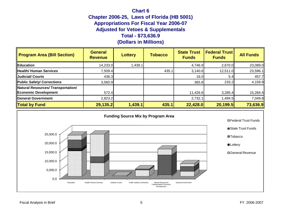## **Chart 6 Chapter 2006-25, Laws of Florida (HB 5001) Appropriations For Fiscal Year 2006-07 Adjusted for Vetoes & Supplementals Total - \$73,636.9**

| <b>Program Area (Bill Section)</b>                         | <b>General</b><br><b>Revenue</b> | <b>Lottery</b> | <b>Tobacco</b> | <b>State Trust</b><br><b>Funds</b> | <b>Federal Trust</b><br><b>Funds</b> | <b>All Funds</b> |
|------------------------------------------------------------|----------------------------------|----------------|----------------|------------------------------------|--------------------------------------|------------------|
| Education                                                  | 14,233.0                         | 1,439.1        |                | 4,746.9                            | 2,670.0                              | 23,089.0         |
| <b>Health/ Human Services</b>                              | 7,509.4                          |                | 435.1          | 3,140.6                            | 12,511.0                             | 23,596.1         |
| <b>Judicial/ Courts</b>                                    | 436.3                            |                |                | 16.0                               | 5.4                                  | 457.7            |
| Public Safety/ Corrections                                 | 3,560.9                          |                |                | 365.8                              | 233.2                                | 4,159.9          |
| Natural Resources/ Transportation/<br>Economic Development | 572.4                            |                |                | 11,426.6                           | 3,285.4                              | 15,284.4         |
| General Government                                         | 2,823.2                          |                |                | 2,732.1                            | 1,494.5                              | 7,049.8          |
| <b>Total by Fund</b>                                       | 29,135.2                         | 1,439.1        | 435.1          | 22,428.0                           | 20,199.5                             | 73,636.9         |

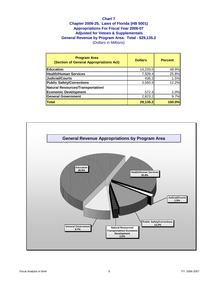## **Chart 7 Chapter 2006-25, Laws of Florida (HB 5001) Appropriations For Fiscal Year 2006-07 Adjusted for Vetoes & Supplementals General Revenue by Program Area: Total - \$29,135.2** (Dollars in Millions)

| <b>Program Area</b><br>(Section of General Appropriations Act) | <b>Dollars</b> | <b>Percent</b> |
|----------------------------------------------------------------|----------------|----------------|
| Education                                                      | 14,233.0       | 48.9%          |
| Health/Human Services                                          | 7,509.4        | 25.8%          |
| Judicial/Courts                                                | 436.3          | 1.5%           |
| Public Safety/Corrections                                      | 3,560.9        | 12.2%          |
| Natural Resources/Transportation/                              |                |                |
| Economic Development                                           | 572.4          | 2.0%           |
| General Government                                             | 2,823.2        | 9.7%           |
| $\ $ Total                                                     | 29,135.2       | $100.0\%$      |

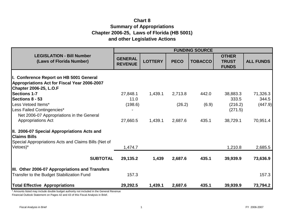# **Chart 8 Summary of Appropriations Chapter 2006-25, Laws of Florida (HB 5001) and other Legislative Actions**

|                                                                                                                                  | <b>FUNDING SOURCE</b>            |                |             |                |                                              |                  |
|----------------------------------------------------------------------------------------------------------------------------------|----------------------------------|----------------|-------------|----------------|----------------------------------------------|------------------|
| <b>LEGISLATION - Bill Number</b><br>(Laws of Florida Number)                                                                     | <b>GENERAL</b><br><b>REVENUE</b> | <b>LOTTERY</b> | <b>PECO</b> | <b>TOBACCO</b> | <b>OTHER</b><br><b>TRUST</b><br><b>FUNDS</b> | <b>ALL FUNDS</b> |
| II. Conference Report on HB 5001 General<br><b>Appropriations Act for Fiscal Year 2006-2007</b><br><b>Chapter 2006-25, L.O.F</b> |                                  |                |             |                |                                              |                  |
| <b>Sections 1-7</b>                                                                                                              | 27,848.1                         | 1,439.1        | 2,713.8     | 442.0          | 38,883.3                                     | 71,326.3         |
| <b>Sections 8 - 53</b>                                                                                                           | 11.0                             |                |             |                | 333.5                                        | 344.5            |
| Less Vetoed Items*<br>Less Failed Contingencies*<br>Net 2006-07 Appropriations in the General                                    | (198.6)                          |                | (26.2)      | (6.9)          | (216.2)<br>(271.5)                           | (447.9)          |
| <b>Appropriations Act</b>                                                                                                        | 27,660.5                         | 1,439.1        | 2,687.6     | 435.1          | 38,729.1                                     | 70,951.4         |
| III. 2006-07 Special Appropriations Acts and<br><b>Claims Bills</b><br>Special Appropriations Acts and Claims Bills (Net of      |                                  |                |             |                |                                              |                  |
| Vetoes)*                                                                                                                         | 1,474.7                          |                |             |                | 1,210.8                                      | 2,685.5          |
| <b>SUBTOTAL</b>                                                                                                                  | 29,135.2                         | 1,439          | 2,687.6     | 435.1          | 39,939.9                                     | 73,636.9         |
| <b>IIII. Other 2006-07 Appropriations and Transfers</b>                                                                          |                                  |                |             |                |                                              |                  |
| Transfer to the Budget Stabilization Fund                                                                                        | 157.3                            |                |             |                |                                              | 157.3            |
| <b>Total Effective Appropriations</b>                                                                                            | 29,292.5                         | 1,439.1        | 2,687.6     | 435.1          | 39,939.9                                     | 73,794.2         |

\* Amounts listed may include double budget authority not included in the General Revenue

Financial Outlook Statement on Pages 42 and 43 of this Fiscal Analysis in Brief.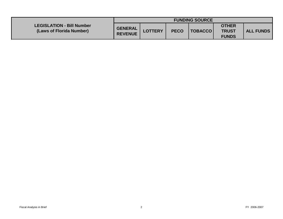|                                                              | <b>FUNDING SOURCE</b>     |                |             |                    |                                              |                  |
|--------------------------------------------------------------|---------------------------|----------------|-------------|--------------------|----------------------------------------------|------------------|
| <b>LEGISLATION - Bill Number</b><br>(Laws of Florida Number) | GENERAL<br><b>REVENUE</b> | <b>LOTTERY</b> | <b>PECO</b> | <b>  TOBACCO  </b> | <b>OTHER</b><br><b>TRUST</b><br><b>FUNDS</b> | <b>ALL FUNDS</b> |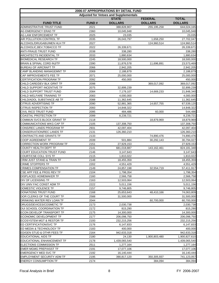|                                      | 2006-07 APPROPRIATIONS BY DETAIL FUND |                                              |                |                |  |  |  |  |
|--------------------------------------|---------------------------------------|----------------------------------------------|----------------|----------------|--|--|--|--|
|                                      |                                       | <b>Adjusted for Vetoes and Supplementals</b> |                |                |  |  |  |  |
|                                      |                                       | <b>STATE</b>                                 | <b>FEDERAL</b> | <b>TOTAL</b>   |  |  |  |  |
| <b>FUND TITLE</b>                    | <b>FUND#</b>                          | <b>DOLLARS</b>                               | <b>DOLLARS</b> | <b>DOLLARS</b> |  |  |  |  |
| ADMINISTRATIVE TRUST FUND            | 2021                                  | 388,828,907                                  | 255, 195, 258  | 644,024,165    |  |  |  |  |
| AG EMERGENCY ERAD TF                 | 2360                                  | 10,045,948                                   |                | 10,045,948     |  |  |  |  |
| AG LAW ENFORCEMENT TF                | 2025                                  | 23,035                                       |                | 23,035         |  |  |  |  |
| AIR POLLUTION CONTROL TF             | 2035                                  | 26,043,797                                   | 1,658,250      | 27,702,047     |  |  |  |  |
| ALCOHOL/DRUGABU/MEN HLH TF           | 2027                                  |                                              | 124,960,514    | 124,960,514    |  |  |  |  |
| ALCOHOLIC, BEV, TOBACCO TF           | 2022                                  | 26,339,671                                   |                | 26,339,671     |  |  |  |  |
| <b>ANTI-FRAUD TRUST FUND</b>         | 2038                                  | 338,280                                      |                | 338,280        |  |  |  |  |
| <b>ARCHITECTS INCIDENTAL TF</b>      | 2033                                  | 1,880,634                                    |                | 1,880,634      |  |  |  |  |
| <b>BIOMEDICAL RESEARCH TF</b>        | 2245                                  | 18,500,000                                   |                | 18,500,000     |  |  |  |  |
| BRAIN & SPINAL CORD INJ/TF           | 2390                                  | 11,876,578                                   | 11,696,891     | 23,573,469     |  |  |  |  |
| <b>BUREAU OF AIRCRAFT TF</b>         | 2066                                  | 2,942,205                                    |                | 2,942,205      |  |  |  |  |
| CAMP BLANDING MANAGEMNT TF           | 2069                                  | 2,188,879                                    |                | 2,188,879      |  |  |  |  |
| CAP IMPROVEMENTS FEE TF              | 2071                                  | 25,000,000                                   |                | 25,000,000     |  |  |  |  |
| <b>CERTIFICATION PROGRAM TF</b>      | 2092                                  | 450,000                                      |                | 450,000        |  |  |  |  |
| CHILD CARE/DEV BLK GRNT TF           | 2098                                  |                                              | 369,017,092    | 369,017,092    |  |  |  |  |
| CHILD SUPPORT INCENTIVE TF           | 2075                                  | 32,899,239                                   |                | 32,899,239     |  |  |  |  |
| CHILD SUPPORT TRUST FUND             | 2084                                  | 7,179,107                                    | 14,669,233     | 21,848,340     |  |  |  |  |
| CHILD WELFARE TRAINING TF            | 2083                                  | 4,000,000                                    |                | 4,000,000      |  |  |  |  |
| CHILD/ADOL SUBSTANCE AB TF           | 2088                                  | 11,362,645                                   |                | 11,362,645     |  |  |  |  |
| <b>CITRUS ADVERTISING TF</b>         | 2090                                  | 52,881,365                                   | 14,657,755     | 67,539,120     |  |  |  |  |
| <b>CITRUS INSPECTION TF</b>          | 2093                                  | 14,848,322                                   |                | 14,848,322     |  |  |  |  |
| <b>CIVIL RICO TRUST FUND</b>         | 2095                                  | 484,486                                      | 60,000         | 544,486        |  |  |  |  |
| COASTAL PROTECTION TF                | 2099                                  | 8,239,721                                    |                | 8,239,721      |  |  |  |  |
| COMMUN SVCS BLOCK GRANT TF           | 2118                                  |                                              | 18,879,969     | 18,879,969     |  |  |  |  |
| <b>COMMUNICATIONS WKG CAP TF</b>     | 2105                                  | 137,308,750                                  |                | 137,308,750    |  |  |  |  |
| CONS/REC LANDS PROGRAM TF            | 2931                                  | 42,097,404                                   |                | 42,097,404     |  |  |  |  |
| <b>CONSERVATION/REC LANDS TF</b>     | 2131                                  | 126,360,210                                  |                | 126,360,210    |  |  |  |  |
| CONTRACTS AND GRANTS TF              | 2133                                  |                                              | 74,890,476     | 74,890,476     |  |  |  |  |
| <b>COOP AGREEMENT TF</b>             | 2039                                  | 501,884                                      | 30,292,143     | 30,794,027     |  |  |  |  |
| <b>CORRECTION WORK PROGRAM TF</b>    | 2151                                  | 27,929,153                                   |                | 27,929,153     |  |  |  |  |
| <b>COUNTY HEALTH DEPT TF</b>         | 2141                                  | 681,018,887                                  | 143,162,461    | 824,181,348    |  |  |  |  |
| <b>COURT EDUCATION TRUST FUND</b>    | 2146                                  | 3,147,643                                    |                | 3,147,643      |  |  |  |  |
| COURT/CSE COLL SYS TF                | 2115                                  | 1,810,022                                    |                | 1,810,022      |  |  |  |  |
| CRIM JUST STAND & TRAIN TF           | 2148                                  | 18,455,359                                   |                | 18,455,359     |  |  |  |  |
| <b>CRIME STOPPERS TF</b>             | 2202                                  | 4,551,429                                    |                | 4,551,429      |  |  |  |  |
| <b>CRIMES COMPENSATION TF</b>        | 2149                                  | 24,857,198                                   | 32,554,719     | 57,411,917     |  |  |  |  |
| CSE APP FEE & PROG REV TF            | 2104                                  | 1,798,354                                    |                | 1,798,354      |  |  |  |  |
| <b>DISPLACED HOMEMAKER TF</b>        | 2160                                  | 2,566,758                                    |                | 2,566,758      |  |  |  |  |
| DIV OF LICENSING TF                  | 2163                                  | 12,503,064                                   |                | 12,503,064     |  |  |  |  |
| DIV UNIV FAC CONST ADM TF            | 2222                                  | 5,011,156                                    |                | 5,011,156      |  |  |  |  |
| DOMESTIC VIOLENCE TF                 | 2157                                  | 9,746,805                                    |                | 9,746,805      |  |  |  |  |
| DONATIONS TRUST FUND                 | 2168                                  | 25,653,643                                   | 48,410,166     | 74,063,809     |  |  |  |  |
| DOR CLERKS OF THE COURT TF           | 2588                                  | 31,500,000                                   |                | 31,500,000     |  |  |  |  |
| DRINKING WATER REV LOAN TF           | 2044                                  |                                              | 60,700,000     | 60,700,000     |  |  |  |  |
| DRUGS/DEVICES/COSMETIC TF            | 2173                                  | 2,030,738                                    |                | 2,030,738      |  |  |  |  |
| DUI SCHOOL COORDINATION TF           | 2172                                  | 815,290                                      |                | 815,290        |  |  |  |  |
| <b>ECON DEVELOP TRANSPORT TF</b>     | 2175                                  | 14,300,000                                   |                | 14,300,000     |  |  |  |  |
| <b>ECONOMIC DEVELOPMENT TF</b>       | 2177                                  | 206,098,750                                  |                | 206,098,750    |  |  |  |  |
| <b>ECOSYSTEM MGT &amp; RESTOR TF</b> | 2193                                  | 232,215,256                                  |                | 232,215,256    |  |  |  |  |
| ED CERTIFICATION/SVC TF              | 2176                                  | 6,147,833                                    |                | 6,147,833      |  |  |  |  |
| ED MEDIA & TECHNOLOGY TF             | 2183                                  | 400,000                                      |                | 400,000        |  |  |  |  |
| ED/GEN STUD & OTHR FEES TF           | 2164                                  | 942,633,318                                  |                | 942,633,318    |  |  |  |  |
| <b>EDUCATIONAL AIDS TF</b>           | 2180                                  | 24,130                                       | 1,900,803,480  | 1,900,827,610  |  |  |  |  |
| <b>EDUCATIONAL ENHANCEMENT TF</b>    | 2178                                  | 1,439,065,540                                |                | 1,439,065,540  |  |  |  |  |
| <b>ELECTIONS COMMISSION TF</b>       | 2511                                  | 1,277,164                                    |                | 1,277,164      |  |  |  |  |
| <b>EMER MGMG PREP/ASST TF</b>        | 2191                                  | 17,077,106                                   |                | 17,077,106     |  |  |  |  |
| <b>EMERGENCY MED SVC TF</b>          | 2192                                  | 16,140,444                                   |                | 16,140,444     |  |  |  |  |
| <b>EMPLOYMENT SECURITY ADM TF</b>    | 2195                                  | 390,817,120                                  | 350,305,937    | 741,123,057    |  |  |  |  |
| <b>ENERGY CONSUMPTION TF</b>         | 2174                                  |                                              | 384,094        | 384,094        |  |  |  |  |
|                                      |                                       |                                              |                |                |  |  |  |  |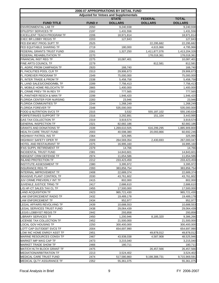|                                   |              | 2006-07 APPROPRIATIONS BY DETAIL FUND        |                |                |
|-----------------------------------|--------------|----------------------------------------------|----------------|----------------|
|                                   |              | <b>Adjusted for Vetoes and Supplementals</b> |                |                |
|                                   |              | <b>STATE</b>                                 | <b>FEDERAL</b> | <b>TOTAL</b>   |
| <b>FUND TITLE</b>                 | <b>FUND#</b> | <b>DOLLARS</b>                               | <b>DOLLARS</b> | <b>DOLLARS</b> |
| <b>ENVIRONMENTAL LAB TF</b>       | 2050         | 9,240,938                                    |                | 9,240,938      |
| <b>EPILEPSY SERVICES TF</b>       | 2197         | 1,431,556                                    |                | 1,431,556      |
| <b>EXCELLENT TEACH PROGRAM TF</b> | 2206         | 18,971,814                                   |                | 18,971,814     |
| <b>EXEC BR LOBBY REGIS TF</b>     | 2203         | 127,843                                      |                | 127,843        |
| FED EM MGT PROG SUPT TF           | 2525         |                                              | 22,295,682     | 22,295,682     |
| FED EQUITABLE SHARING TF          | 2719         | 180,000                                      | 4,615,966      | 4,795,966      |
| FEDERAL GRANTS TRUST FUND         | 2261         | 1,327,250                                    | 1,411,877,076  | 1,413,204,326  |
| FEDERAL REHABILITATION TF         | 2270         |                                              | 178,018,361    | 178,018,361    |
| FINANCIAL INST REG TF             | 2275         | 10,087,401                                   |                | 10,087,401     |
| FINE ARTS COUNCIL TF              | 2279         |                                              | 812,581        | 812,581        |
| FL AGRIC PROM CAMPAIGN TF         | 2920         | 166,740                                      |                | 166,740        |
| FL FACILITIES POOL CLR TF         | 2313         | 29,906,673                                   |                | 29,906,673     |
| FL FOREVER PROGRAM TF             | 2349         | 75,000,000                                   |                | 75,000,000     |
| FL INTER TRADE & PROM TF          | 2338         | 5,458,758                                    |                | 5,458,758      |
| FL LAND SALES/CONDO/MBL TF        | 2289         | 7,756,413                                    |                | 7,756,413      |
| FL MOBILE HOME RELOCATN TF        | 2865         | 1,400,000                                    |                | 1,400,000      |
| FL.CRIME PREV TR IN REV TF        | 2302         | 777,565                                      |                | 777,565        |
| FL.PANTHER RESCH & MAN TF         | 2299         | 1,946,420                                    |                | 1,946,420      |
| FLORIDA CENTER FOR NURSING        | 2283         | 23,946                                       |                | 23,946         |
| <b>FLORIDA COMMUNITIES TF</b>     | 2244         | 1,268,249                                    |                | 1,268,249      |
| <b>FLORIDA FOREVER TF</b>         | 2348         | 535,000,000                                  |                | 535,000,000    |
| FOOD & NUTRITION SVCS TF          | 2315         | 3,532                                        | 555,187,102    | 555,190,634    |
| FORFEIT/INVES SUPPORT TF          | 2316         | 3,292,891                                    | 151,104        | 3,443,995      |
| <b>GAS TAX COLLECTION TF</b>      | 2319         | 3,919,574                                    |                | 3,919,574      |
| <b>GENERAL INSPECTION TF</b>      | 2321         | 82,682,186                                   |                | 82,682,186     |
| <b>GRANTS AND DONATIONS TF</b>    | 2339         | 1,269,610,505                                | 616,299,295    | 1,885,909,800  |
| HEALTH CARE TRUST FUND            | 2003         | 40,598,380                                   | 20,093,866     | 60,692,246     |
| HIGHWAY PATROL INS TF             | 2364         | 325,995                                      |                | 325,995        |
| HIGHWAY SAFETY OPER TF            | 2009         | 264,569,354                                  | 2,430,693      | 267,000,047    |
| HOTEL AND RESTAURANT TF           | 2375         | 16,995,160                                   |                | 16,995,160     |
| IFAS SUPPL RETIREMENT TF          | 2379         | 14,766                                       |                | 14,766         |
| <b>INCIDENTAL TRUST FUND</b>      | 2381         | 14,843,601                                   |                | 14,843,601     |
| INDIGENT CRIM DEFENSE TF          | 2974         | 11,654,586                                   |                | 11,654,586     |
| <b>INLAND PROTECTION TF</b>       | 2212         | 233,423,459                                  |                | 233,423,459    |
| INSTITUTE ASSESSMENT TF           | 2380         | 3,395,972                                    |                | 3,395,972      |
| <b>INSURANCE REG TF</b>           | 2393         | 383,856,754                                  |                | 383,856,754    |
| INTERNAL IMPROVEMENT TF           | 2408         | 22,689,374                                   |                | 22,689,374     |
| <b>INVASIVE PLANT CONTROL TF</b>  | 2030         | 43,761,602                                   |                | 43,761,602     |
| JUV CRIME PREV/ERLY INT TF        | 2415         | 802,000                                      |                | 802,000        |
| JUVENILE JUSTICE TRNG TF          | 2417         | 2,686,610                                    |                | 2,686,610      |
| L/G HF-CT SALES TAX CL TF         | 2455         | 17,500,000                                   |                | 17,500,000     |
| <b>LAND ACQUISITION TF</b>        | 2423         | 965,721,430                                  |                | 965,721,430    |
| LAW ENFORCEMENT RADIO TF          | 2432         | 19,489,178                                   |                | 19,489,178     |
| LAW ENFORCEMENT TF                | 2434         | 952,977                                      |                | 952,977        |
| LEGAL AFFAIRS REVOLVING TF        | 2439         | 10,688,553                                   |                | 10,688,553     |
| LEGAL SERVICES TRUST FUND         | 2438         | 29,064,439                                   |                | 29,064,439     |
| LEGIS LOBBYIST REGIS TF           | 2442         | 293,858                                      |                | 293,858        |
| LIBRARY SERVICES TF               | 2450         | 1,200,946                                    | 8,185,320      | 9,386,266      |
| LICENSE TAX COLLECTION TF         | 2452         | 21,500,000                                   |                | 21,500,000     |
| LOCAL GOV HOUSING TF              | 2250         | 300,400,000                                  |                | 300,400,000    |
| LOTT CAP OUT/DEBT SVCS TF         | 2004         | 654,697,990                                  |                | 654,697,990    |
| LOW INC HOME ENRGY ASST TF        | 2451         |                                              | 49,878,012     | 49,878,012     |
| MARINE RESOURCES CONSV TF         | 2467         | 43,938,038                                   | 4,587,908      | 48,525,946     |
| MARKET IMP WKG CAP TF             | 2473         | 3,215,040                                    |                | 3,215,040      |
| <b>MARKET TRADE SHOW TF</b>       | 2466         | 180,711                                      |                | 180,711        |
| MAT/CH HLTH BLOCK GRANT TF        | 2475         |                                              | 26,457,566     | 26,457,566     |
| MEDIATION/ARBITRATION TF          | 2213         | 3,524,402                                    |                | 3,524,402      |
| MEDICAL CARE TRUST FUND           | 2474         | 517,580,860                                  | 9,198,388,731  | 9,715,969,591  |
| MEDICAL QLTY ASSURANCE TF         |              |                                              |                |                |
|                                   | 2352         | 55,361,075                                   |                | 55,361,075     |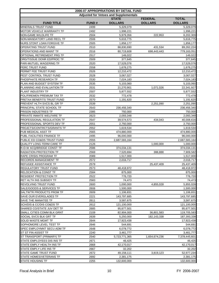|                                                 |              | 2006-07 APPROPRIATIONS BY DETAIL FUND        |                |                        |
|-------------------------------------------------|--------------|----------------------------------------------|----------------|------------------------|
|                                                 |              | <b>Adjusted for Vetoes and Supplementals</b> |                |                        |
|                                                 |              | <b>STATE</b>                                 | <b>FEDERAL</b> | <b>TOTAL</b>           |
| <b>FUND TITLE</b>                               | <b>FUND#</b> | <b>DOLLARS</b>                               | <b>DOLLARS</b> | <b>DOLLARS</b>         |
| MINERALS TRUST FUND                             | 2499         | 5,329,079                                    |                | 5,329,079              |
| MOTOR VEHICLE WARRANTY TF                       | 2492         | 1,998,221                                    |                | 1,998,221              |
| NON-GAME WILDLIFE TF                            | 2504         | 5,979,356                                    | 222,953        | 6,202,309              |
| NON-MANDATORY LAND RECL TF                      | 2506         | 5,616,775                                    |                | 5,616,775              |
| NURS STDNT LOAN FORGIVE TF                      | 2505         | 1,858,177                                    |                | 1,858,177              |
| OPERATING TRUST FUND                            | 2510         | 88,830,690                                   | 431,534        | 89,262,224             |
| OPERATIONS AND MAINT TF                         | 2516         | 80,719,608                                   | 698,443,443    | 779,163,051            |
| OPTIONAL RETIREMENT PRG TF                      | 2517         | 149,022                                      |                | 149,022                |
| ORG/TISSUE DONR ED/PROC TF                      | 2509         | 377,645                                      |                | 377,645                |
| PARI-MUTUEL WAGERING TF                         | 2520         | 17,529,076                                   |                | 17,529,076             |
| PERC TRUST FUND                                 | 2558         | 1,678,275                                    |                | 1,678,275              |
| <b>PERMIT FEE TRUST FUND</b>                    | 2526         | 12,210,472                                   |                | 12,210,472             |
| PEST CONTROL TRUST FUND                         | 2528         | 3,067,027                                    |                | 3,067,027              |
| PHOSPHATE RESEARCH TF                           | 2530         | 7,024,183                                    |                | 7,024,183              |
| PLAN AND BUDGET SYSTEM TF                       | 2535         | 5,103,060                                    |                | 5,103,060              |
| PLANNING AND EVALUATION TF                      | 2531         | 21,270,901                                   | 1,071,026      | 22,341,927             |
| PLANT INDUSTRY TF                               | 2507         | 5,877,552                                    |                | 5,877,552              |
| POL/FIREMEN PREMIUM TAX TF                      | 2532         | 772,478                                      |                | 772,478                |
| PRETAX BENEFITS TRUST FUND                      | 2570         | 1,191,620                                    |                | 1,191,620              |
| PREVENT HLTH SVCS BL GR TF                      | 2539         |                                              | 2,251,090      | 2,251,090              |
| PRINCIPAL STATE SCHOOL TF                       | 2543         | 236,456,340                                  |                | 236,456,340            |
| <b>PRISON INDUSTRIES TF</b>                     | 2385         | 750,000                                      |                | 750,000                |
| PRIVATE INMATE WELFARE TF                       | 2623         | 2,093,348                                    |                | 2,093,348              |
| PROFESSIONAL REGULATION TF                      | 2547         | 39,574,573                                   | 434,043        | 40,008,616             |
| PROFESSIONAL SPORTS DEV TF                      | 2551         | 2,750,000                                    |                | 2,750,000              |
| PROJCTS/CONTRCTS/GRANTS TF                      | 2552         | 1,619,534                                    |                | 1,619,534              |
| PUB MEDICAL ASST TF                             | 2565         | 474,880,000                                  |                | 474,880,000            |
| PUBL FACILITIES FINANCE TF                      | 2495         | 96,000,000                                   |                | 96,000,000             |
| PUBLIC ED CO&DS TRUST FUND                      | 2555         | 2,687,583,164                                |                | 2,687,583,164          |
| <b>QUALITY LONG-TERM CARE TF</b>                | 2126         |                                              | 1,000,000      | 1,000,000              |
| R-O-W ACQ/BRIDGE CONST TF                       | 2586         | 374,034,131                                  |                | 374,034,131            |
| <b>RADIATION PROTECTION TF</b>                  | 2569         | 7,520,694                                    | 388,888        | 7,909,582              |
| RAPE CRISIS PROGRAM TF                          | 2089         | 1,517,000                                    |                |                        |
| RECORDS MANAGEMENT TF                           | 2572         | 2,016,717                                    |                | 1,517,000<br>2,016,717 |
| REFUGEE ASSISTANCE TF                           | 2579         |                                              | 25,437,409     | 25,437,409             |
| <b>REGULATORY TRUST FUND</b>                    |              |                                              |                |                        |
| <b>RELOCATION &amp; CONST TF</b>                | 2573         | 48,418,972                                   |                | 48,418,972<br>875,000  |
| <b>RESIDENT PROTECTION TF</b>                   | 2584<br>2522 | 875,000<br>776,720                           |                | 776,720                |
|                                                 |              |                                              |                |                        |
| RET HLTH INS SUBSIDY TF<br>REVOLVING TRUST FUND | 2583         | 74,473                                       |                | 74,473                 |
|                                                 | 2600         | 1,000,000                                    | 4,855,028      | 5,855,028              |
| SALE/GOODS & SERVICES TF                        | 2606         | 1,500,000                                    |                | 1,500,000              |
| SALTWTR PRODUCTS PROM TF                        | 2609         | 1,106,831                                    |                | 1,106,831              |
| SAVE OUR EVERGLADES TF                          | 2221         | 143,797,685                                  |                | 143,797,685            |
| SAVE THE MANATEE TF                             | 2611         | 3,587,675                                    |                | 3,587,675              |
| <b>SCH/DIS &amp; CC/DIS CO&amp;DS TF</b>        | 2612         | 121,100,000                                  |                | 121,100,000            |
| SHARED CO/STATE JUV DET TF                      | 2685         | 95,677,501                                   |                | 95,677,501             |
| SMALL CITIES COMM BLK GRNT                      | 2109         | 82,904,000                                   | 36,801,583     | 119,705,583            |
| SOCIAL SVCS BLK GRT TF                          | 2639         | 5,250,000                                    | 182,143,338    | 187,393,338            |
| <b>SOLID WASTE MGMT TF</b>                      | 2644         | 17,923,438                                   |                | 17,923,438             |
| SOPHOMORE LEVEL TEST TF                         | 2646         | 544,691                                      |                | 544,691                |
| SPEC EMPLOYMNT SECU ADM TF                      | 2648         | 6,078,772                                    |                | 6,078,772              |
| ST ST FIN ASSIST TF                             | 2240         | 3,461,777                                    |                | 3,461,777              |
| ST TRANSPORT (PRIMARY) TF                       | 2540         | 5,723,771,365                                | 1,654,674,236  | 7,378,445,601          |
| STATE EMPLOYEES DIS INS TF                      | 2671         | 46,425                                       |                | 46,425                 |
| STATE EMPLY HEALTH INS TF                       | 2668         | 42,170,017                                   |                | 42,170,017             |
| STATE EMPLY LIFE INS TF                         | 2667         | 32,202                                       |                | 32,202                 |
| STATE GAME TRUST FUND                           | 2672         | 49,158,111                                   | 3,819,123      | 52,977,234             |
| STATE HOMES/VETERANS TF                         | 2692         | 2,381,175                                    |                | 2,381,175              |
| STATE HOUSING TF                                | 2255         | 132,600,000                                  |                | 132,600,000            |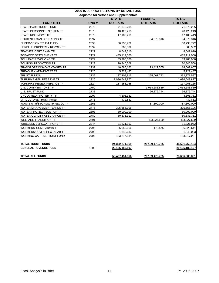|                                   |                                              | 2006-07 APPROPRIATIONS BY DETAIL FUND |                |                |  |  |  |  |  |
|-----------------------------------|----------------------------------------------|---------------------------------------|----------------|----------------|--|--|--|--|--|
|                                   | <b>Adjusted for Vetoes and Supplementals</b> |                                       |                |                |  |  |  |  |  |
|                                   |                                              | <b>STATE</b>                          | <b>FEDERAL</b> | <b>TOTAL</b>   |  |  |  |  |  |
| <b>FUND TITLE</b>                 | <b>FUND#</b>                                 | <b>DOLLARS</b>                        | <b>DOLLARS</b> | <b>DOLLARS</b> |  |  |  |  |  |
| <b>STATE PARK TRUST FUND</b>      | 2675                                         | 71,076,205                            |                | 71,076,205     |  |  |  |  |  |
| STATE PERSONNEL SYSTEM TF         | 2678                                         | 48,420,213                            |                | 48,420,213     |  |  |  |  |  |
| STATE RISK MGMT TF                | 2078                                         | 17,106,419                            |                | 17,106,419     |  |  |  |  |  |
| STUDENT LOAN OPERATING TF         | 2397                                         |                                       | 34,576,316     | 34,576,316     |  |  |  |  |  |
| SUPERVISION TRUST FUND            | 2696                                         | 60,738,772                            |                | 60,738,772     |  |  |  |  |  |
| SURPLUS PROPERTY REVOLV TF        | 2699                                         | 308,382                               |                | 308,382        |  |  |  |  |  |
| TEACHER CERT EXAM TF              | 2727                                         | 8,647,610                             |                | 8,647,610      |  |  |  |  |  |
| TOBACCO SETTLEMENT TF             | 2122                                         | 435,117,000                           |                | 435,117,000    |  |  |  |  |  |
| TOLL FAC REVOLVING TF             | 2729                                         | 33,980,000                            |                | 33,980,000     |  |  |  |  |  |
| TOURISM PROMOTION TF              | 2722                                         | 20,840,508                            |                | 20,840,508     |  |  |  |  |  |
| <b>TRANSPORT DISADVANTAGED TF</b> | 2731                                         | 40,585,162                            | 73,422,505     | 114,007,667    |  |  |  |  |  |
| TREASURY ADM/INVEST TF            | 2725                                         | 5,729,487                             |                | 5,729,487      |  |  |  |  |  |
| <b>TRUST FUNDS</b>                | 2732                                         | 137,309,815                           | 255,061,772    | 392,371,587    |  |  |  |  |  |
| <b>TURNPIKE GEN RESERVE TF</b>    | 2326                                         | 1,096,649,877                         |                | 1,096,649,877  |  |  |  |  |  |
| TURNPIKE RENEW/REPLACE TF         | 2324                                         | 117,258,165                           |                | 117,258,165    |  |  |  |  |  |
| <b>U.S. CONTRIBUTIONS TF</b>      | 2750                                         |                                       | 1,054,688,889  | 1,054,688,889  |  |  |  |  |  |
| <b>U.S. TRUST FUND</b>            | 2738                                         |                                       | 96,879,744     | 96,879,744     |  |  |  |  |  |
| UNCLAIMED PROPERTY TF             | 2007                                         | 4,305,381                             |                | 4,305,381      |  |  |  |  |  |
| <b>VITICULTURE TRUST FUND</b>     | 2773                                         | 432,832                               |                | 432,832        |  |  |  |  |  |
| WASTEWTR/STORMWTR REVOL TF        | 2661                                         |                                       | 87,300,000     | 87,300,000     |  |  |  |  |  |
| <b>WATER MANAGEMENT LANDS TF</b>  | 2776                                         | 305,656,106                           |                | 305,656,106    |  |  |  |  |  |
| <b>WATER PROTECT/SUSTAIN TF</b>   | 2603                                         | 80,000,000                            |                | 80,000,000     |  |  |  |  |  |
| WATER QUALITY ASSURANCE TF        | 2780                                         | 80,831,311                            |                | 80,831,311     |  |  |  |  |  |
| WELFARE TRANSITION TF             | 2401                                         |                                       | 433,827,589    | 433,827,589    |  |  |  |  |  |
| <b>WIRELESS EMRGCY PHONE TF</b>   | 2344                                         | 81,821,952                            |                | 81,821,952     |  |  |  |  |  |
| WORKERS' COMP ADMIN TF            | 2795                                         | 36,059,066                            | 170,575        | 36,229,641     |  |  |  |  |  |
| <b>WORKERS'COMP SPEC DISAB TF</b> | 2798                                         | 1,843,033                             |                | 1,843,033      |  |  |  |  |  |
| <b>WORKING CAPITAL TRUST FUND</b> | 2792                                         | 123,217,934                           |                | 123,217,934    |  |  |  |  |  |
| <b>TOTAL TRUST FUNDS</b>          |                                              | 24.302.271.369                        | 20.199.478.785 | 44.501.750.154 |  |  |  |  |  |
| <b>GENERAL REVENUE FUND</b>       | 1000                                         | 29.135.180.197                        |                | 29.135.180.197 |  |  |  |  |  |
| <b>TOTAL ALL FUNDS</b>            |                                              | 53.437.451.566                        | 20.199.478.785 | 73.636.930.351 |  |  |  |  |  |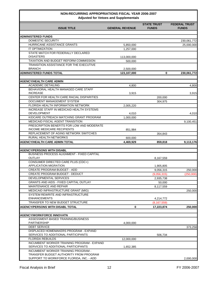# **NON-RECURRING APPROPRIATIONS FISCAL YEAR 2006-2007**

| <b>Adjusted for Vetoes and Supplementals</b>                                      |                        |                                    |                                      |  |
|-----------------------------------------------------------------------------------|------------------------|------------------------------------|--------------------------------------|--|
| <b>ISSUE TITLE</b>                                                                | <b>GENERAL REVENUE</b> | <b>STATE TRUST</b><br><b>FUNDS</b> | <b>FEDERAL TRUST</b><br><b>FUNDS</b> |  |
|                                                                                   |                        |                                    |                                      |  |
| <b>ADMINISTERED FUNDS</b>                                                         |                        |                                    |                                      |  |
| DOMESTIC SECURITY                                                                 |                        |                                    | 230,061,772                          |  |
| HURRICANE ASSISTANCE GRANTS                                                       | 5,850,000              |                                    | 25,000,000                           |  |
| <b>IT OPTIMIZATION</b>                                                            | 1,257,000              |                                    |                                      |  |
| STATE MATCH FOR FEDERALLY DECLARED<br><b>DISASTERS</b>                            | 113,000,000            |                                    |                                      |  |
| TAXATION AND BUDGET REFORM COMMISSION                                             | 500,000                |                                    |                                      |  |
| TRANSITION ASSISTANCE FOR THE EXECUTIVE<br><b>BRANCH</b>                          | 2,500,000              |                                    |                                      |  |
| <b>ADMINISTERED FUNDS TOTAL</b>                                                   | 123,107,000            | 0                                  | 230,061,772                          |  |
|                                                                                   |                        |                                    |                                      |  |
| <b>AGENCY/HEALTH CARE ADMIN</b>                                                   |                        |                                    |                                      |  |
| <b>ACADEMIC DETAILING</b>                                                         | 4,800                  |                                    | 4,800                                |  |
| BEHAVIORAL HEALTH MANAGED CARE STAFF<br><b>INCREASE</b>                           |                        |                                    |                                      |  |
| CENTER FOR HEALTH CARE RACIAL DISPARITIES                                         | 3,915                  |                                    | 3,915                                |  |
| DOCUMENT MANAGEMENT SYSTEM                                                        |                        | 200,000                            |                                      |  |
|                                                                                   |                        | 304,975                            |                                      |  |
| FLORIDA HEALTH INFORMATION NETWORK                                                | 2,005,220              |                                    |                                      |  |
| INCREASE STAFF IN MEDICAID HEALTH SYSTEMS<br><b>DEVELOPMENT</b>                   | 4,010                  |                                    | 4,010                                |  |
| KIDCARE OUTREACH MATCHING GRANT PROGRAM                                           | 1,000,000              |                                    |                                      |  |
| MEDICAID FISCAL AGENT TRANSITION                                                  |                        |                                    | 9,100,451                            |  |
| PRESCRIPTION BENEFITS FOR LOW AND MODERATE<br><b>INCOME MEDICARE RECIPIENTS</b>   | 851,984                |                                    |                                      |  |
| REPLACEMENT OF AGING NETWORK SWITCHES                                             |                        | 354,843                            |                                      |  |
| RURAL HEALTH NETWORKS                                                             | 600,000                |                                    |                                      |  |
| <b>AGENCY/HEALTH CARE ADMIN TOTAL</b>                                             | 4,469,929              | 859,818                            | 9,113,176                            |  |
|                                                                                   |                        |                                    |                                      |  |
| <b>AGENCY/PERSONS WITH DISABL</b>                                                 |                        |                                    |                                      |  |
| <b>BUSINESS PROCESS ALIGNMENT - FIXED CAPITAL</b>                                 |                        |                                    |                                      |  |
| <b>OUTLAY</b>                                                                     |                        | 8,167,559                          |                                      |  |
| CONSUMER DIRECTED CARE PLUS (CDC+)<br><b>APPLICATION MIGRATION</b>                |                        | 1,905,805                          |                                      |  |
| <b>CREATE PROGRAM BUDGET - ADD</b>                                                |                        | 9,056,315                          | 250,000                              |  |
| <b>CREATE PROGRAM BUDGET - DEDUCT</b>                                             |                        | (9,056,315)                        | (250,000)                            |  |
| DEVELOPMENTAL SERVICES                                                            |                        | 2,935,738                          |                                      |  |
| <b>GRANTS AND AIDS - FIXED CAPITAL OUTLAY</b>                                     |                        | 50,000                             |                                      |  |
| MAINTENANCE AND REPAIR                                                            |                        | 8,117,559                          |                                      |  |
| MEDICAID INFRASTRUCTURE GRANT (MIG)                                               |                        |                                    | 250,000                              |  |
| SYSTEM REWRITE AND INFRASTRUCTURE                                                 |                        |                                    |                                      |  |
| <b>ENHANCEMENTS</b>                                                               |                        | 4,214,772                          |                                      |  |
| TRANSFER TO NEW BUDGET STRUCTURE                                                  |                        | (8, 167, 559)                      |                                      |  |
| <b>AGENCY/PERSONS WITH DISABL TOTAL</b>                                           | 0                      | 17,223,874                         | 250,000                              |  |
|                                                                                   |                        |                                    |                                      |  |
| <b>AGENCY/WORKFORCE INNOVATN</b>                                                  |                        |                                    |                                      |  |
| ASSESSMENT-BASED TRAINING/BUSINESS                                                |                        |                                    |                                      |  |
| <b>PARTNERSHIP</b>                                                                | 4,000,000              |                                    |                                      |  |
| <b>DEBT SERVICE</b>                                                               |                        |                                    | 373,258                              |  |
| DISPLACED HOMEMAKERS PROGRAM - EXPAND                                             |                        |                                    |                                      |  |
| SERVICES TO ADDITIONAL PARTICIPANTS                                               |                        | 506,734                            |                                      |  |
| <b>FLORIDA REBUILDS</b>                                                           | 12,000,000             |                                    |                                      |  |
| INCUMBENT WORKER TRAINING PROGRAM - EXPAND<br>SERVICES TO ADDITIONAL PARTICIPANTS | 1,652,385              |                                    |                                      |  |
| INCUMBENT WORKER TRAINING PROGRAM -                                               |                        |                                    |                                      |  |
| TRANSFER BUDGET AUTHORITY FROM PROGRAM                                            |                        |                                    |                                      |  |
| SUPPORT TO WORKFORCE FLORIDA, INC. - ADD                                          |                        |                                    | 2,000,000                            |  |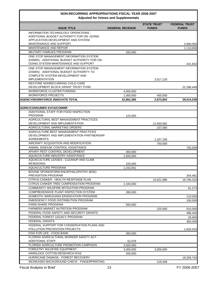# **NON-RECURRING APPROPRIATIONS FISCAL YEAR 2006-2007**

| <b>ISSUE TITLE</b>                                                                      | <b>GENERAL REVENUE</b> | <b>STATE TRUST</b><br><b>FUNDS</b> | <b>FEDERAL TRUST</b><br><b>FUNDS</b> |
|-----------------------------------------------------------------------------------------|------------------------|------------------------------------|--------------------------------------|
| INFORMATION TECHNOLOGY OPERATIONS -                                                     |                        |                                    |                                      |
| ADDITIONAL BUDGET AUTHORITY FOR ON- GOING                                               |                        |                                    |                                      |
| APPLICATION DEVELOPMENT AND SYSTEM<br>MAINTENANCE AND SUPPORT                           |                        |                                    |                                      |
| <b>MAINTENANCE AND REPAIR</b>                                                           |                        |                                    | 2,900,000                            |
| MILITARY FAMILIES PROGRAM                                                               |                        |                                    | 1,113,000                            |
|                                                                                         | 200,000                |                                    |                                      |
| ONE STOP MANAGEMENT INFORMATION SYSTEM<br>(OSMIS) - ADDITIONAL BUDGET AUTHORITY FOR ON- |                        |                                    |                                      |
| GOING SYSTEM MAINTENANCE AND SUPPORT                                                    |                        |                                    | 341,832                              |
| ONE STOP MANAGEMENT INFORMATION SYSTEM                                                  |                        |                                    |                                      |
| (OSMIS) - ADDITIONAL BUDGET AUTHORITY TO                                                |                        |                                    |                                      |
| COMPLETE SYSTEM DEVELOPMENT AND                                                         |                        |                                    |                                      |
| <b>IMPLEMENTATION</b>                                                                   |                        | 2,017,120                          |                                      |
| <b>RESTORE NONRECURRING CHILD CARE</b>                                                  |                        |                                    |                                      |
| DEVELOPMENT BLOCK GRANT TRUST FUND                                                      |                        |                                    | 22,286,449                           |
| <b>WORKFORCE CLUSTER FUNDING</b>                                                        | 4,000,000              |                                    |                                      |
| <b>WORKFORCE PROJECTS</b>                                                               | 1,000,000              | 450,000                            |                                      |
| <b>AGENCY/WORKFORCE INNOVATN TOTAL</b>                                                  | 22,852,385             | 2,973,854                          | 29,014,539                           |
|                                                                                         |                        |                                    |                                      |
| <b>AGRIC/CONSUMER SVCS/COMMR</b>                                                        |                        |                                    |                                      |
| ADDITIONAL STAFF FOR FOOD INSPECTION<br><b>PROGRAM</b>                                  |                        |                                    |                                      |
| AGRICULTURAL BEST MANAGEMENT PRACTICES                                                  | 123,565                |                                    |                                      |
| DEVELOPMENT AND IMPLEMENTATION                                                          |                        | 12,930,082                         |                                      |
| AGRICULTURAL MARKETING ORDERS                                                           |                        | 237,000                            |                                      |
| AGRICULTURE BEST MANAGEMENT PRACTICES                                                   |                        |                                    |                                      |
| DEVELOPMENT AND IMPLEMENTATION PARTNERSHIP                                              |                        |                                    |                                      |
| <b>AGREEMENTS</b>                                                                       |                        | 1,327,156                          |                                      |
| AIRCRAFT ACQUISITION AND MODIFICATION                                                   |                        | 750,000                            |                                      |
| ANIMAL DISEASE CONTROL ASSISTANCE                                                       |                        |                                    | 700,000                              |
| APIARY PEST CONTROL DEVELOPMENT                                                         | 300,000                |                                    |                                      |
| AQUACULTURE INDUSTRY ASSISTANCE                                                         | 1.500.000              |                                    |                                      |
| AQUACULTURE LEASES - CLEANUP AND CLAM                                                   |                        |                                    |                                      |
| <b>RESEEDING</b>                                                                        | 225,000                |                                    |                                      |
| AQUACULTURE PROGRAM                                                                     | 1,152,841              |                                    |                                      |
| BOVINE SPONGIFORM ENCEPHALOPATHY (BSE)                                                  |                        |                                    |                                      |
| PREVENTION PROGRAM                                                                      |                        |                                    | 264,481                              |
| CITRUS CANKER - HEALTH RESPONSE PLAN                                                    |                        | 10,021,986                         | 16,706,310                           |
| CITRUS CANKER TREE COMPENSATION PROGRAM                                                 | 1,100,000              |                                    |                                      |
| COMMUNITY WILDFIRE MITIGATION PROGRAM                                                   |                        |                                    | 61,272                               |
| COMPREHENSIVE PLANT INSPECTION SYSTEM                                                   | 280,000                |                                    |                                      |
| DOMESTIC MARIJUANA ERADICATION PROGRAM                                                  |                        |                                    | 110,000                              |
| EMERGENCY FOOD DISTRIBUTION PROGRAM                                                     |                        |                                    | 100,000                              |
| FARM SHARE PROGRAM                                                                      | 500,000                |                                    |                                      |
| FARMERS MARKET NUTRITION PROGRAM                                                        |                        | 220,000                            | 510,000                              |
| FEDERAL FOOD SAFETY AND SECURITY GRANTS                                                 |                        |                                    | 466,440                              |
| FEDERAL FOREST LEGACY PROGRAM                                                           |                        |                                    | 25,000                               |
| FEDERAL GRANTS                                                                          |                        |                                    | 383,000                              |
| FEDERAL SUPPORT FOR CONSERVATION PLANS AND                                              |                        |                                    |                                      |
| POLLUTION PREVENTION PROJECTS                                                           |                        |                                    | 1,620,520                            |
| FISH FOR LIFE - FOOD BANK                                                               | 300,000                |                                    |                                      |
| FLORIDA AGRICULTURAL WORKER SAFETY ACT -<br><b>ADDITIONAL STAFF</b>                     |                        |                                    |                                      |
| FLORIDA AGRICULTURE PROMOTION CAMPAIGN                                                  | 52,078                 |                                    |                                      |
|                                                                                         | 3,500,000              |                                    |                                      |
| FORESTRY WILDFIRE EQUIPMENT                                                             | 3,000,000              | 3,000,000                          |                                      |
| HARDLOCK COTTON RESEARCH-IFAS                                                           | 200,000                |                                    |                                      |
| HURRICANE DAMAGE - FOREST RECOVERY                                                      |                        |                                    | 19,205,743                           |
| INCREASED BACKGROUND CHECK - FINGERPRINTING                                             |                        | 219,408                            |                                      |
| <b>Fiscal Analysis in Brief</b>                                                         | 13                     |                                    | FY 2006-2007                         |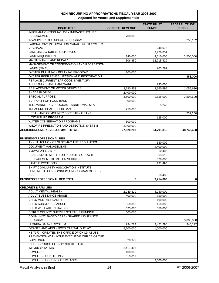| Aujusted for velocs and oupplementals                                            |                         |                                    |                                      |  |  |
|----------------------------------------------------------------------------------|-------------------------|------------------------------------|--------------------------------------|--|--|
| <b>ISSUE TITLE</b>                                                               | <b>GENERAL REVENUE</b>  | <b>STATE TRUST</b><br><b>FUNDS</b> | <b>FEDERAL TRUST</b><br><b>FUNDS</b> |  |  |
| INFORMATION TECHNOLOGY INFRASTRUCTURE<br><b>REPLACEMENT</b>                      | 700,000                 |                                    |                                      |  |  |
| <b>INVASIVE EXOTIC SPECIES PROGRAM</b>                                           |                         |                                    | 250,132                              |  |  |
| LABORATORY INFORMATION MANAGEMENT SYSTEM                                         |                         |                                    |                                      |  |  |
| <b>UPGRADE</b>                                                                   |                         | 248,076                            |                                      |  |  |
| LAKE OKEECHOBEE RESTORATION                                                      |                         | 3,928,051                          |                                      |  |  |
| <b>LAND ACQUISITION</b>                                                          | 140,000                 | 4,610,000                          | 3,500,000                            |  |  |
| MAINTENANCE AND REPAIR                                                           | 306,350                 | 12,715,420                         |                                      |  |  |
| MANAGEMENT OF CONSERVATION AND RECREATION                                        |                         |                                    |                                      |  |  |
| LANDS (CARL)<br>OYSTER PLANTING / RELAYING PROGRAM                               |                         | 903,291                            |                                      |  |  |
|                                                                                  | 300,000                 |                                    |                                      |  |  |
| OYSTER REEF REHABILITATION AND RESTORATION<br>REPLACE CURRENT BAR CODE INVENTORY |                         |                                    | 458,000                              |  |  |
| APPLICATION AND HARDWARE                                                         |                         | 235,000                            |                                      |  |  |
| REPLACEMENT OF MOTOR VEHICLES                                                    | 2,790,453               | 2,160,596                          | 1,056,630                            |  |  |
| SHADE FLORIDA                                                                    | 2,400,000               |                                    |                                      |  |  |
| SPECIAL PURPOSE                                                                  | 3,600,000               | 1,155,000                          | 2,594,690                            |  |  |
| SUPPORT FOR FOOD BANK                                                            | 500.000                 |                                    |                                      |  |  |
| TELEMARKETING PROGRAM - ADDITIONAL STAFF                                         |                         | 5,249                              |                                      |  |  |
| TREASURE COAST FOOD BANKS                                                        | 250,000                 |                                    |                                      |  |  |
| URBAN AND COMMUNITY FORESTRY GRANT                                               |                         |                                    | 731,250                              |  |  |
| <b>VITICULTURE PROGRAM</b>                                                       |                         |                                    |                                      |  |  |
| <b>WATER CONSERVATION PROGRAMS</b>                                               |                         | 125,000                            |                                      |  |  |
| WILDFIRE PREDICTION AND DETECTION SYSTEM                                         | 500,000                 |                                    |                                      |  |  |
| AGRIC/CONSUMER SVCS/COMMR TOTAL                                                  | 3,800,000<br>27,520,287 | 54,791,315                         |                                      |  |  |
|                                                                                  |                         |                                    | 48,743,468                           |  |  |
| <b>BUSINESS/PROFESSIONAL REG</b>                                                 |                         |                                    |                                      |  |  |
| ANNUALIZATION OF SLOT MACHINE REGULATION                                         |                         | 680,000                            |                                      |  |  |
| DOCUMENT MANAGEMENT                                                              |                         | 2,400,000                          |                                      |  |  |
| <b>ELEVATOR SAFETY</b>                                                           |                         | 10,486                             |                                      |  |  |
| REAL ESTATE STAFF FOR INDUSTRY GROWTH                                            |                         | 63,615                             |                                      |  |  |
| REPLACEMENT OF MOTOR VEHICLES                                                    |                         | 328,000                            |                                      |  |  |
| SAMPLE POSITIONS                                                                 |                         | 221,496                            |                                      |  |  |
| SHIFT COMMUNITY ASSOCIATION INSTITUTE                                            |                         |                                    |                                      |  |  |
| FUNDING TO CONDOMINIUM OMBUDSMAN OFFICE -                                        |                         |                                    |                                      |  |  |
| ADD                                                                              |                         | 10,486                             |                                      |  |  |
| <b>BUSINESS/PROFESSIONAL REG TOTAL</b>                                           | 0                       | 3,714,083                          | υ                                    |  |  |
|                                                                                  |                         |                                    |                                      |  |  |
| <b>CHILDREN &amp; FAMILIES</b>                                                   |                         |                                    |                                      |  |  |
| ADULT MENTAL HEALTH                                                              | 2,949,819               | 4,050,000                          |                                      |  |  |
| ADULT SUBSTANCE ABUSE                                                            | 400,000                 | 150,000                            |                                      |  |  |
| CHILD MENTAL HEALTH                                                              |                         | 100,000                            |                                      |  |  |
| CHILD SUBSTANCE ABUSE                                                            | 550,000                 | 150,000                            |                                      |  |  |
| CHILD WELFARE INITIATIVES                                                        | 525,000                 | 350,000                            |                                      |  |  |
| CITRUS COUNTY SHERIFF START-UP FUNDING                                           | 500,000                 |                                    |                                      |  |  |
| COMMUNITY BASED CARE - SHARED INSURANCE                                          |                         |                                    |                                      |  |  |
| PROGRAM                                                                          |                         |                                    | 3,000,000                            |  |  |
| <b>FLORIDA SACWIS SYSTEM</b>                                                     | 994,784                 | 3,421,296                          | 945,192                              |  |  |
| GRANTS AND AIDS - FIXED CAPITAL OUTLAY                                           | 5,500,000               | 1,000,000                          |                                      |  |  |
| HB 7173 - CREATES THE OFFICE OF CHILD ABUSE                                      |                         |                                    |                                      |  |  |
| PREVENTION WITHINTHE EXECUTIVE OFFICE OF THE                                     |                         |                                    |                                      |  |  |
| <b>GOVERNOR</b><br>HILLSBOROUGH COUNTY SHERIFF FULL                              | 20,972                  |                                    |                                      |  |  |
| <b>IMPLEMENTATION</b>                                                            | 2,411,495               |                                    |                                      |  |  |
| <b>HOMELESS</b>                                                                  | 100,000                 |                                    |                                      |  |  |
| HOMELESS COALITIONS                                                              | 319,019                 |                                    |                                      |  |  |
| HOMELESS HOUSING ASSISTANCE                                                      |                         | 2,000,000                          |                                      |  |  |
|                                                                                  |                         |                                    |                                      |  |  |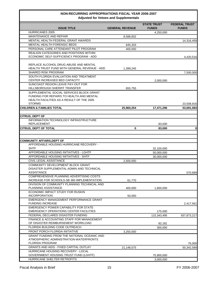# **NON-RECURRING APPROPRIATIONS FISCAL YEAR 2006-2007**

| <b>Adjusted for Vetoes and Supplementals</b>                                                                                      |                        |                                    |                                      |
|-----------------------------------------------------------------------------------------------------------------------------------|------------------------|------------------------------------|--------------------------------------|
| <b>ISSUE TITLE</b>                                                                                                                | <b>GENERAL REVENUE</b> | <b>STATE TRUST</b><br><b>FUNDS</b> | <b>FEDERAL TRUST</b><br><b>FUNDS</b> |
| <b>HURRICANES 2005</b>                                                                                                            |                        | 4,250,000                          |                                      |
| <b>MAINTENANCE AND REPAIR</b>                                                                                                     | 8,588,832              |                                    |                                      |
| MENTAL HEALTH FEDERAL GRANT AWARDS                                                                                                |                        |                                    | 14,316,459                           |
| <b>MENTAL HEALTH FORENSIC BEDS</b>                                                                                                | 645,333                |                                    |                                      |
| PERSONAL CARE ATTENDANT PILOT PROGRAM                                                                                             | 400,000                |                                    |                                      |
| <b>REALIGN CATEGORIES AND POSITIONS WITHIN</b>                                                                                    |                        |                                    |                                      |
| ECONOMIC SELF-SUFFICIENCY PROGRAM - ADD                                                                                           |                        |                                    | 4,420,516                            |
| REPLACE ALCOHOL DRUG ABUSE AND MENTAL                                                                                             |                        |                                    |                                      |
| HEALTH TRUST FUND WITH GENERAL REVENUE - ADD                                                                                      | 1,399,245              |                                    |                                      |
| <b>SHARED RISK PROGRAM</b>                                                                                                        |                        |                                    | 7,500,000                            |
| SOUTH FLORIDA EVALUATION AND TREATMENT<br>CENTER INCREASED BED CAPACITY                                                           |                        |                                    |                                      |
| SUNCOAST REGION LEAVE PAY-OUT FOR                                                                                                 |                        | 2,000,000                          |                                      |
| HILLSBOROUGH SHERIFF TRANSFER                                                                                                     | 655,755                |                                    |                                      |
| SUPPLEMENTAL SOCIAL SERVICES BLOCK GRANT<br>FUNDING FOR REPAIRS TO HEALTH AND MENTAL<br>HEALTH FACILITIES AS A RESULT OF THE 2005 |                        |                                    |                                      |
| <b>STORMS</b>                                                                                                                     |                        |                                    | 23,508,916                           |
| CHILDREN & FAMILIES TOTAL                                                                                                         | 25,960,254             | 17,471,296                         | 53,691,083                           |
| <b>CITRUS, DEPT OF</b>                                                                                                            |                        |                                    |                                      |
| INFORMATION TECHNOLOGY INFRASTRUCTURE                                                                                             |                        |                                    |                                      |
| <b>REPLACEMENT</b>                                                                                                                |                        | 83,000                             |                                      |
| <b>CITRUS, DEPT OF TOTAL</b>                                                                                                      | $\bf{0}$               | 83,000                             | $\mathbf 0$                          |
|                                                                                                                                   |                        |                                    |                                      |
|                                                                                                                                   |                        |                                    |                                      |
| <b>COMMUNITY AFFAIRS, DEPT OF</b><br>AFFORDABLE HOUSING HURRICANE RECOVERY -                                                      |                        |                                    |                                      |
| <b>SHTF</b>                                                                                                                       |                        | 32,100,000                         |                                      |
| AFFORDABLE HOUSING INITIATIVES - LGHTF                                                                                            |                        | 50,000,000                         |                                      |
| AFFORDABLE HOUSING INITIATIVES - SHTF                                                                                             |                        | 30,000,000                         |                                      |
| CIVIL LEGAL ASSISTANCE                                                                                                            | 2,500,000              |                                    |                                      |
| COMMUNITY DEVELOPMENT BLOCK GRANT                                                                                                 |                        |                                    |                                      |
| DISASTER SUPPLEMENTAL-ADMIN AND TECHNICAL                                                                                         |                        |                                    |                                      |
| <b>ASSISTANCE</b>                                                                                                                 |                        |                                    | 570,689                              |
| COMPREHENSIVE PLANNING ADVERTISING COSTS                                                                                          |                        |                                    |                                      |
| INCREASE FOR SCHOOLS-SB 360 IMPLEMENTATION                                                                                        | 61,770                 |                                    |                                      |
| DIVISION OF COMMUNITY PLANNING TECHNICAL AND                                                                                      |                        |                                    |                                      |
| <b>PLANNING ASSISTANCE</b>                                                                                                        | 400,000                | 1,600,000                          |                                      |
| ECONOMIC IMPACT STUDY FOR RUSKIN                                                                                                  |                        |                                    |                                      |
| <b>INCORPORATION</b>                                                                                                              | 50,000                 |                                    |                                      |
| EMERGENCY MANAGEMENT PERFORMANCE GRANT<br><b>FUNDING INCREASE</b>                                                                 |                        |                                    | 2,417,561                            |
| EMERGENCY POWER CAPABILITY FOR STATE<br>EMERGENCY OPERATIONS CENTER FACILITIES                                                    |                        |                                    |                                      |
| FEDERAL DECLARED DISASTER FUNDING                                                                                                 |                        | 175,000<br>115,343,495             | 937,873,217                          |
| <b>FINANCE &amp; ACCOUNTING STAFF FOR MANAGEMENT</b>                                                                              |                        |                                    |                                      |
| OF DISASTER REIMBURSEMENT WORKLOAD                                                                                                |                        | 82,181                             |                                      |
| FLORIDA BUILDING CODE OUTREACH                                                                                                    |                        | 300,000                            |                                      |
| <b>FRONT PORCH FLORIDA INITIATIVE</b>                                                                                             | 3,250,000              |                                    |                                      |
| GRANT FUNDING FROM THE NATIONAL OCEANIC AND                                                                                       |                        |                                    |                                      |
| ATMOSPHERIC ADMINISTRATION-WATERFRONTS                                                                                            |                        |                                    |                                      |
| <b>FLORIDA PROGRAM</b>                                                                                                            |                        |                                    | 75,000                               |
| <b>GRANTS AND AIDS - FIXED CAPITAL OUTLAY</b>                                                                                     | 21,148,575             |                                    | 50,342,589                           |
| HURRICANE HOUSING RECOVERY - LOCAL                                                                                                |                        |                                    |                                      |
| GOVERNMENT HOUSING TRUST FUND (LGHTF)                                                                                             |                        | 75,900,000                         |                                      |
| HURRICANE SHELTER RETROFITS                                                                                                       |                        | 3,000,000                          |                                      |
|                                                                                                                                   |                        |                                    |                                      |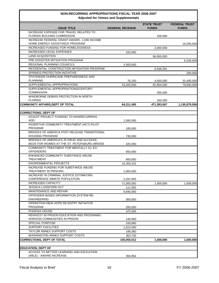| Aujusted IVI vetocs and oupplementals                                                   |                        |                                    |                                      |  |
|-----------------------------------------------------------------------------------------|------------------------|------------------------------------|--------------------------------------|--|
| <b>ISSUE TITLE</b>                                                                      | <b>GENERAL REVENUE</b> | <b>STATE TRUST</b><br><b>FUNDS</b> | <b>FEDERAL TRUST</b><br><b>FUNDS</b> |  |
| INCREASE EXPENSE FOR TRAVEL RELATED TO<br>FLORIDA BUILDING COMMISSION                   |                        | 100,000                            |                                      |  |
| INCREASE FEDERAL GRANT AWARD - LOW INCOME                                               |                        |                                    |                                      |  |
| HOME ENERGY ASSISTANCE PROGRAM                                                          |                        |                                    | 19,200,000                           |  |
| INCREASED FUNDING FOR HOMELESSNESS                                                      |                        | 2,000,000                          |                                      |  |
| <b>INCREASED LEGAL EXPENSES</b><br><b>LAND ACQUISITION</b>                              | 225,000                | 66,000,000                         |                                      |  |
| PRE-DISASTER MITIGATION PROGRAM                                                         |                        |                                    | 8,200,000                            |  |
| REGIONAL PLANNING COUNCILS                                                              | 3,300,000              |                                    |                                      |  |
| RESIDENTIAL CONSTRUCTION MITIGATION PROGRAM                                             |                        | 6,938,391                          |                                      |  |
| SPRINGS PROTECTION INITIATIVE                                                           |                        |                                    | 200,000                              |  |
| STATEWIDE HURRICANE PREPAREDNESS AND                                                    |                        |                                    |                                      |  |
| <b>PLANNING</b>                                                                         | 76,150                 | 4,400,000                          | 32,400,000                           |  |
| SUPPLEMENTAL APPROPRIATIONS                                                             | 33,200,000             | 82,904,000                         | 79,600,000                           |  |
| SUPPLEMENTAL APPROPRIATIONS/CENTURY<br><b>COMMISSION</b>                                |                        | 300,000                            |                                      |  |
| WINDBORNE DEBRIS PROTECTION IN NORTH                                                    |                        |                                    |                                      |  |
| <b>FLORIDA</b>                                                                          |                        | 250,000                            |                                      |  |
| <b>COMMUNITY AFFAIRS, DEPT OF TOTAL</b>                                                 | 64,211,495             | 471,393,067                        | 1,130,879,056                        |  |
| <b>CORRECTIONS, DEPT OF</b>                                                             |                        |                                    |                                      |  |
| ADJUST PROJECT FUNDING TO NONRECURRING -                                                |                        |                                    |                                      |  |
| ADD                                                                                     | 1,090,000              |                                    |                                      |  |
| ASSERTIVE COMMUNITY TREATMENT (ACT) PILOT                                               |                        |                                    |                                      |  |
| PROGRAM                                                                                 | 100,000                |                                    |                                      |  |
| BRIDGES OF AMERICA POST-RELEASE TRANSITIONAL<br><b>HOUSING PROGRAM</b>                  | 730,000                |                                    |                                      |  |
| BRIDGES OF AMERICA'S 25 DRUG AND ALCOHOL<br>BEDS FOR WOMEN AT THE ST. PETERSBURG BRIDGE | 425,000                |                                    |                                      |  |
| COMMUNITY TREATMENT FOR MENTALLY ILL EX-                                                |                        |                                    |                                      |  |
| <b>OFFENDERS</b>                                                                        | 650,000                |                                    |                                      |  |
| ENHANCED COMMUNITY SUBSTANCE ABUSE                                                      |                        |                                    |                                      |  |
| <b>TREATMENT</b><br><b>ENVIRONMENTAL PROJECTS</b>                                       | 600,000<br>16,359,332  |                                    |                                      |  |
| INCREASE FUNDING FOR SUBSTANCE ABUSE                                                    |                        |                                    |                                      |  |
| <b>TREATMENT IN PRISONS</b>                                                             | 1,000,000              |                                    |                                      |  |
| INCREASE IN CRIMINAL JUSTICE ESTIMATING                                                 |                        |                                    |                                      |  |
| CONFERENCE INMATE POPULATION                                                            | 2,297,655              |                                    |                                      |  |
| INCREASED CAPACITY                                                                      | 71,500,000             | 1,500,000                          | 1,500,000                            |  |
| JESSICA LUNSFORD ACT                                                                    | 111,555                |                                    |                                      |  |
| MAINTENANCE AND REPAIR                                                                  | 6,840,000              |                                    |                                      |  |
| OFFENDER BASED INFORMATION SYSTEM RE-<br><b>ENGINEERING</b>                             | 300,000                |                                    |                                      |  |
| OPERATION NEW HOPE RE-ENTRY INITIATIVE                                                  |                        |                                    |                                      |  |
| <b>PROGRAM</b>                                                                          | 200,000                |                                    |                                      |  |
| PHOENIX HOUSE                                                                           | 375,000                |                                    |                                      |  |
| REINVEST IN PRISON EDUCATION AND PROGRAMS -                                             |                        |                                    |                                      |  |
| HORIZON COMMUNITIES IN PRISON                                                           | 140.000                |                                    |                                      |  |
| <b>SPECIAL PURPOSE</b>                                                                  | 169,880                |                                    |                                      |  |
| <b>SUPPORT FACILITIES</b>                                                               | 1,615,000              |                                    |                                      |  |
| TAYLOR ANNEX SUPPORT COSTS                                                              | 188,360                |                                    |                                      |  |
| <b>WASHINGTON ANNEX SUPPORT COSTS</b><br><b>CORRECTIONS, DEPT OF TOTAL</b>              | 363,730<br>105,055,512 |                                    |                                      |  |
|                                                                                         |                        | 1,500,000                          | 1,500,000                            |  |
| <b>EDUCATION, DEPT OF</b>                                                               |                        |                                    |                                      |  |
| ACCESS TO BETTER LEARNING AND EDUCATION                                                 |                        |                                    |                                      |  |
| (ABLE) - AWARD INCREASE                                                                 | 393,954                |                                    |                                      |  |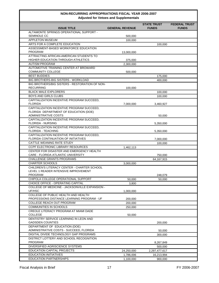| <b>STATE TRUST</b><br><b>FEDERAL TRUST</b><br><b>ISSUE TITLE</b><br><b>GENERAL REVENUE</b><br><b>FUNDS</b><br><b>FUNDS</b><br>ALTAMONTE SPRINGS OPERATIONAL SUPPORT -<br><b>SEMINOLE CC</b><br>500,000<br><b>APPLETON MUSEUM</b><br>100,000<br>ARTS FOR A COMPLETE EDUCATION<br>100,000<br>ASSESSMENT-BASED WORKFORCE EDUCATION<br>PROGRAM<br>13,000,000<br>ATTRACTING AFRICAN-AMERICAN STUDENTS TO<br>HIGHER EDUCATION THROUGH ATHLETICS<br>375,000<br><b>AUTISM PROGRAM</b><br>2,300,000<br>AUTOMOTIVE TRAINING CENTER AT BROWARD<br><b>COMMUNITY COLLEGE</b><br>500,000<br><b>BEST BUDDIES</b><br>175,000<br>BIG BROTHERS-BIG SISTERS - WORKLOAD<br>400,000<br>BIG BROTHERS/BIG SISTERS - RESTORATION OF NON-<br><b>RECURRING</b><br>100,000<br><b>BLACK MALE EXPLORERS</b><br>100,000 |
|-------------------------------------------------------------------------------------------------------------------------------------------------------------------------------------------------------------------------------------------------------------------------------------------------------------------------------------------------------------------------------------------------------------------------------------------------------------------------------------------------------------------------------------------------------------------------------------------------------------------------------------------------------------------------------------------------------------------------------------------------------------------------------------------|
|                                                                                                                                                                                                                                                                                                                                                                                                                                                                                                                                                                                                                                                                                                                                                                                           |
|                                                                                                                                                                                                                                                                                                                                                                                                                                                                                                                                                                                                                                                                                                                                                                                           |
|                                                                                                                                                                                                                                                                                                                                                                                                                                                                                                                                                                                                                                                                                                                                                                                           |
|                                                                                                                                                                                                                                                                                                                                                                                                                                                                                                                                                                                                                                                                                                                                                                                           |
|                                                                                                                                                                                                                                                                                                                                                                                                                                                                                                                                                                                                                                                                                                                                                                                           |
|                                                                                                                                                                                                                                                                                                                                                                                                                                                                                                                                                                                                                                                                                                                                                                                           |
|                                                                                                                                                                                                                                                                                                                                                                                                                                                                                                                                                                                                                                                                                                                                                                                           |
|                                                                                                                                                                                                                                                                                                                                                                                                                                                                                                                                                                                                                                                                                                                                                                                           |
|                                                                                                                                                                                                                                                                                                                                                                                                                                                                                                                                                                                                                                                                                                                                                                                           |
|                                                                                                                                                                                                                                                                                                                                                                                                                                                                                                                                                                                                                                                                                                                                                                                           |
|                                                                                                                                                                                                                                                                                                                                                                                                                                                                                                                                                                                                                                                                                                                                                                                           |
|                                                                                                                                                                                                                                                                                                                                                                                                                                                                                                                                                                                                                                                                                                                                                                                           |
|                                                                                                                                                                                                                                                                                                                                                                                                                                                                                                                                                                                                                                                                                                                                                                                           |
|                                                                                                                                                                                                                                                                                                                                                                                                                                                                                                                                                                                                                                                                                                                                                                                           |
|                                                                                                                                                                                                                                                                                                                                                                                                                                                                                                                                                                                                                                                                                                                                                                                           |
| BOYS AND GIRLS CLUBS                                                                                                                                                                                                                                                                                                                                                                                                                                                                                                                                                                                                                                                                                                                                                                      |
| 100,000<br>CAPITALIZATION INCENTIVE PROGRAM SUCCEED,                                                                                                                                                                                                                                                                                                                                                                                                                                                                                                                                                                                                                                                                                                                                      |
| <b>FLORIDA</b><br>7,000,000<br>3,460,927                                                                                                                                                                                                                                                                                                                                                                                                                                                                                                                                                                                                                                                                                                                                                  |
| CAPITALIZATION INCENTIVE PROGRAM SUCCEED,                                                                                                                                                                                                                                                                                                                                                                                                                                                                                                                                                                                                                                                                                                                                                 |
| FLORIDA DEPARTMENT OF EDUCATION (DOE)                                                                                                                                                                                                                                                                                                                                                                                                                                                                                                                                                                                                                                                                                                                                                     |
| <b>ADMINISTRATIVE COSTS</b><br>50,000                                                                                                                                                                                                                                                                                                                                                                                                                                                                                                                                                                                                                                                                                                                                                     |
| CAPITALIZATION INCENTIVE PROGRAM SUCCEED,                                                                                                                                                                                                                                                                                                                                                                                                                                                                                                                                                                                                                                                                                                                                                 |
| FLORIDA - NURSING<br>5,350,000                                                                                                                                                                                                                                                                                                                                                                                                                                                                                                                                                                                                                                                                                                                                                            |
| CAPITALIZATION INCENTIVE PROGRAM SUCCEED,                                                                                                                                                                                                                                                                                                                                                                                                                                                                                                                                                                                                                                                                                                                                                 |
| <b>FLORIDA - TEACHING</b><br>5,350,000<br>CAPITALIZATION INCENTIVE PROGRAM SUCCEED,                                                                                                                                                                                                                                                                                                                                                                                                                                                                                                                                                                                                                                                                                                       |
| FLORIDA CONTINUATION OF INITIATIVES<br>7,000,000                                                                                                                                                                                                                                                                                                                                                                                                                                                                                                                                                                                                                                                                                                                                          |
| CATTLE WEANING RATE STUDY<br>100,000                                                                                                                                                                                                                                                                                                                                                                                                                                                                                                                                                                                                                                                                                                                                                      |
| CCPF ELECTRONIC LIBRARY RESOURCES<br>1,462,113                                                                                                                                                                                                                                                                                                                                                                                                                                                                                                                                                                                                                                                                                                                                            |
| CENTER FOR DISASTER AND EMERGENCY HEALTH                                                                                                                                                                                                                                                                                                                                                                                                                                                                                                                                                                                                                                                                                                                                                  |
| CARE - FLORIDA ATLANTIC UNIVERSITY<br>750,000                                                                                                                                                                                                                                                                                                                                                                                                                                                                                                                                                                                                                                                                                                                                             |
| <b>CHALLENGE GRANTS PROGRAMS</b><br>64, 167, 915                                                                                                                                                                                                                                                                                                                                                                                                                                                                                                                                                                                                                                                                                                                                          |
| <b>CHARTER SCHOOLS</b><br>3,000,000                                                                                                                                                                                                                                                                                                                                                                                                                                                                                                                                                                                                                                                                                                                                                       |
| CHILDREN'S LITERACY CENTER - CHARTER SCHOOL                                                                                                                                                                                                                                                                                                                                                                                                                                                                                                                                                                                                                                                                                                                                               |
| LEVEL 1 READER INTENSIVE IMPROVEMENT                                                                                                                                                                                                                                                                                                                                                                                                                                                                                                                                                                                                                                                                                                                                                      |
| PROGRAM<br>248,079                                                                                                                                                                                                                                                                                                                                                                                                                                                                                                                                                                                                                                                                                                                                                                        |
| CHIPOLA COLLEGE OPERATIONAL SUPPORT<br>50,000<br>50,000                                                                                                                                                                                                                                                                                                                                                                                                                                                                                                                                                                                                                                                                                                                                   |
| CHOICE OFFICE - OPERATING CAPITAL<br>3,800                                                                                                                                                                                                                                                                                                                                                                                                                                                                                                                                                                                                                                                                                                                                                |
| COLLEGE OF MEDICINE - JACKSONVILLE EXPANSION -<br>UF/HSC<br>1,000,000                                                                                                                                                                                                                                                                                                                                                                                                                                                                                                                                                                                                                                                                                                                     |
| COLLEGE OF PUBLIC HEALTH AND HEALTH                                                                                                                                                                                                                                                                                                                                                                                                                                                                                                                                                                                                                                                                                                                                                       |
| PROFESSIONS DISTANCE LEARNING PROGRAM - UF<br>200,000                                                                                                                                                                                                                                                                                                                                                                                                                                                                                                                                                                                                                                                                                                                                     |
| COLLEGE REACH OUT PROGRAM<br>200,000                                                                                                                                                                                                                                                                                                                                                                                                                                                                                                                                                                                                                                                                                                                                                      |
| COMMUNITIES IN SCHOOLS<br>250,000                                                                                                                                                                                                                                                                                                                                                                                                                                                                                                                                                                                                                                                                                                                                                         |
| CREOLE LITERACY PROGRAM AT MIAMI DADE                                                                                                                                                                                                                                                                                                                                                                                                                                                                                                                                                                                                                                                                                                                                                     |
| COLLEGE<br>50,000                                                                                                                                                                                                                                                                                                                                                                                                                                                                                                                                                                                                                                                                                                                                                                         |
| DENTISTRY SERVICE LEARNING IN LEON AND                                                                                                                                                                                                                                                                                                                                                                                                                                                                                                                                                                                                                                                                                                                                                    |
| <b>GADSDEN COUNTIES</b><br>200,000                                                                                                                                                                                                                                                                                                                                                                                                                                                                                                                                                                                                                                                                                                                                                        |
| DEPARTMENT OF EDUCATION (DOE)<br>ADMINISTRATIVE COSTS - SUCCEED, FLORIDA                                                                                                                                                                                                                                                                                                                                                                                                                                                                                                                                                                                                                                                                                                                  |
| 50,000<br>DIGITAL DIVIDE TECHNOLOGY GAP PROGRAMS                                                                                                                                                                                                                                                                                                                                                                                                                                                                                                                                                                                                                                                                                                                                          |
| 300,000<br>DISTRICT LOTTERY AND SCHOOL RECOGNITION                                                                                                                                                                                                                                                                                                                                                                                                                                                                                                                                                                                                                                                                                                                                        |
| PROGRAM<br>8,267,849                                                                                                                                                                                                                                                                                                                                                                                                                                                                                                                                                                                                                                                                                                                                                                      |
| DIVERSIFIED AGRISCIENCE SYSTEMS<br>500,000                                                                                                                                                                                                                                                                                                                                                                                                                                                                                                                                                                                                                                                                                                                                                |
| <b>EDUCATION CAPITAL PROJECTS</b><br>24,250,000<br>2,297,477,617                                                                                                                                                                                                                                                                                                                                                                                                                                                                                                                                                                                                                                                                                                                          |
| <b>EDUCATION INITIATIVES</b><br>1,786,006<br>16,213,994                                                                                                                                                                                                                                                                                                                                                                                                                                                                                                                                                                                                                                                                                                                                   |
| <b>EDUCATION PARTNERSHIPS</b><br>1,100,000<br>900,000                                                                                                                                                                                                                                                                                                                                                                                                                                                                                                                                                                                                                                                                                                                                     |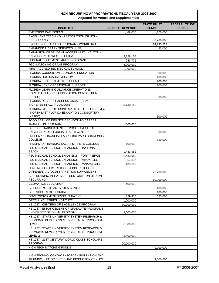| Adjusted for veloes and supplementals                                                     |                        |                                    |                                      |  |
|-------------------------------------------------------------------------------------------|------------------------|------------------------------------|--------------------------------------|--|
| <b>ISSUE TITLE</b>                                                                        | <b>GENERAL REVENUE</b> | <b>STATE TRUST</b><br><b>FUNDS</b> | <b>FEDERAL TRUST</b><br><b>FUNDS</b> |  |
| <b>EMERGING PATHOGENS</b>                                                                 | 1,468,000              | 1,175,000                          |                                      |  |
| EXCELLENT TEACHING - RESTORATION OF NON-                                                  |                        |                                    |                                      |  |
| <b>REUCURRING</b>                                                                         |                        | 8,200,000                          |                                      |  |
| EXCELLENT TEACHING PROGRAM - WORKLOAD                                                     |                        | 14,295,524                         |                                      |  |
| EXPANDED LIBRARY SERVICES - USF                                                           |                        | 53,000                             |                                      |  |
| <b>EXPANSION OF STUDENT ACCESS IN FT. WALTON -</b>                                        |                        |                                    |                                      |  |
| UNIVERSITY OF WEST FLORIDA                                                                | 2,258,104              |                                    |                                      |  |
| FEDERAL EQUIPMENT MATCHING GRANTS                                                         | 943,775                |                                    |                                      |  |
| <b>FGCI-MATCHING GRANT PROGRAM</b>                                                        | 5,000,000              |                                    |                                      |  |
| FIRST ACCREDITED MEDICAL SCHOOL                                                           | 1,000,000              |                                    |                                      |  |
| FLORIDA COUNCIL ON ECONOMIC EDUCATION                                                     |                        | 500,000                            |                                      |  |
| FLORIDA HOLOCAUST MUSEUM                                                                  |                        | 400,000                            |                                      |  |
| FLORIDA ISRAEL INSTITUTE AT FAU                                                           |                        | 200,000                            |                                      |  |
| FLORIDA KEYS OPERATIONAL SUPPORT                                                          |                        | 300,000                            |                                      |  |
| FLORIDA LEARNING ALLIANCE OPERATIONS -                                                    |                        |                                    |                                      |  |
| NORTHEAST FLORIDA EDUCATION CONSORTIUM                                                    |                        |                                    |                                      |  |
| (NEFEC)                                                                                   |                        | 300,000                            |                                      |  |
| FLORIDA RESIDENT ACCESS GRANT (FRAG)<br><b>INCREASE IN AWARD AMOUNT</b>                   |                        |                                    |                                      |  |
|                                                                                           | 5,130,150              |                                    |                                      |  |
| FLORIDA STUDENTS USING MATH SKILLFULLY (SUMS)<br>- NORTHEAST FLORIDA EDUCATION CONSORTIUM |                        |                                    |                                      |  |
| (NEFEC)                                                                                   |                        | 500,000                            |                                      |  |
| FOOD SERVICE INDUSTRY SCHOOL-TO-CAREER                                                    |                        |                                    |                                      |  |
| <b>TRANSITION PROGRAM</b>                                                                 | 500,000                |                                    |                                      |  |
| FOREIGN TRAINED DENTIST PROGRAM AT THE                                                    |                        |                                    |                                      |  |
| UNIVERSITY OF FLORIDA HEALTH CENTER                                                       |                        | 300,000                            |                                      |  |
| FRESHMAN FINANCIAL LAB AT BREVARD COMMUNITY                                               |                        |                                    |                                      |  |
| <b>COLLEGE</b>                                                                            |                        | 150,000                            |                                      |  |
| FRESHMAN FINANCIAL LAB AT ST. PETE COLLEGE                                                | 100,000                |                                    |                                      |  |
| FSU MEDICAL SCHOOL EXPANSION - DAYTONA                                                    |                        |                                    |                                      |  |
| <b>BEACH</b>                                                                              | 1,483,982              |                                    |                                      |  |
| FSU MEDICAL SCHOOL EXPANSION - FORT PIERCE                                                | 1,483,982              |                                    |                                      |  |
| FSU MEDICAL SCHOOL EXPANSION - IMMOKALEE                                                  | 967,337                |                                    |                                      |  |
| FSU MEDICAL SCHOOL EXPANSION - PANAMA CITY                                                | 439,699                |                                    |                                      |  |
| FUNDING FOR DISTRICT COST DISTRICT COST                                                   |                        |                                    |                                      |  |
| DIFFERENTIAL (DCD) TRANSITION SUPPLEMENT                                                  |                        | 22,700,000                         |                                      |  |
| G/A - READING INITIATIVES - RESTORATION OF NON-                                           |                        |                                    |                                      |  |
| <b>RECURRING</b>                                                                          |                        | 10,000,000                         |                                      |  |
| <b>GEOMATICS EDUCATION</b>                                                                | 400,000                |                                    |                                      |  |
| GIFFORD YOUTH ACTIVITIES CENTER                                                           |                        | 400,000                            |                                      |  |
| <b>GIRL SCOUTS OF FLORIDA</b>                                                             |                        | 100,000                            |                                      |  |
| <b>GOVERNOR'S MENTORING INITIATIVE</b>                                                    | 359,416                | 525,000                            |                                      |  |
| <b>GREEN INDUSTRIES INSTITUTE</b>                                                         | 1,000,000              |                                    |                                      |  |
| HB 1237 - CENTERS OF EXCELLENCE PROGRAM                                                   | 30,000,000             |                                    |                                      |  |
| HB 1237 - ENHANCEMENT OF GRADUATE PROGRAMS -                                              |                        |                                    |                                      |  |
| UNIVERSITY OF SOUTH FLORIDA                                                               | 8,000,000              |                                    |                                      |  |
| HB 1237 - STATE UNIVERSITY SYSTEM RESEARCH &                                              |                        |                                    |                                      |  |
| ECONOMIC DEVELOPMENT INVESTMENT PROGRAM -                                                 |                        |                                    |                                      |  |
| LEVEL 1                                                                                   | 36,500,000             |                                    |                                      |  |
| <b>HB 1237 - STATE UNIVERSITY SYSTEM RESEARCH &amp;</b>                                   |                        |                                    |                                      |  |
| ECONOMIC DEVELOPMENT INVESTMENT PROGRAM -<br>LEVEL 2                                      |                        |                                    |                                      |  |
| HB 1237 - 21ST CENTURY WORLD CLASS SCHOLARS                                               | 8,500,000              |                                    |                                      |  |
| PROGRAM                                                                                   | 20,000,000             |                                    |                                      |  |
| HIGH TECH MATCHING FUNDS                                                                  |                        | 1,000,000                          |                                      |  |
|                                                                                           |                        |                                    |                                      |  |
| HIGH TECHNOLOGY WORKFORCE - SIMULATION AND                                                |                        |                                    |                                      |  |
| TRAINING, LIFE SCIENCES AND BIOPHOTONICS - UCF                                            |                        | 3,000,000                          |                                      |  |
|                                                                                           |                        |                                    |                                      |  |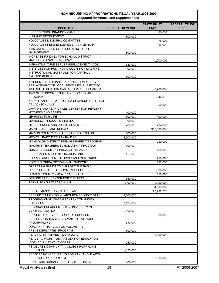| <b>ISSUE TITLE</b>                                              | <b>GENERAL REVENUE</b> | <b>STATE TRUST</b><br><b>FUNDS</b> | <b>FEDERAL TRUST</b><br><b>FUNDS</b> |
|-----------------------------------------------------------------|------------------------|------------------------------------|--------------------------------------|
| <b>HILLSBOROUGH BRANDON CAMPUS</b>                              |                        | 450,000                            |                                      |
| <b>HISPANIC RECRUITMENT</b>                                     | 500,000                |                                    |                                      |
| HOLOCAUST MEMORIAL COMMITTEE                                    |                        | 75,000                             |                                      |
| HOLOCAUST REFERENCE/RESEARCH LIBRARY                            |                        | 300,000                            |                                      |
| <b>IFAS CATTLE FEED EFFICIENCY/ NUTRIENT</b>                    |                        |                                    |                                      |
| MANAGEMENT                                                      | 300,000                |                                    |                                      |
| INCREASE FUNDING FOR SCHOOL DISTRICT                            |                        |                                    |                                      |
| <b>MATCHING GRANTS PROGRAM</b>                                  |                        | 1.000.000                          |                                      |
| INFRASTRUCTURE SERVER REPLACEMENT - DOE                         | 180,000                |                                    |                                      |
| INSTITUTE FOR HUMAN AND COGNITION MACHINE                       | 990,000                |                                    |                                      |
| INSTRUCTIONAL MATERIALS FOR PARTIALLY                           |                        |                                    |                                      |
| SIGHTED PUPILS                                                  | 100,000                |                                    |                                      |
| INTEREST FREE LOAN FUNDS FOR TEMPORARY                          |                        |                                    |                                      |
| REPLACEMENT OF LOCAL REVENUES SUBJECT TO                        |                        |                                    |                                      |
| TAX ROLL LITIGATION-SANTA ROSA AND ESCAMBIA                     |                        | 3,200,000                          |                                      |
| JUVENILES INCOMPETENT TO PROCEED (JITP)                         |                        |                                    |                                      |
| <b>PROGRAM</b>                                                  |                        | 244,315                            |                                      |
| KARATE AND KIDS AT FLORIDA COMMUNITY COLLEGE                    |                        |                                    |                                      |
| AT JACKSONVILLE                                                 |                        | 50,000                             |                                      |
| LAWTON AND REAH CHILES CENTER FOR HEALTHY<br>MOTHERS AND BABIES | 400,000                |                                    |                                      |
| <b>LEARNING FOR LIFE</b>                                        | 100,000                | 400,000                            |                                      |
| LEARNING THROUGH LISTENING                                      |                        |                                    |                                      |
| LIFE SCIENCES AND PUBLIC HEALTH - FIU                           | 500,000                |                                    |                                      |
| MAINTENANCE AND REPAIR                                          | 705,915                | 794,085                            |                                      |
|                                                                 |                        | 302,000,000                        |                                      |
| MARION COUNTY RESEARCH AND EXTENSION                            | 500,000                |                                    |                                      |
| MEDICAL PARTNERSHIP - FAU/UM                                    | 5,000,000              |                                    |                                      |
| MIAMI-DADE DISTRICT TEENAGE PARENT PROGRAM                      |                        | 250,000                            |                                      |
| MINORITY TEACHERS SCHOLARSHIP PROGRAM                           | 700,000                |                                    |                                      |
| MUSIC ASSESSMENT PROJECT - GRADE 4                              |                        | 100,000                            |                                      |
| NEED-BASED STUDENT FINANCIAL AID                                | 117,375                |                                    |                                      |
| NORRIS LANGSTON TUTORING AND MENTORING                          |                        | 250,000                            |                                      |
| NORTH FLORIDA OPERATIONAL SUPPORT                               |                        | 125,000                            |                                      |
| OPERATING FUNDS TO SUPPORT THE BASIC                            |                        |                                    |                                      |
| OPERATIONS OF THE COMMUNITY COLLEGES                            |                        | 1,500,000                          |                                      |
| ORANGE COUNTY YMCA PROJECT FYT                                  |                        | 350,000                            |                                      |
| ORANGE PARK CENTER FOR THE ARTS                                 | 350,000                |                                    |                                      |
| PARKINSON'S RESEARCH - UF                                       | 1,000,000              | 1,000,000                          |                                      |
| ED                                                              |                        | 4,000,000                          |                                      |
| PERFORMANCE PAY - STAR PLAN                                     |                        | 16.982.778                         |                                      |
| PREPAID TUITION SCHOLARSHIPS- PROJECT STARS                     | 2,000,000              |                                    |                                      |
| PROGRAM CHALLENGE GRANTS - COMMUNITY                            |                        |                                    |                                      |
| <b>COLLEGES</b>                                                 | 39,137,887             |                                    |                                      |
| PROGRAM ENHANCEMENTS - UNIVERSITY OF                            |                        |                                    |                                      |
| <b>CENTRAL FLORIDA</b>                                          | 1,000,000              |                                    |                                      |
| PROJECT TO ADVANCE SCHOOL SUCCESS                               |                        | 500,000                            |                                      |
| PUBLIC BROADCASTING GRANTS/ STATEWIDE<br>PROGRAMMING            |                        |                                    |                                      |
| <b>QUALITY INITIATIVES FOR VOLUNTARY</b>                        | 472,952                |                                    |                                      |
| PREKINDERGARTEN PROGRAM                                         | 500,000                |                                    |                                      |
| READING INITIATIVES - WORKLOAD                                  |                        | 8,500,000                          |                                      |
| READY TO WORK - DEPARTMENT OF EDUCATION                         |                        |                                    |                                      |
| (DOE) ADMINISTATIVE COSTS                                       | 250,000                |                                    |                                      |
| REIMBURSE COMMUNITY COLLEGE HURRICANE                           |                        |                                    |                                      |
| <b>DEDUCTIBLE</b>                                               | 1,325,000              |                                    |                                      |
| RESTORE NONRECURRING FOR PANHANDLE AREA                         |                        |                                    |                                      |
| EDUCATION CONSORTIUM                                            |                        | 1,000,000                          |                                      |
| RURAL AND URBAN TECHNOLOGY INITIATIVE                           | 300,000                |                                    |                                      |
| <b>Fiscal Analysis in Brief</b>                                 | 19                     |                                    | FY 2006-2007                         |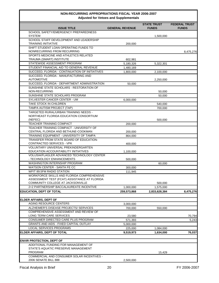| Adjusted for veloes and supplementals                                                      |                        |                                    |                                      |  |  |
|--------------------------------------------------------------------------------------------|------------------------|------------------------------------|--------------------------------------|--|--|
| <b>ISSUE TITLE</b>                                                                         | <b>GENERAL REVENUE</b> | <b>STATE TRUST</b><br><b>FUNDS</b> | <b>FEDERAL TRUST</b><br><b>FUNDS</b> |  |  |
| SCHOOL SAFETY/EMERGENCY PREPAREDNESS                                                       |                        |                                    |                                      |  |  |
| <b>SYSTEM</b><br>SCHOOL STAFF DEVELOPMENT AND LEADERSHIP                                   |                        | 1,500,000                          |                                      |  |  |
| <b>TRAINING INITIATIVE</b>                                                                 | 200,000                |                                    |                                      |  |  |
| SHIFT STUDENT LOAN OPERATING FUNDS TO                                                      |                        |                                    |                                      |  |  |
| NONRECURRING FROM RECURRING                                                                |                        |                                    | 8,475,276                            |  |  |
| SPORTS MEDICINE AND ATHLETICS RELATED                                                      |                        |                                    |                                      |  |  |
| TRAUMA (SMART) INSTITUTE                                                                   | 602,981                |                                    |                                      |  |  |
| STATEWIDE ASSESSMENT PROGRAM<br>STUDENT FINANCIAL AID TO GENERAL REVENUE                   | 5,180,326              | 5,322,301                          |                                      |  |  |
| SUCCEED, FLORIDA - CONTINUATION OF INITIATIVES                                             | 1,480,169<br>1,800,000 | 2,100,000                          |                                      |  |  |
| SUCCEED, FLORIDA - MANUFACTURING AND                                                       |                        |                                    |                                      |  |  |
| <b>AUTOMOTIVE</b>                                                                          |                        | 2,250,000                          |                                      |  |  |
| SUCCEED, FLORIDA - DEPARTMENT ADMINISTRATION                                               | 50,000                 |                                    |                                      |  |  |
| SUNSHINE STATE SCHOLARS - RESTORATION OF                                                   |                        |                                    |                                      |  |  |
| NON-RECURRING                                                                              |                        | 50,000                             |                                      |  |  |
| SUNSHINE STATE SCHOLARS PROGRAM                                                            |                        | 50,000                             |                                      |  |  |
| SYLVESTER CANCER CENTER - UM<br>TAKE STOCK IN CHILDREN                                     | 6,000,000              |                                    |                                      |  |  |
| TAMPA AUTISM PROJECT (TAP)                                                                 |                        | 540,000<br>700,000                 |                                      |  |  |
| TARGETED RURAL/URBAN TRAINING NEEDS -                                                      |                        |                                    |                                      |  |  |
| NORTHEAST FLORIDA EDUCATION CONSORTIUM                                                     |                        |                                    |                                      |  |  |
| (NEFEC)                                                                                    |                        | 500,000                            |                                      |  |  |
| TEACHER TRAINING COMPACT                                                                   | 200,000                |                                    |                                      |  |  |
| TEACHER TRAINING COMPACT - UNIVERSITY OF                                                   |                        |                                    |                                      |  |  |
| CENTRAL FLORIDA AND BETHUNE-COOKMAN                                                        | 200,000                |                                    |                                      |  |  |
| TRAINING EQUIPMENT - UNIVERSITY OF TAMPA                                                   | 864,000                |                                    |                                      |  |  |
| TRANSFER FROM STATE BOARD OF EDUCATION-<br>CONTRACTED SERVICES - VPK                       | 400,000                |                                    |                                      |  |  |
| VOLUNTARY UNIVERSAL PREKINDERGARTEN                                                        |                        |                                    |                                      |  |  |
| EDUCATION ACCOUNTABILITY INITIATIVES                                                       | 1,100,000              |                                    |                                      |  |  |
| VOLUSIA/FLAGLER ADVANCED TECHNOLOGY CENTER                                                 |                        |                                    |                                      |  |  |
| - TECHNOLOGY ENHANCEMENTS                                                                  | 500,000                |                                    |                                      |  |  |
| WASHINGTON INTERNSHIP PROGRAM                                                              |                        | 60,000                             |                                      |  |  |
| WATSON CENTER - SANTA FE CC                                                                | 300,000                |                                    |                                      |  |  |
| WFIT 89.5FM RADIO STATION                                                                  | 111,945                |                                    |                                      |  |  |
| WORKFORCE SKILLS AND FLORIDA COMPREHENSIVE<br>ASSESSMENT TEST (FCAT) ASSISTANCE AT FLORIDA |                        |                                    |                                      |  |  |
| COMMUNITY COLLEGE AT JACKSONVILLE                                                          |                        | 500,000                            |                                      |  |  |
| 2+2 PARTNERSHIP BACCALAUREATE INCENTIVE                                                    | 1,000,000              | 1,575,000                          |                                      |  |  |
| <b>EDUCATION, DEPT OF TOTAL</b>                                                            | 259,573,868            | 2,833,628,384                      | 8,475,276                            |  |  |
|                                                                                            |                        |                                    |                                      |  |  |
| <b>ELDER AFFAIRS, DEPT OF</b>                                                              |                        |                                    |                                      |  |  |
| <b>AGING RESOURCE CENTERS</b>                                                              | 3,000,000              |                                    |                                      |  |  |
| ALZHEIMER'S DISEASE PROJECTS/ SERVICES                                                     | 700,000                | 550,000                            |                                      |  |  |
| COMPREHENSIVE ASSESSMENT AND REVIEW OF                                                     |                        |                                    |                                      |  |  |
| LONG TERM CARE SERVICES<br>CONSUMER DIRECTED CARE PLUS PROGRAM                             | 23,580                 |                                    | 70,794                               |  |  |
| <b>GRANTS AND AIDS - FIXED CAPITAL OUTLAY</b>                                              | 571,393                |                                    | 5,243                                |  |  |
| LOCAL SERVICES PROGRAMS                                                                    | 5,000,000<br>225,000   | 1,084,000                          |                                      |  |  |
| ELDER AFFAIRS, DEPT OF TOTAL                                                               | 9,519,973              | 1,634,000                          | 76,037                               |  |  |
|                                                                                            |                        |                                    |                                      |  |  |
| <b>ENVIR PROTECTION, DEPT OF</b>                                                           |                        |                                    |                                      |  |  |
| ADDITIONAL FUNDING FOR MANAGEMENT OF                                                       |                        |                                    |                                      |  |  |
| STATE'S AQUATIC PRESERVE MANAGEMENT                                                        |                        |                                    |                                      |  |  |
| PROGRAM                                                                                    |                        | 15,429                             |                                      |  |  |
| COMMERCIAL AND CONSUMER SOLAR INCENTIVES -<br>2006 SENATE BILL 888                         | 2,500,000              |                                    |                                      |  |  |
|                                                                                            |                        |                                    |                                      |  |  |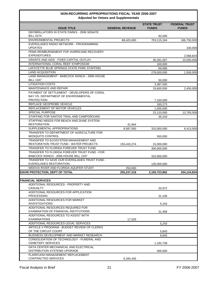| Adjusted for vetoes and Supplementals                                                                   |                        |                                    |                                      |  |
|---------------------------------------------------------------------------------------------------------|------------------------|------------------------------------|--------------------------------------|--|
| <b>ISSUE TITLE</b>                                                                                      | <b>GENERAL REVENUE</b> | <b>STATE TRUST</b><br><b>FUNDS</b> | <b>FEDERAL TRUST</b><br><b>FUNDS</b> |  |
| DEFIBRILLATORS IN STATE PARKS - 2006 SENATE                                                             |                        |                                    |                                      |  |
| <b>BILL 0274</b>                                                                                        |                        | 92,000                             |                                      |  |
| <b>ENVIRONMENTAL PROJECTS</b>                                                                           | 88,425,000             | 703,115,164                        | 166,750,000                          |  |
| EVERGLADES RADIO NETWORK - PROGRAMMING<br><b>UPDATES</b>                                                |                        |                                    | 100,000                              |  |
| FEMA REIMBURSEMENT FOF HURRICANE RECOVERY<br><b>EXPENDITURES</b>                                        |                        |                                    | 2,568,824                            |  |
| <b>GRANTS AND AIDS - FIXED CAPITAL OUTLAY</b>                                                           |                        | 30,281,567                         | 10,550,000                           |  |
| INTERNATIONAL CORAL REEF SYMPOSIUM                                                                      |                        | 100,000                            |                                      |  |
| LAFAYETTE BLUE SPRINGS STATE PARK STAFFING                                                              |                        | 66,686                             |                                      |  |
| <b>LAND ACQUISITION</b>                                                                                 |                        | 278,000,000                        | 1,500,000                            |  |
| LAND MANAGEMENT - BABCOCK RANCH - 2006 HOUSE<br><b>BILL 1347</b>                                        |                        | 50,000                             |                                      |  |
| <b>LITIGATION COSTS</b>                                                                                 |                        | 3,387,500                          |                                      |  |
| <b>MAINTENANCE AND REPAIR</b>                                                                           |                        | 33,600,000                         | 2,450,000                            |  |
| PAYMENT OF SETTLEMENT - DEVELOPERS OF CORAL<br>BAY VS. DEPARTMENT OF ENVIRONMENTAL<br><b>PROTECTION</b> |                        | 7,150,000                          |                                      |  |
| REPLACE GEOPROBE VEHICLE                                                                                |                        | 160,273                            |                                      |  |
| REPLACEMENT OF MOTOR VEHICLES                                                                           |                        | 1,000,000                          |                                      |  |
| <b>SPECIAL PURPOSE</b>                                                                                  |                        | 23,120,000                         | 13,793,000                           |  |
| STAFFING FOR SANTOS TRAIL AND CAMPGROUND                                                                |                        |                                    |                                      |  |
| STAFFING NEEDS FOR BEACH AND DUNE SYSTEM                                                                |                        | 35,243                             |                                      |  |
| RESTORATION                                                                                             | 41,944                 |                                    |                                      |  |
| SUPPLEMENTAL APPROPRIATIONS                                                                             | 8,587,000              | 310,000,000                        | 6,413,000                            |  |
| TRANSFER TO DEPARTMENT OF AGRICULTURE FOR                                                               |                        |                                    |                                      |  |
| <b>MOSQUITO CONTROL</b>                                                                                 |                        | 550,000                            |                                      |  |
| TRANSFER TO ECOSYSTEM MANAGEMENT AND<br>RESTORATION TRUST FUND - WATER PROJECTS                         | 155,433,274            |                                    |                                      |  |
| TRANSFER TO FLORIDA FOREVER TRUST FUND                                                                  |                        | 15,000,000<br>300,000,000          |                                      |  |
| TRANSFER TO FLORIDA FOREVER TRUST FUND - FOR                                                            |                        |                                    |                                      |  |
| BABCOCK RANCH - 2006 HOUSE BILL 1347                                                                    |                        | 310,000,000                        |                                      |  |
| TRANSFER TO SAVE OUR EVERGLADES TRUST FUND -<br><b>EVERGLADES RESTORATION</b>                           |                        |                                    |                                      |  |
| WEKIVA RIVER AND FLORIDA AQUIFER STUDY                                                                  |                        | 135,000,000                        |                                      |  |
|                                                                                                         | 250,000                |                                    |                                      |  |
| <b>ENVIR PROTECTION, DEPT OF TOTAL</b>                                                                  | 255,237,218            | 2,150,723,862                      | 204,124,824                          |  |
| <b>FINANCIAL SERVICES</b>                                                                               |                        |                                    |                                      |  |
| ADDITIONAL RESOURCES - PROPERTY AND                                                                     |                        |                                    |                                      |  |
| CASUALTY<br>ADDITIONAL RESOURCES FOR APPLICATION                                                        |                        | 20,972                             |                                      |  |
| <b>PROCESSING</b>                                                                                       |                        | 31,106                             |                                      |  |
| ADDITIONAL RESOURCES FOR MARKET<br><b>INVESTIGATIONS</b>                                                |                        | 5,243                              |                                      |  |
| ADDITIONAL RESOURCES REQUIRED FOR<br>EXAMINATION OF FINANCIAL INSTITUTIONS                              |                        | 31,458                             |                                      |  |
| ADDITIONAL RESOURCES TO ASSIST WITH                                                                     |                        |                                    |                                      |  |
| <b>EXAMINATIONS</b>                                                                                     | 17,529                 |                                    |                                      |  |
| ADDITIONAL RESOURCES-LEGAL SERVICES                                                                     |                        | 5,243                              |                                      |  |
| ARTICLE V PROGRAM - BUDGET REVIEW OF CLERKS<br>OF THE CIRCUIT COURT                                     |                        | 5,843                              |                                      |  |
| BUSINESS DEVELOPMENT AND MARKET RESEARCH                                                                |                        | 6,843                              |                                      |  |
| CONSOLIDATION OF TECHNOLOGY - FUNERAL AND                                                               |                        |                                    |                                      |  |
| <b>CEMETERY SERVICES</b>                                                                                |                        | 1,192,738                          |                                      |  |
| DATA CENTER MECHANICAL AND ELECTRICAL                                                                   |                        |                                    |                                      |  |
| DISTRIBUTION SYSTEMS UPGRADE                                                                            |                        | 400,000                            |                                      |  |
| FLAIR/CASH MANAGEMENT REPLACEMENT<br>CONTRACTED SERVICES                                                | 6,345,435              |                                    |                                      |  |
|                                                                                                         |                        |                                    |                                      |  |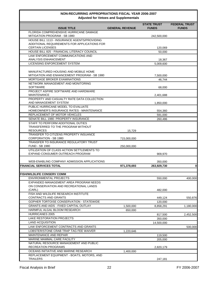| <b>ISSUE TITLE</b>                                                | <b>GENERAL REVENUE</b> | <b>STATE TRUST</b><br><b>FUNDS</b> | <b>FEDERAL TRUST</b><br><b>FUNDS</b> |  |
|-------------------------------------------------------------------|------------------------|------------------------------------|--------------------------------------|--|
| FLORIDA COMPREHENSIVE HURRICANE DAMAGE                            |                        |                                    |                                      |  |
| <b>MITIGATION PROGRAM - SB 1980</b>                               |                        | 242,500,000                        |                                      |  |
| HOUSE BILL 1113 - INSURANCE AGENTS/PROVIDING                      |                        |                                    |                                      |  |
| ADDITIONAL REQUIREMENTS FOR APPLICATIONS FOR                      |                        |                                    |                                      |  |
| <b>CERTAIN LICENSES</b>                                           |                        | 120,069                            |                                      |  |
| HOUSE BILL 825 - FINANCIAL LITERACY COUNCIL                       |                        | 50,000                             |                                      |  |
| LAW ENFORCEMENT COMMUNICATIONS AND<br><b>ANALYSIS ENHANCEMENT</b> |                        | 18,367                             |                                      |  |
| LICENSING ENFORCEMENT SYSTEM                                      |                        | 5,009,600                          |                                      |  |
|                                                                   |                        |                                    |                                      |  |
| MANUFACTURED HOUSING AND MOBILE HOME                              |                        |                                    |                                      |  |
| MITIGATION AND ENHANCEMENT PROGRAM - SB 1980                      |                        | 7,500,000                          |                                      |  |
| MORTGAGE BROKER EXAMINATIONS                                      |                        | 46,744                             |                                      |  |
| NETWORK MANAGEMENT AND MONITORING                                 |                        |                                    |                                      |  |
| SOFTWARE                                                          |                        | 68,000                             |                                      |  |
| PROJECT ASPIRE SOFTWARE AND HARDWARE                              |                        |                                    |                                      |  |
| <b>MAINTENANCE</b><br>PROPERTY AND CASUALTY RATE DATA COLLECTION  |                        | 2,401,688                          |                                      |  |
| AND MANAGEMENT SYSTEM                                             |                        | 1,850,000                          |                                      |  |
| PUBLIC HURRICANE MODEL TO EVALUATE                                |                        |                                    |                                      |  |
| HOMEOWNER'S INSURANCE RATES - MAINTENANCE                         |                        | 554,360                            |                                      |  |
| REPLACEMENT OF MOTOR VEHICLES                                     |                        | 591,000                            |                                      |  |
| SENATE BILL 1980- PROPERTY INSURANCE                              |                        | 260,486                            |                                      |  |
| STAFF TO PERFORM ADDITIONAL DUTIES                                |                        |                                    |                                      |  |
| TRANSFERRED TO THE PROGRAM WITHOUT                                |                        |                                    |                                      |  |
| <b>RESOURCES</b>                                                  | 15,729                 |                                    |                                      |  |
| TRANSFER TO CITIZENS PROPERTY INSUANCE                            |                        |                                    |                                      |  |
| CORPORATION - SB 1980                                             | 715,000,000            |                                    |                                      |  |
| TRANSFER TO INSURANCE REGULATORY TRUST<br><b>FUND - SB 1980</b>   | 250,000,000            |                                    |                                      |  |
| UTILIZATION OF CLASS ACTION SETTLEMENTS TO                        |                        |                                    |                                      |  |
| EXPAND CONSUMER OUTREACH PROGRAM                                  |                        | 909,970                            |                                      |  |
|                                                                   |                        |                                    |                                      |  |
| WEB-ENABLING COMPANY ADMISSION APPLICATIONS                       |                        | 350,000                            |                                      |  |
| <b>FINANCIAL SERVICES TOTAL</b>                                   | 971,378,693            | 263,929,730                        | $\mathbf{0}$                         |  |
|                                                                   |                        |                                    |                                      |  |
| <b>FISH/WILDLIFE CONSERV COMM</b>                                 |                        |                                    |                                      |  |
| <b>ENVIRONMENTAL PROJECTS</b>                                     |                        | 550,000                            | 400,000                              |  |
| EXPANDED MANAGEMENT AREA PROGRAM NEEDS                            |                        |                                    |                                      |  |
| ON CONSERVATION AND RECREATIONAL LANDS<br>(CARL)                  |                        | 482,000                            |                                      |  |
| FISH AND WILDLIFE RESEARCH INSTITUTE                              |                        |                                    |                                      |  |
| CONTRACTS AND GRANTS                                              |                        | 449,124                            | 550,876                              |  |
| GOPHER TORTOISE CONSERVATION - STATEWIDE                          |                        | 120,000                            |                                      |  |
| GRANTS AND AIDS - FIXED CAPITAL OUTLAY                            | 1,500,000              | 8,858,291                          | 1,180,000                            |  |
| HARMFUL ALGAL BLOOM RESEARCH                                      | 650,000                |                                    |                                      |  |
| <b>HURRICANES 2005</b>                                            |                        | 817,500                            | 2,452,500                            |  |
| <b>LAKE RESTORATION PROJECTS</b>                                  |                        | 350,000                            |                                      |  |
| <b>LAND ACQUISITION</b>                                           |                        | 14,500,000                         |                                      |  |
| LAW ENFORCEMENT CONTRACTS AND GRANTS                              |                        |                                    | 500,000                              |  |
| LOBSTER/STONE CRAB TRAP TAG FEE WAIVER                            | 1,220,646              |                                    |                                      |  |
| MAINTENANCE AND REPAIR                                            |                        | 119,500                            |                                      |  |
| MARINE MAMMAL CARE FACILITY                                       |                        | 205,000                            |                                      |  |
| NATURAL RESOURCE MANAGEMENT AND PUBLIC                            |                        |                                    |                                      |  |
| RECREATION PROGRAMS                                               |                        | 2,820,179                          |                                      |  |
| OCEANS INITIATIVE AND MARINE RESEARCH                             | 1,400,000              |                                    |                                      |  |
| REPLACEMENT EQUIPMENT - BOATS, MOTORS, AND                        |                        |                                    |                                      |  |
| <b>TRAILERS</b>                                                   |                        | 247,181                            |                                      |  |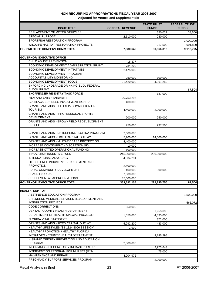| Adjusted for veloes and Supplementals                                  |                        |                                    |                                      |  |
|------------------------------------------------------------------------|------------------------|------------------------------------|--------------------------------------|--|
| <b>ISSUE TITLE</b>                                                     | <b>GENERAL REVENUE</b> | <b>STATE TRUST</b><br><b>FUNDS</b> | <b>FEDERAL TRUST</b><br><b>FUNDS</b> |  |
| REPLACEMENT OF MOTOR VEHICLES                                          |                        | 550,037                            | 38,500                               |  |
| SPECIAL PURPOSE                                                        | 2,610,000              | 280,000                            |                                      |  |
| SPORTFISH RESTORATION PROGRAM                                          |                        |                                    | 3,000,000                            |  |
| WILDLIFE HABITAT RESTORATION PROJECTS                                  |                        | 217,500                            | 991,899                              |  |
| FISH/WILDLIFE CONSERV COMM TOTAL                                       | 7,380,646              | 30,566,312                         | 9,113,775                            |  |
|                                                                        |                        |                                    |                                      |  |
| <b>GOVERNOR, EXECUTIVE OFFICE</b>                                      |                        |                                    |                                      |  |
| CHILD ABUSE PREVENTION                                                 | 15,377                 |                                    |                                      |  |
| ECONOMIC DEVELOPMENT ADMINISTRATION GRANT                              | 784,200                |                                    |                                      |  |
| ECONOMIC DEVELOPMENT INITIATIVES                                       | 2,475,000              |                                    |                                      |  |
| ECONOMIC DEVELOPMENT PROGRAM                                           |                        |                                    |                                      |  |
| ACCOUNTABILITY MONITORING                                              | 250,000                | 300,000                            |                                      |  |
| ECONOMIC DEVELOPMENT TOOLS                                             | 21,420,000             | 4,961,250                          |                                      |  |
| ENFORCING UNDERAGE DRINKING-EUDL FEDERAL<br><b>BLOCK GRANT</b>         |                        |                                    | 87,504                               |  |
| EXOFFENDER RE-ENTRY TASK FORCE                                         |                        | 187,000                            |                                      |  |
| FILM AND ENTERTAINMENT                                                 | 20,753,296             |                                    |                                      |  |
| <b>G/A BLACK BUSINESS INVESTMENT BOARD</b>                             | 400,000                |                                    |                                      |  |
| <b>GRANTS AND AIDS - FLORIDA COMMISSION ON</b>                         |                        |                                    |                                      |  |
| <b>TOURISM</b>                                                         | 4,400,000              | 2,000,000                          |                                      |  |
| <b>GRANTS AND AIDS - PROFESSIONAL SPORTS</b>                           |                        |                                    |                                      |  |
| <b>DEVELOPMENT</b>                                                     | 200.000                | 250,000                            |                                      |  |
| <b>GRANTS AND AIDS - BROWNFIELD REDEVELOPMENT</b>                      |                        |                                    |                                      |  |
| <b>PROJECT</b>                                                         | 950,000                | 237,500                            |                                      |  |
|                                                                        |                        |                                    |                                      |  |
| <b>GRANTS AND AIDS - ENTERPRISE FLORIDA PROGRAM</b>                    | 7,600,000              |                                    |                                      |  |
| <b>GRANTS AND AIDS - FIXED CAPITAL OUTLAY</b>                          | 5,700,000              | 14,000,000                         |                                      |  |
| GRANTS AND AIDS - MILITARY BASE PROTECTION                             | 4,400,000              |                                    |                                      |  |
| INCREASE CONTINGENT - DISCRETIONARY                                    | 10,000                 |                                    |                                      |  |
| INCREASE OTTED OPERATIONAL FUNDING                                     | 100,000                |                                    |                                      |  |
| <b>INNOVATION INCENTIVE FUND</b>                                       | 245,000,000            | 200,000,000                        |                                      |  |
| <b>INTERNATIONAL ADVOCACY</b>                                          | 4,334,231              |                                    |                                      |  |
| LIFE SCIENCE INDUSTRY ENHANCEMENT AND<br><b>PROMOTION</b>              |                        |                                    |                                      |  |
| RURAL COMMUNITY DEVELOPMENT                                            | 2,500,000              |                                    |                                      |  |
| <b>SPACE FLORIDA</b>                                                   | 400.000                | 900,000                            |                                      |  |
|                                                                        | 7,000,000              |                                    |                                      |  |
| SUPPLEMENTAL APPROPRIATIONS<br><b>GOVERNOR, EXECUTIVE OFFICE TOTAL</b> | 35,000,000             |                                    |                                      |  |
|                                                                        | 363,692,104            | 222,835,750                        | 87,504                               |  |
| <b>HEALTH, DEPT OF</b>                                                 |                        |                                    |                                      |  |
| ABSTINENCE EDUCATION PROGRAM                                           |                        |                                    | 1,500,000                            |  |
| CHILDRENS MEDICAL SERVICES DEVELOPMENT AND                             |                        |                                    |                                      |  |
| <b>INTEGRATION PROJECT</b>                                             |                        |                                    | 565,072                              |  |
| <b>CODE CORRECTIONS</b>                                                | 550,000                |                                    |                                      |  |
| DENTAL - COUNTY HEALTH DEPARTMENT                                      |                        | 1,953,695                          |                                      |  |
| DEPARTMENT OF HEALTH SPECIAL PROJECTS                                  | 1,050,000              | 4,335,000                          |                                      |  |
| <b>FLORIDA VITAL STATISTICS</b>                                        |                        | 372,000                            |                                      |  |
| <b>GRANTS AND AIDS - FIXED CAPITAL OUTLAY</b>                          | 5,292,200              | 483,000                            |                                      |  |
| HEALTHY LIFESTYLES (SB 1324-2006 SESSION)                              | 1,900                  |                                    |                                      |  |
| HEALTHY PROMOTION / HEALTHY FLORIDA                                    |                        |                                    |                                      |  |
| INITIATIVES - COUNTY HEALTH DEPARTMENT                                 |                        | 4,145,295                          |                                      |  |
| HISPANIC OBESITY PREVENTION AND EDUCATION                              |                        |                                    |                                      |  |
| <b>PROGRAM</b>                                                         | 2,500,000              |                                    |                                      |  |
| INFORMATION TECHNOLOGY INFRASTRUCTURE                                  |                        | 2,973,643                          |                                      |  |
| INTERVENTION PROGRAM FOR NURSES (IPN)                                  |                        | 75,000                             |                                      |  |
| MAINTENANCE AND REPAIR                                                 | 4,204,972              |                                    |                                      |  |
| PREGNANCY SUPPORT SERVICES PROGRAM                                     |                        | 2,000,000                          |                                      |  |
|                                                                        |                        |                                    |                                      |  |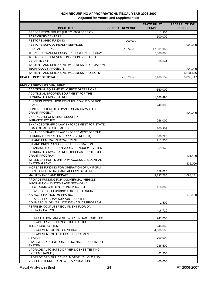|                                                                                         | Adjusted for vetoes and Supplementals |                                    |                                      |
|-----------------------------------------------------------------------------------------|---------------------------------------|------------------------------------|--------------------------------------|
| <b>ISSUE TITLE</b>                                                                      | <b>GENERAL REVENUE</b>                | <b>STATE TRUST</b><br><b>FUNDS</b> | <b>FEDERAL TRUST</b><br><b>FUNDS</b> |
| PRESCRIPTION DRUGS (HB 371-2006 SESSION)                                                |                                       | 1,900                              |                                      |
| <b>RAPE CRISIS CENTERS</b>                                                              |                                       | 600,000                            |                                      |
| <b>RESTORE AHEC FUNDING</b>                                                             | 700.000                               |                                    |                                      |
| RESTORE SCHOOL HEALTH SERVICES                                                          |                                       |                                    | 1,000,000                            |
| <b>SPECIAL PURPOSE</b>                                                                  | 7,374,500                             | 17,001,960                         |                                      |
| TOBACCO AWARENESS/USE REDUCTION PROGRAM                                                 |                                       | 2,600,000                          |                                      |
| TOBACCO USE PREVENTION - COUNTY HEALTH                                                  |                                       |                                    |                                      |
| <b>DEPARTMENT</b>                                                                       |                                       | 566,644                            |                                      |
| WOMEN'S AND CHILDREN'S WELLNESS INFORMATION<br><b>TECHNOLOGY PROJECTS</b>               |                                       |                                    | 200,000                              |
| WOMEN'S AND CHILDREN'S WELLNESS PROJECTS                                                |                                       |                                    | 6,634,675                            |
| <b>HEALTH, DEPT OF TOTAL</b>                                                            | 21,673,572                            | 37,108,137                         | 9,899,747                            |
| <b>HIWAY SAFETY/MTR VEH, DEPT</b>                                                       |                                       |                                    |                                      |
| ADDITIONAL EQUIPMENT - OFFICE OPERATIONS                                                |                                       | 360,000                            |                                      |
| ADDITIONAL TROOPER EQUIPMENT FOR THE                                                    |                                       |                                    |                                      |
| <b>FLORIDA HIGHWAY PATROL</b>                                                           |                                       | 1,566,496                          |                                      |
| BUILDING RENTAL FOR PRIVATELY OWNED OFFICE                                              |                                       |                                    |                                      |
| <b>SPACE</b>                                                                            |                                       | 240,000                            |                                      |
| CONTINUE BIOMETRIC IMAGE SCAN CAPABILITY<br><b>GRANT PROJECT</b>                        |                                       |                                    | 200,000                              |
| <b>ENHANCE INFORMATION SECURITY</b><br><b>INFRASTRUCTURE</b>                            |                                       |                                    |                                      |
| ENHANCED TRAFFIC LAW ENFORCEMENT FOR STATE                                              |                                       | 266,000                            |                                      |
| ROAD 93 - ALLIGATOR ALLEY                                                               |                                       | 700,308                            |                                      |
| ENHANCED TRAFFIC LAW ENFORCEMENT FOR THE                                                |                                       |                                    |                                      |
| FLORIDA TURNPIKE ENTERPRISE (TROOP K)                                                   |                                       | 500,220                            |                                      |
| EXPAND CENTRALIZED CALL CENTER                                                          |                                       | 711,556                            |                                      |
| EXPAND DRIVER AND VEHICLE INFORMATION<br>DATABASE TO SUPPORT JUDICIAL INQUIRY SYSTEM    |                                       | 59,945                             |                                      |
| FLORIDA HIGHWAY PATROL OCCUPANT PROTECTION<br><b>GRANT PROGRAM</b>                      |                                       |                                    | 121,400                              |
| <b>IMPLEMENT PORTS UNIFORM ACCESS CREDENTIAL</b><br><b>SYSTEM GRANT</b>                 |                                       |                                    | 335,000                              |
| INCREASE FUNDING FOR OPERATION OF UNIFORM                                               |                                       |                                    |                                      |
| PORTS CREDENTIAL CARD ACCESS SYSTEM                                                     |                                       | 559,625                            |                                      |
| MAINTENANCE AND REPAIR                                                                  |                                       | 3,737,750                          | 1,084,181                            |
| PROVIDE FUNDING FOR COMMERCIAL VEHICLE                                                  |                                       |                                    |                                      |
| <b>INFORMATION SYSTEMS AND NETWORKS</b>                                                 |                                       |                                    |                                      |
| ELECTRONIC CREDENTIALING PROJECT                                                        |                                       | 110,000                            |                                      |
| PROVIDE GRANT FUNDING FOR THE FLORIDA<br>HIGHWAY PATROL I-95 PROJECT                    |                                       |                                    |                                      |
| PROVIDE PROGRAM SUPPORT FOR THE                                                         |                                       |                                    | 178,480                              |
| COMMERCIAL DRIVER LICENSE HAZMAT PROGRAM                                                |                                       | 1,500                              |                                      |
| REFRESH COMPUTER EQUIPMENT FLORIDA                                                      |                                       |                                    |                                      |
| <b>HIGHWAY PATROL</b>                                                                   |                                       | 416,710                            |                                      |
| REFRESH LOCAL AREA NETWORK INFRASTRUCTURE                                               |                                       | 247,000                            |                                      |
| REPLACE DRIVER LICENSE FIELD OFFICE                                                     |                                       |                                    |                                      |
| <b>TELEPHONE SYSTEMS</b>                                                                |                                       | 248,862                            |                                      |
| REPLACEMENT OF MOTOR VEHICLES                                                           |                                       | 4,388,500                          |                                      |
| REPLACEMENT OF TRAFFIC ENFORCEMENT<br><b>AIRCRAFT</b>                                   |                                       |                                    |                                      |
| STATEWIDE ONLINE DRIVER LICENSE APPOINTMENT                                             |                                       | 700,000                            |                                      |
| <b>SYSTEM</b>                                                                           |                                       | 236,500                            |                                      |
| UPGRADE AUTOMATED DRIVER LICENSE TESTING                                                |                                       |                                    |                                      |
| SYSTEMS (ADLTS)                                                                         |                                       | 463,200                            |                                      |
| UPGRADE DRIVER LICENSE, MOTOR VEHICLE AND<br><b>VESSEL INTERNET RENEWAL APPLICATION</b> |                                       | 400,000                            |                                      |
|                                                                                         |                                       |                                    |                                      |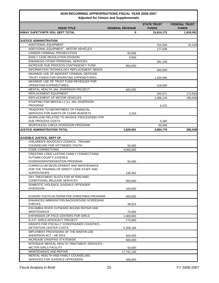|                                                                                   | Adjusted for veloes and supplementals |                                    |                                      |
|-----------------------------------------------------------------------------------|---------------------------------------|------------------------------------|--------------------------------------|
| <b>ISSUE TITLE</b>                                                                | <b>GENERAL REVENUE</b>                | <b>STATE TRUST</b><br><b>FUNDS</b> | <b>FEDERAL TRUST</b><br><b>FUNDS</b> |
| HIWAY SAFETY/MTR VEH, DEPT TOTAL                                                  | 0                                     | 15,914,172                         | 1,919,061                            |
|                                                                                   |                                       |                                    |                                      |
| <b>JUSTICE ADMINISTRATION</b>                                                     |                                       |                                    |                                      |
| <b>ADDITIONAL EQUIPMENT</b>                                                       |                                       | 215,040                            | 31,104                               |
| ADDITIONAL EQUIPMENT - MOTOR VEHICLES                                             |                                       | 177,036                            |                                      |
| CAREER CRIMINAL PROSECUTION                                                       | 60.608                                |                                    |                                      |
| EARLY CASE RESOLUTION DIVISION                                                    | 4,840                                 |                                    |                                      |
| ENHANCED OTHER PERSONAL SERVICES                                                  |                                       | 281,100                            |                                      |
| INCREASE DUE PROCESS CONTINGENCY FUND<br>INFORMATION TECHNOLOGY REPLACEMENT NEEDS | 950,000                               |                                    |                                      |
| MAXIMIZE USE OF INDIGENT CRIMINAL DEFENSE                                         |                                       | 340,000                            |                                      |
| TRUST FUNDS FOR OPERATING EXPENDITURES                                            |                                       | 1,250,565                          |                                      |
| MAXIMIZE USE OF TRUST FUND REVENUES FOR                                           |                                       |                                    |                                      |
| OPERATING EXPENDITURES                                                            |                                       | 218,500                            |                                      |
| MENTAL HEALTH JAIL DIVERSION PROJECT                                              | 600,000                               |                                    |                                      |
| REPLACEMENT EQUIPMENT                                                             |                                       | 254,571                            | 173,934                              |
| REPLACEMENT OF MOTOR VEHICLES                                                     |                                       | 1,066,134                          | 180,000                              |
| STAFFING FOR MENTALLY ILL JAIL DIVERSION                                          |                                       |                                    |                                      |
| <b>PROGRAM</b>                                                                    |                                       | 6,432                              |                                      |
| TRANSFER TO DEPARTMENT OF FINANCIAL                                               |                                       |                                    |                                      |
| SERVICES FOR AUDITS OF CLERK BUDGETS                                              | 5,243                                 |                                    |                                      |
| WORKLOAD RELATED TO INVOICE PROCESSING FOR                                        |                                       |                                    |                                      |
| DUE PROCESS COSTS                                                                 |                                       | 5,392                              |                                      |
| WORTHLESS CHECK DIVERSION PROGRAM                                                 |                                       | 50,000                             |                                      |
| <b>JUSTICE ADMINISTRATION TOTAL</b>                                               | 1,620,691                             | 3,864,770                          | 385,038                              |
|                                                                                   |                                       |                                    |                                      |
| <b>JUVENILE JUSTICE, DEPT OF</b>                                                  |                                       |                                    |                                      |
| CHILDREN'S ADVOCACY COUNCIL-TRAUMA<br>COUNSELING FOR VICTIMIZED YOUTH             |                                       |                                    |                                      |
| <b>CODE CORRECTIONS</b>                                                           | 50,000<br>3,060,000                   |                                    |                                      |
| CREATING LONG LASTING FAMILY CONNECTIONS-                                         |                                       |                                    |                                      |
| PUTNAM COUNTY JUVENILE                                                            |                                       |                                    |                                      |
| DIVERSION/INTERVENTION PROGRAM                                                    | 50,000                                |                                    |                                      |
| CURRICULUM DEVELOPMENT AND MAINTENANCE                                            |                                       |                                    |                                      |
| FOR THE TRAINING OF DIRECT CARE STAFF AND                                         |                                       |                                    |                                      |
| <b>SUPERVISORS</b>                                                                | 140,402                               |                                    |                                      |
| DAY TREATMENT SLOTS FOR AFTERCARE/                                                |                                       |                                    |                                      |
| CONDITIONAL RELEASE SERVICES                                                      | 500.000                               |                                    |                                      |
| DOMESTIC VIOLENCE JUVENILE OFFENDER                                               |                                       |                                    |                                      |
| <b>DIVERSION</b>                                                                  | 100,000                               |                                    |                                      |
| ECKERD YOUTH ALTERNATIVE CHRISTMAS PROGRAM                                        | 500,000                               |                                    |                                      |
| ENHANCED IMMIGRATION BACKGROUND SCREENING                                         |                                       |                                    |                                      |
| <b>CHECKS</b>                                                                     | 48,915                                |                                    |                                      |
| ESCAMBIA RIVER OUTWARD BOUND REPAIR AND                                           |                                       |                                    |                                      |
| <b>MAINTENANCE</b>                                                                | 75,000                                |                                    |                                      |
| <b>EXPANSION OF PACE CENTERS FOR GIRLS</b>                                        | 1,400,000                             |                                    |                                      |
| G.A.P. GIRLS ADVOCACY PROJECT                                                     | 775,000                               |                                    |                                      |
| <b>GRANTS FOR FISCALLY CONSTRAINED COUNTIES -</b>                                 |                                       |                                    |                                      |
| DETENTION CENTER COSTS                                                            | 5,306,166                             |                                    |                                      |
| <b>IMPLEMENT PROVISIONS OF THE MARTIN LEE</b>                                     |                                       |                                    |                                      |
| ANDERSON ACT - HB 5019                                                            | 500,000                               |                                    |                                      |
| <b>INCREASE CINS/FINS STATEWIDE</b>                                               | 500,000                               |                                    |                                      |
| INTENSIVE MENTAL HEALTH TREATMENT SERVICES -                                      |                                       |                                    |                                      |
| <b>MILTON GIRLS FACILITY</b>                                                      | 50,000                                |                                    |                                      |
| MAINTENANCE AND REPAIR                                                            | 17,741,140                            |                                    |                                      |
| MENTAL HEALTH AND FAMILY COUNSELING                                               |                                       |                                    |                                      |
| SERVICES FOR JUVENILE OFFENDERS                                                   | 268,000                               |                                    |                                      |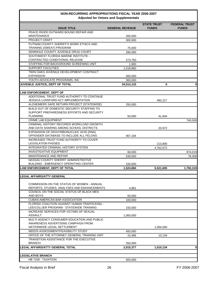| <b>ISSUE TITLE</b>                                                                | <b>GENERAL REVENUE</b> | <b>STATE TRUST</b><br><b>FUNDS</b> | <b>FEDERAL TRUST</b><br><b>FUNDS</b> |
|-----------------------------------------------------------------------------------|------------------------|------------------------------------|--------------------------------------|
| PEACE RIVER OUTWARD BOUND REPAIR AND                                              |                        |                                    |                                      |
| <b>MAINTENANCE</b>                                                                | 200,000                |                                    |                                      |
| <b>PROJECT CRAFT</b>                                                              | 300.000                |                                    |                                      |
| PUTNAM COUNTY SHERIFF'S WORK ETHICS AND                                           |                        |                                    |                                      |
| TRAINING (SWEAT) PROGRAM<br>SEMINOLE COUNTY JUVENILE DRUG COURT                   | 75,000<br>280,000      |                                    |                                      |
| SOUTHWEST FLORIDA MARINE INSTITUTE -                                              |                        |                                    |                                      |
| CONTRACTED CONDITIONAL RELEASE                                                    | 273,750                |                                    |                                      |
| STAFFING FOR BACKGROUND SCREENING UNIT                                            | 1,900                  |                                    |                                      |
| <b>SUPPORT FACILITIES</b>                                                         | 1,518,860              |                                    |                                      |
| TWIN OAKS JUVENILE DEVELOPMENT CONTRACT                                           |                        |                                    |                                      |
| <b>EXPANSION</b>                                                                  | 500,000                |                                    |                                      |
| YOUTH ADVOCATE PROGRAMS, INC                                                      | 300,000                |                                    |                                      |
| JUVENILE JUSTICE, DEPT OF TOTAL                                                   | 34,514,133             | $\bf{0}$                           | 0                                    |
|                                                                                   |                        |                                    |                                      |
| <b>LAW ENFORCEMENT, DEPT OF</b>                                                   |                        |                                    |                                      |
| ADDITIONAL TRUST FUND AUTHORITY TO CONTINUE                                       |                        |                                    |                                      |
| JESSICA LUNSFORD ACT IMPLEMENTATION                                               |                        | 482,217                            |                                      |
| ALZHEIMERS SAFE RETURN PROJECT (STATEWIDE)                                        | 250,000                |                                    |                                      |
| BUILD OUT OF DOMESTIC SECURITY STAFFING TO                                        |                        |                                    |                                      |
| SUPPORT PREPAREDNESS EFFORTS AND SECURITY<br><b>PLANNING</b>                      | 50,000                 | 41,944                             |                                      |
| <b>CRIME LAB EQUIPMENT</b>                                                        |                        |                                    |                                      |
| CRIMINAL HISTORY RECORDS WORKLOAD GROWTH                                          |                        |                                    | 740,000                              |
| AND DATA SHARING AMONG SCHOOL DISTRICTS                                           |                        | 20,972                             |                                      |
| EXPANSION OF DIOXYRIBONUCLEIC ACID (DNA)                                          |                        |                                    |                                      |
| OFFENDER DATABASE TO INCLUDE ALL FELONS                                           | 467,184                |                                    |                                      |
| INCREASED TRUST FUND AUTHORITY TO COVER                                           |                        |                                    |                                      |
| <b>LEGISLATION PASSED</b>                                                         |                        | 213,800                            |                                      |
| INTEGRATED CRIMINAL HISTORY SYSTEM                                                |                        | 4,762,672                          |                                      |
| <b>INVESTIGATIVE EQUIPMENT</b>                                                    | 68,000                 |                                    | 974,019                              |
| MAINTENANCE AND REPAIR                                                            | 539,500                |                                    | 78,300                               |
| NASSAU COUNTY SHERIFF ADMINISTRATIVE                                              |                        |                                    |                                      |
| <b>BUILDING - EMERGENCY OPERATING CENTER</b>                                      | 150,000                |                                    |                                      |
| LAW ENFORCEMENT, DEPT OF TOTAL                                                    | 1.524.684              | 5,521,605                          | 1,792,319                            |
| <b>LEGAL AFFAIRS/ATTY GENERAL</b>                                                 |                        |                                    |                                      |
|                                                                                   |                        |                                    |                                      |
| COMMISSION ON THE STATUS OF WOMEN - ANNUAL                                        |                        |                                    |                                      |
| REPORTS, STUDIES, ANALYSES AND ENHANCEMENTS                                       | 4,891                  |                                    |                                      |
| COUNCIL ON THE SOCIAL STATUS OF BLACK MEN                                         |                        |                                    |                                      |
| AND BOYS                                                                          | 50.000                 |                                    |                                      |
| <b>CUBAN-AMERICAN BAR ASSOCIATION</b>                                             | 100,000                |                                    |                                      |
| FLORIDA COALITION AGAINST HUMAN TRAFFICKING -                                     |                        |                                    |                                      |
| LEE/COLLIER PROGRAM - STATEWIDE TRAINING                                          | 150,000                |                                    |                                      |
| INCREASE SERVICES FOR VICTIMS OF SEXUAL                                           |                        |                                    |                                      |
| ASSAULT                                                                           | 1,000,000              |                                    |                                      |
| MULTI-AGENCY CONSUMER EDUCATION AND PUBLIC<br>AWARENESS ADVERTISING CAMPAIGN FROM |                        |                                    |                                      |
| NATIONWIDE LEGAL SETTLEMENT                                                       |                        | 1,000,000                          |                                      |
| NEEDS ASSESSMENT/FEASIBILITY STUDY                                                | 450,000                |                                    |                                      |
| OFFICE OF THE ATTORNEY GENERAL TRAINING UNIT                                      | 10,486                 | 10,134                             |                                      |
| <b>TRANSITION ASSISTANCE FOR THE EXECUTIVE</b>                                    |                        |                                    |                                      |
| <b>BRANCH</b>                                                                     | 250,000                |                                    |                                      |
| LEGAL AFFAIRS/ATTY GENERAL TOTAL                                                  | 2,015,377              | 1,010,134                          | $\mathbf 0$                          |
|                                                                                   |                        |                                    |                                      |
| <b>LEGISLATIVE BRANCH</b>                                                         |                        |                                    |                                      |
| HB 7109 - TAXATION                                                                | 500,000                |                                    |                                      |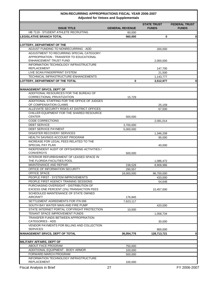# **NON-RECURRING APPROPRIATIONS FISCAL YEAR 2006-2007**

|                                                                                           | <b>Adjusted for Vetoes and Supplementals</b> |                                    |                                      |
|-------------------------------------------------------------------------------------------|----------------------------------------------|------------------------------------|--------------------------------------|
| <b>ISSUE TITLE</b>                                                                        | <b>GENERAL REVENUE</b>                       | <b>STATE TRUST</b><br><b>FUNDS</b> | <b>FEDERAL TRUST</b><br><b>FUNDS</b> |
| HB 7119 - STUDENT ATHLETE RECRUITING                                                      | 60,000                                       |                                    |                                      |
| LEGISLATIVE BRANCH TOTAL                                                                  | 560,000                                      | 0                                  |                                      |
| LOTTERY, DEPARTMENT OF THE                                                                |                                              |                                    |                                      |
| ADJUST FUNDING TO NONRECURRING - ADD                                                      |                                              | 200,000                            |                                      |
| ADJUSTMENT TO RECURRING SPECIAL CATEGORY                                                  |                                              |                                    |                                      |
| APPROPRIATION - TRANSFER TO EDUCATIONAL                                                   |                                              |                                    |                                      |
| <b>ENHANCEMENT TRUST FUND</b>                                                             |                                              | 2,000,000                          |                                      |
| INFORMATION TECHNOLOGY INFRASTRUCTURE                                                     |                                              |                                    |                                      |
| <b>REPLACEMENT</b>                                                                        |                                              | 147,700                            |                                      |
| LIVE SCAN FINGERPRINT SYSTEM                                                              |                                              | 21,500                             |                                      |
| TECHNICAL INFRASTRUCTURE ENHANCEMENTS                                                     |                                              | 1,143,777                          |                                      |
| LOTTERY, DEPARTMENT OF THE TOTAL                                                          | 0                                            | 3,512,977                          |                                      |
|                                                                                           |                                              |                                    |                                      |
| <b>MANAGEMENT SRVCS, DEPT OF</b>                                                          |                                              |                                    |                                      |
| ADDITIONAL RESOURCES FOR THE BUREAU OF                                                    |                                              |                                    |                                      |
| CORRECTIONAL PRIVATIZATION                                                                | 15.729                                       |                                    |                                      |
| ADDITIONAL STAFFING FOR THE OFFICE OF JUDGES                                              |                                              |                                    |                                      |
| OF COMPENSATION CLAIMS                                                                    |                                              | 25,159                             |                                      |
| ALLEVIATE SECURITY RISKS AT DISTRICT OFFICES<br>CHILLER EQUIPMENT FOR THE SHARED RESOURCE |                                              | 67,500                             |                                      |
| <b>CENTER</b>                                                                             | 500,000                                      |                                    |                                      |
| <b>CODE CORRECTIONS</b>                                                                   |                                              | 2,091,014                          |                                      |
| <b>DEBT SERVICE</b>                                                                       |                                              |                                    |                                      |
| <b>DEBT SERVICE PAYMENT</b>                                                               | 3,700,000                                    |                                    |                                      |
| <b>DISASTER RECOVERY SERVICES</b>                                                         | 5,000,000                                    |                                    |                                      |
| HEALTH SAVINGS ACCOUNT PROGRAM                                                            |                                              | 1,346,208                          |                                      |
| INCREASE FOR LEGAL FEES RELATED TO THE                                                    |                                              | 95,000                             |                                      |
| <b>SPECIAL PAY PLAN</b>                                                                   |                                              | 40,000                             |                                      |
| INDEPENDENT AUDIT OF OFFSHORING ACTIVITIES /                                              |                                              |                                    |                                      |
| <b>CONVERGYS</b>                                                                          | 500,000                                      |                                    |                                      |
| INTERIOR REFURBISHMENT OF LEASED SPACE IN                                                 |                                              |                                    |                                      |
| THE FLORIDA FACILITIES POOL                                                               |                                              | 1,086,472                          |                                      |
| MAINTENANCE AND REPAIR                                                                    | 238.528                                      | 8,908,986                          |                                      |
| OFFICE OF INFORMATION SECURITY                                                            | 290,557                                      |                                    |                                      |
| OFFICE SPACE                                                                              | 18,000,000                                   | 96,700,000                         |                                      |
| PEOPLE FIRST - SYSTEM IMPROVEMENTS                                                        |                                              | 433,000                            |                                      |
| PEOPLE FIRST AGENCY TRAINING SESSIONS                                                     |                                              | 54,648                             |                                      |
| PURCHASING OVERSIGHT - DISTRIBUTION OF                                                    |                                              |                                    |                                      |
| EXCESS ONE PERCENT (1%) TRANSACTION FEES                                                  |                                              | 15,457,000                         |                                      |
| SCHEDULED MAINTENANCE OF STATE OWNED                                                      |                                              |                                    |                                      |
| <b>AIRCRAFT</b>                                                                           | 176,845                                      |                                    |                                      |
| SETTLEMENT AGREEMENTS FOR ITN 006                                                         | 7,623,117                                    |                                    |                                      |
| SOUTH BAY WATER MAIN AND FIRE PUMP                                                        |                                              | 420,000                            |                                      |
| STATE INTERNET PORTAL COPYRIGHT PROTECTION                                                | 10,000                                       |                                    |                                      |
| TENANT SPACE IMPROVEMENT FUNDS                                                            |                                              | 1,058,734                          |                                      |
| TRANSFER FUNDS BETWEEN APPROPRIATION                                                      |                                              |                                    |                                      |
| <b>CATEGORIES - ADD</b>                                                                   |                                              | 30,000                             |                                      |
| VENDOR PAYMENTS FOR BILLING AND COLLECTION                                                |                                              |                                    |                                      |
| <b>SERVICES</b>                                                                           |                                              | 900,000                            |                                      |
| <b>MANAGEMENT SRVCS, DEPT OF TOTAL</b>                                                    | 36,054,776                                   | 128,713,721                        |                                      |
|                                                                                           |                                              |                                    |                                      |
| MILITARY AFFAIRS, DEPT OF                                                                 |                                              |                                    |                                      |
| ABOUT FACE PROGRAM                                                                        | 750,000                                      |                                    |                                      |
| ADDITIONAL EQUIPMENT - BODY ARMOR                                                         | 100,000                                      |                                    |                                      |
| FORWARD MARCH PROGRAM                                                                     | 500,000                                      |                                    |                                      |
| INFORMATION TECHNOLOGY INFRASTRUCTURE                                                     |                                              |                                    |                                      |
| <b>REPLACEMENT</b>                                                                        | 100,000                                      |                                    |                                      |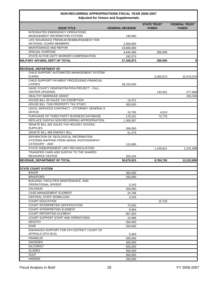| <b>ISSUE TITLE</b>                                                               | <b>GENERAL REVENUE</b> | <b>STATE TRUST</b><br><b>FUNDS</b> | <b>FEDERAL TRUST</b><br><b>FUNDS</b> |
|----------------------------------------------------------------------------------|------------------------|------------------------------------|--------------------------------------|
| <b>INTEGRATED EMERGENCY OPERATIONS</b><br><b>MANAGEMENT INFORMATION SYSTEM</b>   | 140,000                |                                    |                                      |
| LIFE INSURANCE PREMIUM REIMBURSEMENT FOR                                         |                        |                                    |                                      |
| NATIONAL GUARD MEMBERS                                                           | 2,300,000              |                                    |                                      |
| MAINTENANCE AND REPAIR                                                           | 18,600,000             |                                    |                                      |
| <b>SPECIAL PURPOSE</b>                                                           | 4,644,300              | 300,000                            |                                      |
| STATE ACTIVE DUTY WORKER COMPENSATION                                            | 192,573                |                                    |                                      |
| <b>MILITARY AFFAIRS, DEPT OF TOTAL</b>                                           | 27,326,873             | 300,000                            | $\mathbf 0$                          |
| <b>REVENUE, DEPARTMENT OF</b>                                                    |                        |                                    |                                      |
| CHILD SUPPORT AUTOMATED MANAGEMENT SYSTEM<br>(CAMS)                              |                        | 5,393,673                          | 10,470,070                           |
| CHILD SUPPORT PAYMENT PROCESSING FINANCIAL<br>LOSSES                             | 28,153,926             |                                    |                                      |
| DADE COUNTY DEMONSTRATION PROJECT - CALL<br><b>CENTER UPGRADE</b>                |                        | 143,051                            | 277,689                              |
| <b>HEALTHY MARRIAGE GRANT</b>                                                    |                        |                                    | 333,333                              |
| <b>HOUSE BILL 69 SALES TAX EXEMPTION</b>                                         | 19,372                 |                                    |                                      |
| <b>HOUSE BILL 7109 PROPERTY TAX STUDY</b>                                        | 300,000                |                                    |                                      |
| LEGAL SERVICES CONTRACT - ATTORNEY GENERAL'S                                     |                        |                                    |                                      |
| <b>OFFICE</b>                                                                    | 10,765                 | 4,613                              |                                      |
| PURCHASE OF THIRD PARTY BUSINESS DATABASE                                        | 176,222                | 73,778                             |                                      |
| REPLACE SUNTAX NON RECURRING APPROPRIATION                                       | 1.308.097              |                                    |                                      |
| SENATE BILL 692 SALES TAX HOLIDAY SCHOOL                                         |                        |                                    |                                      |
| <b>SUPPLIES</b>                                                                  | 206,000                |                                    |                                      |
| SENATE BILL 888 ENERGY BILL                                                      | 61,379                 |                                    |                                      |
| SEPARATION OF GEOLOGICAL INFORMATION<br>SYSTEMS MAPPING FROM AERIAL PHOTOGRAPHY  |                        |                                    |                                      |
| CATEGORY - ADD                                                                   | 115,000                |                                    |                                      |
| STATE DISBURSEMENT UNIT RECONCILIATION<br>TRANSFER CAMS AND SUNTAX TO THE SHARED |                        | 1,149,611                          | 2,231,598                            |
| <b>RESOURCE CENTER</b>                                                           | 320,154                |                                    |                                      |
| <b>REVENUE, DEPARTMENT OF TOTAL</b>                                              | 30,670,915             | 6,764,726                          | 13,312,690                           |
|                                                                                  |                        |                                    |                                      |
| <b>STATE COURT SYSTEM</b>                                                        |                        |                                    |                                      |
| <b>BAKER</b>                                                                     | 300,000                |                                    |                                      |
| <b>BRADFORD</b>                                                                  | 250.000                |                                    |                                      |
| BUILDING, FACILITIES MAINTENANCE, AND                                            |                        |                                    |                                      |
| OPERATIONAL UPKEEP                                                               | 5,243                  |                                    |                                      |
| <b>CALHOUN</b>                                                                   | 200,000                |                                    |                                      |
| <b>CASE MANAGEMENT ELEMENT</b>                                                   | 24,706                 |                                    |                                      |
| <b>CENTRAL STAFF WORKLOAD</b>                                                    | 5,243                  |                                    |                                      |
| <b>COURT EDUCATION</b>                                                           |                        | 15,729                             |                                      |
| <b>COURT INTERPRETER CERTIFICATION</b>                                           | 75,000                 |                                    |                                      |
| <b>COURT INTERPRETING ELEMENT</b>                                                | 8,984                  |                                    |                                      |
| <b>COURT REPORTING ELEMENT</b>                                                   | 957,920                |                                    |                                      |
| COURT SUPPORT STAFF AND OPERATIONS                                               | 10,486                 |                                    |                                      |
| <b>DESOTO</b>                                                                    | 350,000                |                                    |                                      |
| <b>DIXIE</b>                                                                     | 200,000                |                                    |                                      |
| ENHANCED SUPPORT FOR 5TH DISTRICT COURT OF<br>APPEALS (5TH DCA)                  | 5,443                  |                                    |                                      |
| <b>FRANKLIN</b>                                                                  | 200,000                |                                    |                                      |
| <b>GADSDEN</b>                                                                   | 400,000                |                                    |                                      |
| <b>GILCHRIST</b>                                                                 | 500,000                |                                    |                                      |
| <b>GLADES</b>                                                                    | 550,000                |                                    |                                      |
| <b>GULF</b>                                                                      | 300,000                |                                    |                                      |
| HARDEE                                                                           | 200,000                |                                    |                                      |
|                                                                                  |                        |                                    |                                      |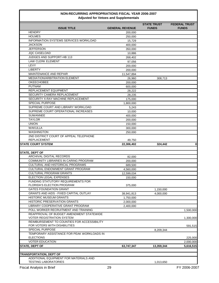| <b>ISSUE TITLE</b>                            | <b>GENERAL REVENUE</b> | <b>STATE TRUST</b><br><b>FUNDS</b> | <b>FEDERAL TRUST</b><br><b>FUNDS</b> |
|-----------------------------------------------|------------------------|------------------------------------|--------------------------------------|
| <b>HENDRY</b>                                 | 200,000                |                                    |                                      |
| <b>HOLMES</b>                                 | 250,000                |                                    |                                      |
| INFORMATION SYSTEMS SERVICES WORKLOAD         | 15,729                 |                                    |                                      |
| JACKSON                                       | 400,000                |                                    |                                      |
| JEFFERSON                                     | 350,000                |                                    |                                      |
| JQC CASELOAD                                  | 10,886                 |                                    |                                      |
| JUDGES AND SUPPORT-HB 113                     | 268,402                |                                    |                                      |
| <b>LAW CLERK ELEMENT</b>                      | 97,056                 |                                    |                                      |
| LEVY                                          | 200.000                |                                    |                                      |
| <b>LIBERTY</b>                                | 200,000                |                                    |                                      |
| MAINTENANCE AND REPAIR                        | 11,547,894             |                                    |                                      |
| MEDIATION/ARBITRATION ELEMENT                 | 26,960                 | 308,713                            |                                      |
| <b>OKEECHOBEE</b>                             | 200,000                |                                    |                                      |
| <b>PUTNAM</b>                                 | 600,000                |                                    |                                      |
| REPLACEMENT EQUIPMENT                         | 28,222                 |                                    |                                      |
| SECURITY CAMERA REPLACEMENT                   | 28.235                 |                                    |                                      |
| SECURITY X-RAY MACHINE REPLACEMENT            | 175,000                |                                    |                                      |
| <b>SPECIAL PURPOSE</b>                        | 1,800,000              |                                    |                                      |
| SUPREME COURT AND LIBRARY WORKLOAD            | 5,243                  |                                    |                                      |
| SUPREME COURT OPERATIONAL INCREASES           | 10,000                 |                                    |                                      |
| <b>SUWANNEE</b>                               | 400,000                |                                    |                                      |
| <b>TAYLOR</b>                                 | 200,000                |                                    |                                      |
| <b>UNION</b>                                  | 150,000                |                                    |                                      |
| WAKULLA                                       | 300,000                |                                    |                                      |
| <b>WASHINGTON</b>                             | 250,000                |                                    |                                      |
| 2ND DISTRICT COURT OF APPEAL TELEPHONE        |                        |                                    |                                      |
| <b>REPLACEMENT</b>                            | 49,750                 |                                    |                                      |
| <b>STATE COURT SYSTEM</b>                     | 22,306,402             | 324,442                            | $\mathbf{0}$                         |
|                                               |                        |                                    |                                      |
| STATE, DEPT OF                                |                        |                                    |                                      |
| ARCHIVAL DIGITAL RECORDS                      | 82,000                 |                                    |                                      |
| COMMUNITY LIBRARIES IN CARING PROGRAM         | 200,000                |                                    |                                      |
| CULTURAL AND HISTORICAL PROGRAMS              | 689,500                |                                    |                                      |
| CULTURAL ENDOWMENT GRANT PROGRAM              | 4,560,000              |                                    |                                      |
| <b>CULTURAL PROGRAM GRANTS</b>                | 12,599,034             |                                    |                                      |
| ELECTION LEGAL EXPENSES                       | 150,000                |                                    |                                      |
| FUNDING STATUTORY REQUIREMENTS FOR            |                        |                                    |                                      |
| <b>FLORIDA'S ELECTION PROGRAM</b>             | 375,000                |                                    |                                      |
| <b>GATES FOUNDATION GRANT</b>                 |                        | 1,150,000                          |                                      |
| <b>GRANTS AND AIDS - FIXED CAPITAL OUTLAY</b> | 38,941,813             | 4,000,000                          |                                      |
| <b>HISTORIC MUSEUM GRANTS</b>                 | 1,750,000              |                                    |                                      |
| <b>HISTORIC PRESERVATION GRANTS</b>           | 2,000,000              |                                    |                                      |
| LIBRARY COOPERATIVE GRANT PROGRAM             | 2,400,000              |                                    |                                      |
| POLL WORKER RECRUITMENT AND TRAINING          |                        |                                    | 1,500,000                            |
| REAPPROVAL OF BUDGET AMENDMENT STATEWIDE      |                        |                                    |                                      |
| <b>VOTER REGISTRATION SYSTEM</b>              |                        |                                    | 1,300,000                            |
| REIMBURSEMENT TO COUNTIES FOR ACCESSIBILITY   |                        |                                    |                                      |
| FOR VOTERS WITH DISABILITIES                  |                        |                                    | 591,515                              |
| <b>SPECIAL PURPOSE</b>                        |                        | 8,209,344                          |                                      |
| TEMPORARY ASSISTANCE FOR PEAK WORKLOADS IN    |                        |                                    |                                      |
| <b>ELECTIONS</b>                              |                        |                                    | 225,000                              |
| <b>VOTER EDUCATION</b>                        |                        |                                    | 2,000,000                            |
| <b>STATE, DEPT OF</b>                         | 63,747,347             | 13,359,344                         | 5,616,515                            |
|                                               |                        |                                    |                                      |
| <b>TRANSPORTATION, DEPT OF</b>                |                        |                                    |                                      |
| ADDITIONAL EQUIPMENT FOR MATERIALS AND        |                        |                                    |                                      |
| <b>TESTING LABORATORIES</b>                   |                        | 1,013,650                          |                                      |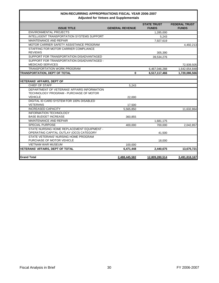|                                                                                       | Adjusted for veloes and supplementals |                                    |                                      |
|---------------------------------------------------------------------------------------|---------------------------------------|------------------------------------|--------------------------------------|
| <b>ISSUE TITLE</b>                                                                    | <b>GENERAL REVENUE</b>                | <b>STATE TRUST</b><br><b>FUNDS</b> | <b>FEDERAL TRUST</b><br><b>FUNDS</b> |
| <b>ENVIRONMENTAL PROJECTS</b>                                                         |                                       | 1,285,000                          |                                      |
| INTELLIGENT TRANSPORTATION SYSTEMS SUPPORT                                            |                                       | 5,243                              |                                      |
| MAINTENANCE AND REPAIR                                                                |                                       | 7,927,619                          |                                      |
| MOTOR CARRIER SAFETY ASSISTANCE PROGRAM                                               |                                       |                                    | 4,492,213                            |
| STAFFING FOR MOTOR CARRIER COMPLIANCE<br><b>REVIEWS</b>                               |                                       | 305,390                            |                                      |
| SUPPORT FOR TRANSPORTATION DISADVANTAGED                                              |                                       | 39,534,276                         |                                      |
| SUPPORT FOR TRANSPORTATION DISADVANTAGED -<br><b>MEDICAID SERVICES</b>                |                                       |                                    | 72,939,505                           |
| <b>TRANSPORTATION WORK PROGRAM</b>                                                    |                                       | 6,467,046,288                      | 1,642,654,848                        |
| <b>TRANSPORTATION, DEPT OF TOTAL</b>                                                  | $\bf{0}$                              | 6,517,117,466                      | 1,720,086,566                        |
| <b>VETERANS' AFFAIRS, DEPT OF</b>                                                     |                                       |                                    |                                      |
| <b>CHIEF OF STAFF</b>                                                                 | 5,243                                 |                                    |                                      |
| DEPARTMENT OF VETERANS' AFFAIRS INFORMATION<br>TECHNOLOGY PROGRAM - PURCHASE OF MOTOR |                                       |                                    |                                      |
| <b>VEHICLE</b>                                                                        | 22,000                                |                                    |                                      |
| DIGITAL ID CARD SYSTEM FOR 100% DISABLED<br><b>VETERANS</b>                           | 17,500                                |                                    |                                      |
| <b>INCREASED CAPACITY</b>                                                             | 5,565,850                             |                                    | 11,632,864                           |
| <b>INFORMATION TECHNOLOGY</b><br><b>BASE BUDGET INCREASE</b>                          | 360,855                               |                                    |                                      |
| <b>MAINTENANCE AND REPAIR</b>                                                         |                                       | 1,681,175                          |                                      |
| <b>SPECIAL PURPOSE</b>                                                                | 400,000                               | 700,000                            | 2,042,857                            |
| STATE NURSING HOME REPLACEMENT EQUIPMENT -<br>OPERATING CAPITAL OUTLAY (OCO) CATEGORY |                                       | 41,500                             |                                      |
| STATE VETERANS' NURSING HOME PROGRAM<br>PURCHASE OF MOTOR VEHICLE                     |                                       | 18,000                             |                                      |
| <b>VIETNAM WAR MUSEUM</b>                                                             | 100,000                               |                                    |                                      |
| <b>VETERANS' AFFAIRS, DEPT OF TOTAL</b>                                               | 6,471,448                             | 2,440,675                          | 13,675,721                           |
| <b>Grand Total</b>                                                                    | 2,488,445,582                         | 12,809,280,514                     | 3,491,818,167                        |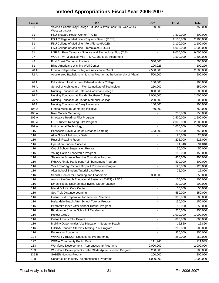| Line # | <b>Title</b>                                                                                                 | <b>GR</b>      | <b>Trust</b>           | <b>Total</b>           |
|--------|--------------------------------------------------------------------------------------------------------------|----------------|------------------------|------------------------|
| 30     | Valencia Community College - Jt-Use Clsrms/Labs/Stu Svcs w/UCF -                                             | 750,000        |                        | 750,000                |
| 31     | West part (spc)<br>FSU Thagard Health Center (P,C,E)                                                         |                |                        |                        |
| 31     | FSU College of Medicine - Daytona Beach (P,C,E)                                                              |                | 7,500,000<br>2,100,000 | 7,500,000<br>2,100,000 |
|        |                                                                                                              |                |                        |                        |
| 31     | FSU College of Medicine - Fort Pierce (P,C,E)                                                                |                | 2,100,000              | 2,100,000              |
| 31     | FSU College of Medicine - Immokalee (P,C,E)                                                                  | ÷              | 4,000,000              | 4,000,000              |
| 31     | USF St. Pete Campus - Science and Technology Bldg (C,E)<br>WJCT-TV/FM Jacksonville - HVAC and Mold Abatement |                | 9,000,000              | 9,000,000              |
| 37     |                                                                                                              |                | 1,500,000              | 1,500,000              |
| 43     | <b>First Coast Technical Institute</b>                                                                       | 500,000        |                        | 500,000                |
| 61     | <b>Blind Americans Wishing Well Center</b>                                                                   | 100,226        | $\blacksquare$         | 100,226                |
| 70 A   | Florida Independent Collegiate Assistance Grant                                                              | 2,500,000      | $\blacksquare$         | 2,500,000              |
| 72 A   | Accelerated Bachelors in Nursing Program at the University of Miami                                          | 500,000        |                        | 500,000                |
| 76 A   | Education Infrastructure - Edward Waters College                                                             | 100,000        | $\sim$                 | 100,000                |
| 76 A   | School of Architecture - Florida Institute of Technology                                                     | 250,000        | $\blacksquare$         | 250,000                |
| 76 A   | Nursing Education at Bethune-Cookman College                                                                 | 800,000        |                        | 800,000                |
| 76 A   | Nursing Education at Florida Southern College                                                                | 2,000,000      | $\blacksquare$         | 2,000,000              |
| 76 A   | Nursing Education at Florida Memorial College                                                                | 200,000        | $\blacksquare$         | 200,000                |
| 76 A   | Nursing Education at Barry University                                                                        | 100,000        | $\blacksquare$         | 100,000                |
| 105 A  | Florida Museum Mentoring Initiative                                                                          | 750,000        |                        | 750,000                |
| 105 A  | Role Models Mentoring                                                                                        |                | 250,000                | 250,000                |
| 106 A  | Innovative Reading Pilot Program                                                                             |                | 2,500,000              | 2,500,000              |
| 106 A  | LEP Student Reading Pilot Program                                                                            | ÷,             | 2,000,000              | 2,000,000              |
| 107 A  | Instructional Technology                                                                                     |                | 1,000,000              | 1,000,000              |
| 116    | Pensacola Naval Museum Distance Learning                                                                     | 463,000        | 287,000                | 750,000                |
| 116    | After School Tutoring - Dade                                                                                 |                | 25,000                 | 25,000                 |
| 116    | Russell Reading Room                                                                                         |                | 225,000                | 225,000                |
| 116    | <b>Operation Student Success</b>                                                                             |                | 94,840                 | 94,840                 |
| 116    | Out of School Suspension Program                                                                             |                | 50,000                 | 50,000                 |
| 116    | Young Haitian Leadership Program                                                                             |                | 150,000                | 150,000                |
| 116    | Statewide Science Teacher Education Program                                                                  |                | 400,000                | 400,000                |
| 116    | FHSAA Finals Participant Reimbursement Program                                                               |                | 500,000                | 500,000                |
| 116    | Yes I Can/High School Dropout Prevention Program                                                             | $\blacksquare$ | 120,000                | 120,000                |
| 116    | After School Student Tutorial Lab/Program                                                                    |                | 25,000                 | 25,000                 |
| 116    | Schultz Center for Teaching and Leadership                                                                   | 350,000        |                        | 350,000                |
| 116    | Automotive Youth Educational Systems (AYES) - FADA                                                           |                | 100,000                | 100,000                |
| 116    | Embry Riddle Engineering/Physics Career Launch                                                               |                | 200,000                | 200,000                |
| 116    | <b>Island Dolphin Care Center</b>                                                                            | $\blacksquare$ | 50,000                 | 50,000                 |
| 116    | Sea Trek Distance Learning                                                                                   | $\frac{1}{2}$  | 550,000                | 550,000                |
| 116    | Online Test Preparation for Teacher Retention                                                                |                | 300,000                | 300,000                |
| 116    | Hallandale Beach After School Tutorial Program                                                               | $\overline{a}$ | 150,000                | 150,000                |
| 116    | Pembroke Pines After School Tutorial Program                                                                 |                | 50,000                 | 50,000                 |
| 116    | Rio Grande Charter School of Excellence                                                                      | L.             | 250,000                | 250,000                |
| 116    | Project CHILD                                                                                                |                | 1,000,000              | 1,000,000              |
| 116    | Online Library Pilot Project                                                                                 |                | 800,000                | 800,000                |
| 116    | Mobility Opportunities Via Education - Neptune Beach                                                         |                | 16,820                 | 16,820                 |
| 116    | FHSAA Random Steroids Testing Pilot Program                                                                  | $\blacksquare$ | 200,000                | 200,000                |
| 116    | Endeavour Academy                                                                                            |                | 350,000                | 350,000                |
| 124    | WPPB-TV BECON Educational Programming                                                                        |                | 250,000                | 250,000                |
| 127    | <b>WDNA Community Public Radio</b>                                                                           | 111,945        | $\blacksquare$         | 111,945                |
| 133    | Workforce Development - Apprenticeship Programs                                                              | 2,000,000      | $\blacksquare$         | 2,000,000              |
| 133    | Workforce Development - Belle Glade Apprenticeship Program                                                   | 200,000        | $\blacksquare$         | 200,000                |
| 135 B  | <b>SABER Nursing Program</b>                                                                                 | 200,000        | $\blacksquare$         | 200,000                |
| 138    | Construction Industry- Apprenticeship Programs                                                               | 1,000,000      | $\blacksquare$         | 1,000,000              |
|        |                                                                                                              |                |                        |                        |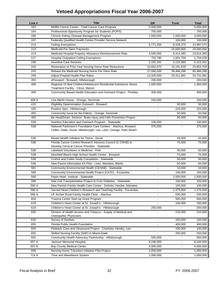| Line #           | <b>Title</b>                                                                                                                          | <b>GR</b>      | <b>Trust</b>   | <b>Total</b> |
|------------------|---------------------------------------------------------------------------------------------------------------------------------------|----------------|----------------|--------------|
| 163              | Moffitt Cancer Center - Total Cancer Care Program                                                                                     | 5,000,000      |                | 5,000,000    |
| 164              | Professional Opportunity Program for Students (POPS)                                                                                  | 750,000        |                | 750,000      |
| 196              | Chronic Kidney Disease Management Program                                                                                             | 1,500,000      | 1,500,000      | 3,000,000    |
| 197              | Federally Qualified Health Center Provider Service Network                                                                            |                | 100,000        | 100,000      |
| 213              | Ceiling Exemptions                                                                                                                    | 5,771,200      | 8,226,375      | 13,997,575   |
| 213              | Medicaid Per Diem Payments                                                                                                            |                | 20,000,000     | 20,000,000   |
| 213              | Medicaid Hospital Property Allowance Reimbursement Rate                                                                               | 4,500,000      | 6,414,383      | 10,914,383   |
| 217              | <b>Hospital Outpatient Ceiling Exemptions</b>                                                                                         | 702,780        | 1,001,759      | 1,704,539    |
| 238              | <b>Assistive Care Services</b>                                                                                                        | 2,191,181      | 3,122,060      | 5,313,241    |
| 243              | Restoration of Prior Year Nursing Home Rate Reductions                                                                                | 10,662,070     | 15,191,639     | 25,853,709   |
| 243              | Rebase the Medicaid Nursing Home Per Diem Rate                                                                                        | 27,000,000     | 38,486,296     | 65,486,296   |
| 249              | Adjust Prepaid Health Plan Rates                                                                                                      | 14,320,000     | 20,411,991     | 34,731,991   |
| 355              | ePassport - Broward, Hillsborough                                                                                                     | 200,000        |                | 200,000      |
| 406              | Regional 15 Bed Children/Adolescent Residential Substance Abuse<br>Treatment Facility - Citrus, Marion                                | 1,000,000      |                | 1,000,000    |
| 409              | Community Based Health Education and Outreach Project - Pinellas                                                                      | 400,000        |                | 400,000      |
| 409 A            | Lisa Merlin House - Orange, Seminole                                                                                                  | 150,000        |                | 150,000      |
| 415              | Eligibility Determination Outreach - Broward                                                                                          | $\blacksquare$ | 50,000         | 50,000       |
| 435              | Positive Spin - Hillsborough                                                                                                          |                | 225,000        | 225,000      |
| 483              | Community Issue for the Elderly - Orange, Seminole                                                                                    |                | 50,000         | 50,000       |
| 483              | Be HeadSmart, Seniors! Brain Injury and Falls Prevention Project -                                                                    |                | 50,000         | 50,000       |
| 538              | Nutrition Education and Outreach Program - Statewide                                                                                  | 100,000        | $\blacksquare$ | 100,000      |
| 538              | National Parkinson's Foundation Care Centers - Alachua, Broward,<br>Collier, Dade, Duval, Hillsborough, Lee, Leon, Orange, Palm Beach | 375,000        |                | 375,000      |
| 538              | Breast Health Initiative for Teens - Duval                                                                                            | $\blacksquare$ | 43,000         | 43,000       |
| 538              | Florida Cancer Control Research Advisory Council (C-CRAB) to<br>Develop Cervical Cancer Priorities - Statewide                        |                | 75,000         | 75,000       |
| 538              | Lakeland Volunteers in Medicine - Polk                                                                                                |                | 50,000         | 50,000       |
| 538              | Deerfield Beach High School Health Center - Broward                                                                                   |                | 75,000         | 75,000       |
| 538              | Crohns and Colitis Study Completion - Statewide                                                                                       |                | 50,000         | 50,000       |
| 538              | New Parent Information Kit Pilot - Leon, Manatee, Martin                                                                              |                | 50,000         | 50,000       |
| 581              | Community Environmental Health (CEHAB) - Statewide                                                                                    | $\blacksquare$ | 10,000         | 10,000       |
| 588              | Community Environmental Health Project (CATE) - Escambia                                                                              | $\blacksquare$ | 100,000        | 100,000      |
| 588              | Pepin Heart Institute - Statewide                                                                                                     |                | 2,500,000      | 2,500,000    |
| 588              | Islet Cell Transplantation Project to Cure Diabetes - Statewide                                                                       | $\blacksquare$ | 100,000        | 100,000      |
| 590 A            | New Parrish Family Health Care Center - DeSoto, Hardee, Manatee,                                                                      |                | 100,000        | 100,000      |
| 590 A            | Sacred Heart Children's Research and Teaching Facility - Escambia,                                                                    | $\blacksquare$ | 1,375,000      | 1,375,000    |
| 590 A            | UF Archer Rural Family Health Clinic - Alachua                                                                                        |                | 530,000        | 530,000      |
| 604              | Trauma Center Start-up Grant Program                                                                                                  |                | 500,000        | 500,000      |
| 619              | Children's Heart Center at St. Joseph's - Hillsborough                                                                                |                | 100,000        | 100,000      |
| 619              | Children's Heart Center at St. Joseph's - Hillsborough                                                                                | 250,000        |                | 250,000      |
| 635              | Division of Health Access and Tobacco - Supply of Medical and<br>Osteopathic Physicians                                               |                | 210,000        | 210,000      |
| 635              | <b>Survey of Dentists</b>                                                                                                             | $\blacksquare$ | 150,000        | 150,000      |
| 655              | Florida Public Health Foundation                                                                                                      | $\blacksquare$ | 400,000        | 400,000      |
| 655              | Pediatric Care and Ultrasound Project - Charlotte, Hendry, Lee                                                                        | $\blacksquare$ | 100,000        | 100,000      |
| 655              | Skilled Nursing Facility (SNF) in Miami-Dade                                                                                          |                | 250,000        | 250,000      |
| 655              | Community Health Advocacy Partnership - Hillsborough                                                                                  | 500,000        |                | 500,000      |
| 657 A            | Jackson Memorial Hospital                                                                                                             | 8,246,000      | $\blacksquare$ | 8,246,000    |
| 657 <sub>B</sub> | <b>Bay County Medical Center</b>                                                                                                      | 4,000,000      |                | 4,000,000    |
| 658              | Nursing Home Transition Initiative Pilot Project                                                                                      | 1,050,000      |                | 1,050,000    |
| 714 A            | Time and Attendance System                                                                                                            | 1,000,000      |                | 1,000,000    |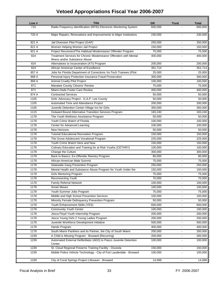| Line # | <b>Title</b>                                                         | <b>GR</b>           | <b>Trust</b>             | <b>Total</b> |
|--------|----------------------------------------------------------------------|---------------------|--------------------------|--------------|
| 715    | Radio Frequency Identification (RFID) Electronic Monitoring System   | 600,000             |                          | 600,000      |
|        |                                                                      |                     |                          |              |
| 720 A  | Major Repairs, Renovations and Improvements to Major Institutions    | 230,000             |                          | 230,000      |
| 821 A  | Jail Diversion Pilot Project (GAP)                                   | 250,000             |                          | 250,000      |
| 821 A  | Women Helping Women Jail Project                                     | 150,000             |                          | 150,000      |
| 821 A  | Project Reconnect/The Habitual Misdemeanor Offender Program          | 75,000              | $\overline{a}$           | 75,000       |
| 824    | Treatment Services for Chronic Misdemeanor Offenders with Mental     | 400,000             |                          | 400,000      |
|        | Illness and/or Substance Abuse                                       |                     |                          |              |
| 824    | Alternatives to Incarceration (ATI) Program                          | 200,000             |                          | 200,000      |
| 824    | African American Center of Excellence                                | 351,714             | $\blacksquare$           | 351,714      |
| 857 A  | Jobs for Florida Department of Corrections Vo-Tech Trainees (Pilot   | 25,000              |                          | 25,000       |
| 868 A  | Personal Injury Protection Insurance Fraud Prosecution               | 300,000             |                          | 300,000      |
| 869 A  | <b>Animal Cruelty Pilot Project</b>                                  | 100,000             |                          | 100,000      |
| 871    | Manatee County Citizens' Review                                      | 75,000              | $\overline{a}$           | 75,000       |
| 871    | Miami-Dade Foster Care Review                                        | 400,000             |                          | 400,000      |
| 874 A  | <b>Contracted Services</b>                                           | $\overline{50,000}$ |                          | 50,000       |
| 1105   | Girls' Advocacy Project - G.A.P. Lee County                          | 50,000              |                          | 50,000       |
| 1105   | Automated Time and Attendance Project                                | 200,000             | $\overline{a}$           | 200,000      |
| 1105   | Juvenile Detention Center-Village Inn for Girls                      | 350,000             | $\blacksquare$           | 350,000      |
| 1115   | Outward Bound Alternative Transition Services Program                | 183,240             |                          | 183,240      |
| 1178   | The Youth Wellness Assistance Program                                | 50.000              | $\sim$                   | 50,000       |
| 1178   | Youth Crime Watch of Florida                                         | 100,000             | $\blacksquare$           | 100,000      |
| 1178   | Center for Advanced Learning                                         | 100,000             | $\blacksquare$           | 100,000      |
| 1178   | <b>New Horizons</b>                                                  | 50,000              | $\overline{\phantom{a}}$ | 50,000       |
| 1178   | <b>Tutorial Educational Recreation Program</b>                       | 150,000             |                          | 150,000      |
| 1178   | The Grove Adolescent Vocational Program                              | 225,000             | $\overline{a}$           | 225,000      |
| 1178   | Youth Crime Watch Here and Now                                       | 150,000             | $\blacksquare$           | 150,000      |
| 1178   | Culinary Education and Training for at Risk Youths (CETARY)          | 100,000             |                          | 100,000      |
| 1178   | Change the Culture                                                   | 300,000             | $\blacksquare$           | 300,000      |
| 1178   | Back to Basics: Ex-Offender Reentry Program                          | 80,000              |                          | 80,000       |
| 1178   | African-American Male Summit                                         | 75,000              |                          | 75,000       |
| 1178   | Statewide Gang Prevention Program                                    | 250,000             |                          | 250,000      |
| 1178   | Mental Health and Substance Abuse Program for Youth Under the        | 150,000             |                          | 150,000      |
| 1178   | <b>Girls Mentoring Program</b>                                       | 75,000              |                          | 75,000       |
| 1178   | Reconnecting Youth                                                   | 70,000              |                          | 70,000       |
| 1178   | <b>Family Referral Network</b>                                       | 100,000             |                          | 100,000      |
| 1178   | <b>Smart Moves</b>                                                   | 100,000             | $\blacksquare$           | 100,000      |
| 1178   | Youth Summer Jobs Program                                            | 75,000              | $\blacksquare$           | 75,000       |
| 1178   | Middle and High School Prevention Services                           | 100,000             | $\blacksquare$           | 100,000      |
| 1178   | Minority Female Delinquency Prevention Program                       | 50,000              | $\blacksquare$           | 50,000       |
| 1178   | Youth Enhancement Skills (YES)                                       | 600,000             | L,                       | 600,000      |
| 1178   | <b>Community Youth Center</b>                                        | 100,000             | $\blacksquare$           | 100,000      |
| 1178   | Jesca Floyd Youth Internship Program                                 | 200,000             | $\Box$                   | 200,000      |
| 1178   | Jesca Young Girls 2 Young Ladies Program                             | 200,000             | $\blacksquare$           | 200,000      |
| 1178   | Juvenile Workforce Development Initiative                            | 500,000             |                          | 500,000      |
| 1178   | Hands Program                                                        | 400,000             |                          | 400,000      |
| 1178   | South Miami Panthers and its Partner, the City of South Miami        | 200,000             | $\blacksquare$           | 200,000      |
| 1239   | A Child is Missing Program - Broward (Recurring)                     | 200,000             |                          | 200,000      |
| 1239   | Automated External Defibrillator (AED) to Pasco Juvenile Detention   | 100,000             |                          | 100,000      |
|        | Center                                                               |                     |                          |              |
| 1239   | St. Cloud Regional Firearms Training Facility - Osceola              | 150,000             | $\blacksquare$           | 150,000      |
| 1239   | Mobile Police Vehicle Technology - City of Fort Lauderdale - Broward | 100,000             | $\mathbf{r}$             | 100,000      |
|        |                                                                      |                     |                          |              |
| 1239   | City of Coral Springs Project Lifesaver - Broward                    | 14,999              | $\blacksquare$           | 14,999       |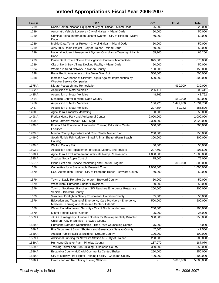| Line # | <b>Title</b>                                                                                                      | <b>GR</b>      | <b>Trust</b>   | <b>Total</b>        |
|--------|-------------------------------------------------------------------------------------------------------------------|----------------|----------------|---------------------|
| 1239   | Radio Communication Equipment City of Hialeah - Miami-Dade                                                        | 25,000         |                | 25,000              |
| 1239   | Automatic Vehicle Locators - City of Hialeah - Miami-Dade                                                         | 50,000         | $\blacksquare$ | 50,000              |
| 1239   | Criminal Signal Information Locator System - City of Hialeah - Miami-<br>Dade                                     | 50,000         |                | 50,000              |
| 1239   | Mobile Data Terminal Project - City of Hialeah - Miami-Dade                                                       | 50,000         |                | 50,000              |
| 1239   | XPS 5000 Radio Project - City of Hialeah - Miami-Dade                                                             | 50,000         | $\blacksquare$ | 50,000              |
| 1239   | National Incident Management System Compliance Training - Miami-<br>Dade                                          | 65,200         |                | 65,200              |
| 1239   | Police Dept. Crime Scene Investigations Bureau - Miami-Dade                                                       | 875,000        |                | 875,000             |
| 1239   | City of North Bay Village Docking Facility - Miami-Dade                                                           | 50,000         |                | 50.000              |
| 1324   | Women in Need Network in Marion County                                                                            | 150,000        | $\blacksquare$ | 150,000             |
| 1338   | Raise Public Awareness of the Move Over Act                                                                       | 500,000        |                | 500,000             |
| 1338   | Increase Awareness of Citizens' Rights Against Improprieties by<br><b>Wrecker Service Companies</b>               | 500,000        |                | 500,000             |
| 1375 A | Nitrate Research and Remediation                                                                                  | $\mathbf{r}$   | 930,000        | 930,000             |
| 1382 A | Acquisition of Motor Vehicles                                                                                     | 206,411        |                | 206,411             |
| 1435 A | Acquisition of Motor Vehicles                                                                                     | 48,762         |                | 48,762              |
| 1454   | Mosquito Control in Miami-Dade County                                                                             |                | 550.000        | 550,000             |
| 1456   | Acquisition of Motor Vehicles                                                                                     | 156,720        | 1,477,980      | 1,634,700           |
| 1487   | Acquisition of Motor Vehicles                                                                                     | 297,654        | 89,242         | 386,896             |
| 1490 B | <b>Agricultural Products Marketing</b>                                                                            | 50,000         |                | 50,000              |
| 1498 A | Florida Horse Park and Agricultural Center                                                                        | 2,000,000      | $\blacksquare$ | 2,000,000           |
| 1499 A | State Farmers' Market - DMS Mgd                                                                                   | 2,320,000      | $\blacksquare$ | 2,320,000           |
| 1499 C | Florida FFA Foundation Leadership Training Education Center<br><b>Facilities</b>                                  | 500,000        |                | 500,000             |
| 1499 C | Marion County Agriculture and Civic Center Master Plan                                                            | 250,000        |                | 250,000             |
| 1499 C | South Florida Fair Agriplex - Small Animal Shelter (Palm Beach<br>County)                                         | 300,000        |                | 300,000             |
| 1499 C | <b>Walton County Fair</b>                                                                                         | 50,000         |                | $\overline{50,000}$ |
| 1503 B | Acquisition and Replacement of Boats, Motors, and Trailers                                                        | 207,600        | $\blacksquare$ | 207,600             |
| 1518 A | Agricultural Law Enforcement Interstate Ramp Renovations                                                          | 1,800,000      | $\blacksquare$ | 1,800,000           |
| 1535 A | <b>Tropical Soda Apple Control</b>                                                                                | 75,000         |                | 75,000              |
| 1537 A | Plant, Pest and Disease Monitoring and Control Program                                                            | $\mathbf{r}$   | 300,000        | 300,000             |
| 1566   | Committee for a Sustainable Emerald Coast                                                                         | 1,000,000      |                | 1,000,000           |
| 1579   | EOC Automation Project - City of Pompano Beach - Broward County                                                   | 50,000         |                | 50,000              |
| 1579   | Town of Davie Portable Generator - Broward County                                                                 | 50,000         | $\blacksquare$ | 50,000              |
| 1579   | West Miami Hurricane Shelter Provisions                                                                           | 50,000         | $\blacksquare$ | 50,000              |
| 1579   | Town of Southwest Ranches - SW Ranches Emergency Response<br>Vehicle - Broward County                             | 200,000        | $\blacksquare$ | 200,000             |
| 1579   | Volunteer Firefighter Safety Equipment - Hamilton County                                                          | 55,000         | $\blacksquare$ | 55,000              |
| 1579   | Education and Training of Emergency Care Providers - Emergency<br>Medicine Learning and Resource Center - Orlando | 500,000        |                | 500,000             |
| 1579   | Water Plant/Homeland Security - City of North Lauderdale                                                          | 200,000        |                | 200,000             |
| 1579   | Miami Springs Senior Center                                                                                       | 25,000         |                | 25,000              |
| 1589 A | JAFCO Emergency Hurricane Shelter for Developmentally Disabled<br>Children - City of Sunrise - Broward County     | 950,000        |                | 950,000             |
| 1589 A | Hurricane Damage Deductibles - The Grove Counseling Center -                                                      | 75,000         | $\blacksquare$ | 75,000              |
| 1589 A | Fire Department Storm Shutters and Generator - Nassau County                                                      | 47,500         |                | 47,500              |
| 1589 A | Arcadia Public Facilities Building - DeSoto County                                                                | 100,000        | $\blacksquare$ | 100,000             |
| 1589 A | Additional Funding for New Fire Station #8 - City of Hialeah                                                      | 200,000        |                | 200,000             |
| 1589A  | Hurricane Disaster Plan - Pinellas County                                                                         | 187,070        | $\blacksquare$ | 187,070             |
| 1589 A | Training Tower and Burn Building - Okaloosa County                                                                | 350,000        | $\blacksquare$ | 350,000             |
| 1589 A | Escambia County McDavid Community Center/Shelter                                                                  | 250,000        |                | 250,000             |
| 1589 A | City of Midway Fire Fighter Training Facility - Gadsden County                                                    | 400,000        |                | 400,000             |
| 1616 A | <b>Grants and Aid Retrofitting Fueling Stations</b>                                                               | $\blacksquare$ | 5,000,000      | 5,000,000           |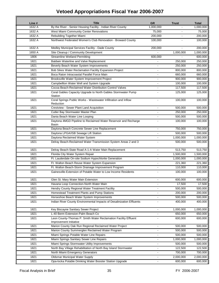| Line # | <b>Title</b>                                                                              | <b>GR</b>                | <b>Trust</b>         | <b>Total</b> |
|--------|-------------------------------------------------------------------------------------------|--------------------------|----------------------|--------------|
| 1632 A | By the River - Senior Housing Facility - Indian River County                              | 1,000,000                |                      | 1,000,000    |
| 1632 A | West Miami Community Center Renovations                                                   | 75,000                   | $\sim$               | 75,000       |
| 1632 A | Rebuilding Together Miami                                                                 | 200,000                  |                      | 200,000      |
| 1632 A | Northwest Federated Women's Club Renovation - Broward County                              | 100,000                  |                      | 100,000      |
| 1632 A | Medley Municipal Services Facility - Dade County                                          | 200,000                  |                      | 200,000      |
| 1650 A | Site Cleanup / Community Development                                                      |                          | 1,000,000            | 1,000,000    |
| 1806   | <b>Streamline Wetland Permitting</b>                                                      | 600,000                  |                      | 600,000      |
| 1821   | Baldwin Waterline and Valve Replacement                                                   |                          | 250,000              | 250,000      |
| 1821   | Beverly Beach Water System Improvements                                                   | ÷,                       | 250,000              | 250,000      |
| 1821   | Bob Sikes Water Reclamation Facility Expansion Project                                    | ä,                       | 800,000              | 800,000      |
| 1821   | Boca Raton Intracoastal Parallel Force Main                                               |                          | 660,000              | 660,000      |
| 1821   | Brooksville Water System Improvement Project                                              |                          | 900,000              | 900,000      |
| 1821   | Campbellton Water Well and System Upgrade                                                 | ÷.                       | 100,000              | 100,000      |
| 1821   | Cocoa Beach-Reclaimed Water Distribution Control Valves                                   | $\blacksquare$           | 117,500              | 117,500      |
| 1821   | Coral Gables Capacity Upgrade to North Gables Stormwater Pump<br>Station                  |                          | 125,000              | 125,000      |
| 1821   | Coral Springs Public Works - Wastewater Infiltration and Inflow<br>Reduction              | ÷                        | 100,000              | 100,000      |
| 1821   | Crestview - Sewer Plant Land Acquisition                                                  |                          | 500,000              | 500,000      |
| 1821   | Cutler Bay Stormwater Master Plan                                                         |                          | 250,000              | 250,000      |
| 1821   | Dania Beach Water Line Looping                                                            | ÷                        | 500,000              | 500,000      |
| 1821   | Daytona 4MGD Pipeline to Reclaimed Water Reservoir and Recharge<br>Basin                  |                          | 100,000              | 100,000      |
| 1821   | Daytona Beach Concrete Sewer Line Replacement                                             |                          | 750,000              | 750,000      |
| 1821   | Daytona LPGA/ISB Sewage Lift Station                                                      |                          | $\overline{500,000}$ | 500,000      |
| 1821   | Daytona Reclaimed Water System                                                            |                          | 1,000,000            | 1,000,000    |
| 1821   | Delray Beach-Reclaimed Water Transmission System Areas 2 and 3                            |                          | 500,000              | 500,000      |
| 1821   | Delray Beach-State Road A-1-A Water Main Replacement                                      | ä,                       | 513,750              | 513,750      |
| 1821   | Florida City Water System Repair                                                          | ä,                       | 1,500,000            | 1,500,000    |
| 1821   | Ft. Lauderdale On-site Sodium Hypochlorite Generation                                     |                          | 1,000,000            | 1,000,000    |
| 1821   | Ft. Walton Beach Reuse Water System Expansion                                             | ä,                       | 221,360              | 221,360      |
| 1821   | Ft. Walton Beach-Storm Drainage Improvement Program                                       |                          | 110.000              | 110,000      |
| 1821   | Gainesville-Extension of Potable Water to Low Income Residents                            |                          | 100,000              | 100,000      |
| 1821   | Glen St. Mary Water Main Extension                                                        |                          | 600,000              | 600,000      |
| 1821   | Havana Loop Connection-North Water Main                                                   |                          | 17,500               | 17,500       |
| 1821   | Hendry County Regional Water Treatment Facility                                           | ä,                       | 500,000              | 500,000      |
| 1821   | Homestead Treatment Plants and Pump Stations                                              | $\blacksquare$           | 200,000              | 200,000      |
| 1821   | Horseshoe Beach Water System Improvements                                                 |                          | 500,000              | 500,000      |
| 1821   | Indian River County Environmental Impacts of Desalinization Effluents                     |                          | 400,000              | 400,000      |
| 1821   | Key Biscayne Sanitary Sewer Project                                                       | $\blacksquare$           | 1,000,000            | 1,000,000    |
| 1821   | L-40 Berm Extension-Palm Beach Co                                                         | ÷,                       | 650,000              | 650,000      |
| 1821   | Leon County-Thomas P. Smith Water Reclamation Facility Effluent<br>Improvement Initiative |                          | 600,000              | 600,000      |
| 1821   | Marion County Oak Run Regional Reclaimed Water Project                                    | $\blacksquare$           | 500,000              | 500,000      |
| 1821   | Marion County Summerglen Reclaimed Water Program                                          | -                        | 500,000              | 500,000      |
| 1821   | Miami Springs Potable Water Line Repairs                                                  | $\blacksquare$           | 500,000              | 500,000      |
| 1821   | Miami Springs Sanitary Sewer Line Repairs                                                 | $\blacksquare$           | 1,000,000            | 1,000,000    |
| 1821   | Miami Springs Stormwater Utility Improvements                                             | $\overline{\phantom{0}}$ | 500,000              | 500,000      |
| 1821   | North Bay Village Rehabilitation of North Bay Island Stormwater                           | ä,                       | 122,500              | 122,500      |
| 1821   | North Miami Emergency Generators                                                          | ÷                        | 700,000              | 700,000      |
| 1821   | <b>Oldsmar Municipal Water Supply</b>                                                     | $\blacksquare$           | 2,000,000            | 2,000,000    |
| 1821   | Opa-locka Potable Drinking Water Booster Station Upgrade                                  | $\blacksquare$           | 600,000              | 600,000      |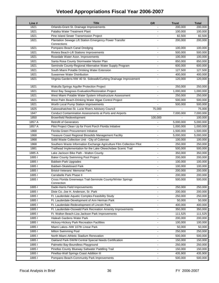| 200,000<br>200,000<br>1821<br>Orlando-Grant St. Drainage Improvements<br>1821<br>Palatka Water Treatment Plant<br>100,000<br>100,000<br>1821<br>Pine Island Sewer Transmission Project<br>82,500<br>82,500<br>Plantation Sewage Lift Station Emergency Power Transfer<br>200,000<br>1821<br>200,000<br>Connections<br>1821<br>Pompano Beach Canal Dredging<br>100,000<br>100,000<br>1821<br>Riviera Beach-Lift Stations Improvements<br>500,000<br>500,000<br>100,000<br>1821<br>Rosedale Water Assn. Improvements<br>100,000<br>Santa Rosa County Stormwater Master Plan<br>850,000<br>1821<br>850,000<br>ä,<br>1821<br>Seminole County-Regional Alternative Water Supply Program<br>600,000<br>600,000<br>South Miami Potable Drinking Water Extension<br>127,500<br>1821<br>127,500<br>Suwannee Water Distribution<br>1821<br>400,000<br>400,000<br>$\blacksquare$<br>Virginia Gardens-NW 40 St. Sidewalk/Curbing Drainage Improvement<br>120,000<br>1821<br>120,000<br>1821<br>Wakulla Springs Aquifer Protection Project<br>250,000<br>250,000<br>1821<br>West Bay Seagrass Evaluation/Restoration Project<br>1,000,000<br>1,000,000<br>1821<br>West Miami Potable Water System Infrastructure Assessment<br>250,000<br>250,000<br>÷<br>1821<br>West Palm Beach-Drinking Water Algae Control Project<br>500,000<br>500,000<br>÷<br>1821<br>Worth Local Pump Station Improvements<br>500,000<br>500,000<br>Caloosahatchee-St. Lucie Rivers Advisory Council<br>75,000<br>1825<br>75,000<br>1847<br><b>Conduct Contamination Assessments at Ports and Airports</b><br>7,000,000<br>7,000,000<br>1850<br><b>Brownfield Redevelopment</b><br>100,000<br>100,000<br>1857 A<br><b>Retrofit of Generators</b><br>5,000,000<br>5,000,000<br>1857 A<br>Pilot Project Clean Up for Front Porch Florida Initiative<br>1,000,000<br>1,000,000<br>Florida Green Procurement Initiative<br>1,500,000<br>1868<br>1,500,000<br>ä,<br>1868<br>Treasure Coast Regional Biosolids Management Facility<br>5,000,000<br>5,000,000<br>ä,<br>Solid Waste Collection Unit - City of Coleman<br>1868<br>100,000<br>100,000<br>Southern Waste Information Exchange Agriculture Film Collection Pilot<br>250,000<br>1868<br>250,000<br>Trailhead Implementation for the Lake Okeechobee Scenic Trail<br>500,000<br>1881<br>500,000<br>1885 A<br>Lake Jackson Bike Path - Walton County<br>350,000<br>350,000<br>1885 l<br>Baker County Swimming Pool Project<br>200,000<br>200,000<br>18851<br><b>Baldwin-Park Upgrades</b><br>100,000<br>100,000<br>Baldwin-Skateboard Park<br>18851<br>100,000<br>100,000<br>18851<br><b>Bristol-Veterans' Memorial Park</b><br>200,000<br>200,000<br>18851<br>Carrabelle Park Phase II<br>200,000<br>200,000<br>1885 I<br>Cross Florida Greenways Trail-Seminole County/Winter Springs<br>500,000<br>500,000   <br>Connection<br>250,000<br>1885 l<br>Dade-Harris Field Improvements<br>250,000<br>L.<br>18851<br>Dixie Co.-Joe H. Anderson, Sr. Park<br>200,000<br>200,000<br>Ft. Lauderdale Aquatic Complex-Feasibility Study<br>18851<br>250,000<br>250,000<br>18851<br>Ft. Lauderdale-Development of Ann Herman Park<br>50,000<br>50,000<br>400,000<br>18851<br>Ft. Lauderdale-Redevelopment of Lincoln Park<br>400,000<br>$\overline{\phantom{0}}$<br>1885 l<br>350,000<br>Ft. Lauderdale-Osswald Park Recreation Amenity Improvements<br>350,000<br>$\blacksquare$<br>1885 l<br>111,525<br>111,525<br>Ft. Walton Beach-Liza Jackson Park Improvements<br>$\blacksquare$<br>18851<br>Hialeah Gardens Water Park<br>200,000<br>200,000<br>$\overline{\phantom{0}}$<br>100,000<br>18851<br>Hickory-Hickory Park Recreation Facilities<br>100,000<br>÷,<br>18851<br>Miami Lakes--NW 107th Linear Park<br>50,000<br>50,000<br>$\blacksquare$<br>18851<br>250,000<br>Milton Swimming Pool<br>250,000<br>ä,<br>North Miami Athletic Stadium Renovation<br>500,000<br>18851<br>500,000<br>÷,<br>18851<br>Oakland Park-SWIM Central Special Needs Certification<br>150,000<br>150,000<br>÷,<br>1885  <br>Palmetto Bay-Boundless Playground<br>250,000<br>250,000<br>÷,<br>18851<br>Pinellas County Blueway Saltwater Paddling Trail<br>150,000<br>150,000<br>Pinellas-Wall Springs Coast Addition III<br>435,900<br>18851<br>435,900<br>500,000<br>18851<br>500,000 | Line # | <b>Title</b>                              | <b>GR</b> | <b>Trust</b> | <b>Total</b> |
|-------------------------------------------------------------------------------------------------------------------------------------------------------------------------------------------------------------------------------------------------------------------------------------------------------------------------------------------------------------------------------------------------------------------------------------------------------------------------------------------------------------------------------------------------------------------------------------------------------------------------------------------------------------------------------------------------------------------------------------------------------------------------------------------------------------------------------------------------------------------------------------------------------------------------------------------------------------------------------------------------------------------------------------------------------------------------------------------------------------------------------------------------------------------------------------------------------------------------------------------------------------------------------------------------------------------------------------------------------------------------------------------------------------------------------------------------------------------------------------------------------------------------------------------------------------------------------------------------------------------------------------------------------------------------------------------------------------------------------------------------------------------------------------------------------------------------------------------------------------------------------------------------------------------------------------------------------------------------------------------------------------------------------------------------------------------------------------------------------------------------------------------------------------------------------------------------------------------------------------------------------------------------------------------------------------------------------------------------------------------------------------------------------------------------------------------------------------------------------------------------------------------------------------------------------------------------------------------------------------------------------------------------------------------------------------------------------------------------------------------------------------------------------------------------------------------------------------------------------------------------------------------------------------------------------------------------------------------------------------------------------------------------------------------------------------------------------------------------------------------------------------------------------------------------------------------------------------------------------------------------------------------------------------------------------------------------------------------------------------------------------------------------------------------------------------------------------------------------------------------------------------------------------------------------------------------------------------------------------------------------------------------------------------------------------------------------------------------------------------------------------------------------------------------------------------------------------------------------------------------------------------------------------------------------------------------------------------------------------------------------------------------------------------------------------------------------------------------------------------------------------------------------------------------------------------------------------------------------------------------------------------------------------|--------|-------------------------------------------|-----------|--------------|--------------|
|                                                                                                                                                                                                                                                                                                                                                                                                                                                                                                                                                                                                                                                                                                                                                                                                                                                                                                                                                                                                                                                                                                                                                                                                                                                                                                                                                                                                                                                                                                                                                                                                                                                                                                                                                                                                                                                                                                                                                                                                                                                                                                                                                                                                                                                                                                                                                                                                                                                                                                                                                                                                                                                                                                                                                                                                                                                                                                                                                                                                                                                                                                                                                                                                                                                                                                                                                                                                                                                                                                                                                                                                                                                                                                                                                                                                                                                                                                                                                                                                                                                                                                                                                                                                                                                                               |        |                                           |           |              |              |
|                                                                                                                                                                                                                                                                                                                                                                                                                                                                                                                                                                                                                                                                                                                                                                                                                                                                                                                                                                                                                                                                                                                                                                                                                                                                                                                                                                                                                                                                                                                                                                                                                                                                                                                                                                                                                                                                                                                                                                                                                                                                                                                                                                                                                                                                                                                                                                                                                                                                                                                                                                                                                                                                                                                                                                                                                                                                                                                                                                                                                                                                                                                                                                                                                                                                                                                                                                                                                                                                                                                                                                                                                                                                                                                                                                                                                                                                                                                                                                                                                                                                                                                                                                                                                                                                               |        |                                           |           |              |              |
|                                                                                                                                                                                                                                                                                                                                                                                                                                                                                                                                                                                                                                                                                                                                                                                                                                                                                                                                                                                                                                                                                                                                                                                                                                                                                                                                                                                                                                                                                                                                                                                                                                                                                                                                                                                                                                                                                                                                                                                                                                                                                                                                                                                                                                                                                                                                                                                                                                                                                                                                                                                                                                                                                                                                                                                                                                                                                                                                                                                                                                                                                                                                                                                                                                                                                                                                                                                                                                                                                                                                                                                                                                                                                                                                                                                                                                                                                                                                                                                                                                                                                                                                                                                                                                                                               |        |                                           |           |              |              |
|                                                                                                                                                                                                                                                                                                                                                                                                                                                                                                                                                                                                                                                                                                                                                                                                                                                                                                                                                                                                                                                                                                                                                                                                                                                                                                                                                                                                                                                                                                                                                                                                                                                                                                                                                                                                                                                                                                                                                                                                                                                                                                                                                                                                                                                                                                                                                                                                                                                                                                                                                                                                                                                                                                                                                                                                                                                                                                                                                                                                                                                                                                                                                                                                                                                                                                                                                                                                                                                                                                                                                                                                                                                                                                                                                                                                                                                                                                                                                                                                                                                                                                                                                                                                                                                                               |        |                                           |           |              |              |
|                                                                                                                                                                                                                                                                                                                                                                                                                                                                                                                                                                                                                                                                                                                                                                                                                                                                                                                                                                                                                                                                                                                                                                                                                                                                                                                                                                                                                                                                                                                                                                                                                                                                                                                                                                                                                                                                                                                                                                                                                                                                                                                                                                                                                                                                                                                                                                                                                                                                                                                                                                                                                                                                                                                                                                                                                                                                                                                                                                                                                                                                                                                                                                                                                                                                                                                                                                                                                                                                                                                                                                                                                                                                                                                                                                                                                                                                                                                                                                                                                                                                                                                                                                                                                                                                               |        |                                           |           |              |              |
|                                                                                                                                                                                                                                                                                                                                                                                                                                                                                                                                                                                                                                                                                                                                                                                                                                                                                                                                                                                                                                                                                                                                                                                                                                                                                                                                                                                                                                                                                                                                                                                                                                                                                                                                                                                                                                                                                                                                                                                                                                                                                                                                                                                                                                                                                                                                                                                                                                                                                                                                                                                                                                                                                                                                                                                                                                                                                                                                                                                                                                                                                                                                                                                                                                                                                                                                                                                                                                                                                                                                                                                                                                                                                                                                                                                                                                                                                                                                                                                                                                                                                                                                                                                                                                                                               |        |                                           |           |              |              |
|                                                                                                                                                                                                                                                                                                                                                                                                                                                                                                                                                                                                                                                                                                                                                                                                                                                                                                                                                                                                                                                                                                                                                                                                                                                                                                                                                                                                                                                                                                                                                                                                                                                                                                                                                                                                                                                                                                                                                                                                                                                                                                                                                                                                                                                                                                                                                                                                                                                                                                                                                                                                                                                                                                                                                                                                                                                                                                                                                                                                                                                                                                                                                                                                                                                                                                                                                                                                                                                                                                                                                                                                                                                                                                                                                                                                                                                                                                                                                                                                                                                                                                                                                                                                                                                                               |        |                                           |           |              |              |
|                                                                                                                                                                                                                                                                                                                                                                                                                                                                                                                                                                                                                                                                                                                                                                                                                                                                                                                                                                                                                                                                                                                                                                                                                                                                                                                                                                                                                                                                                                                                                                                                                                                                                                                                                                                                                                                                                                                                                                                                                                                                                                                                                                                                                                                                                                                                                                                                                                                                                                                                                                                                                                                                                                                                                                                                                                                                                                                                                                                                                                                                                                                                                                                                                                                                                                                                                                                                                                                                                                                                                                                                                                                                                                                                                                                                                                                                                                                                                                                                                                                                                                                                                                                                                                                                               |        |                                           |           |              |              |
|                                                                                                                                                                                                                                                                                                                                                                                                                                                                                                                                                                                                                                                                                                                                                                                                                                                                                                                                                                                                                                                                                                                                                                                                                                                                                                                                                                                                                                                                                                                                                                                                                                                                                                                                                                                                                                                                                                                                                                                                                                                                                                                                                                                                                                                                                                                                                                                                                                                                                                                                                                                                                                                                                                                                                                                                                                                                                                                                                                                                                                                                                                                                                                                                                                                                                                                                                                                                                                                                                                                                                                                                                                                                                                                                                                                                                                                                                                                                                                                                                                                                                                                                                                                                                                                                               |        |                                           |           |              |              |
|                                                                                                                                                                                                                                                                                                                                                                                                                                                                                                                                                                                                                                                                                                                                                                                                                                                                                                                                                                                                                                                                                                                                                                                                                                                                                                                                                                                                                                                                                                                                                                                                                                                                                                                                                                                                                                                                                                                                                                                                                                                                                                                                                                                                                                                                                                                                                                                                                                                                                                                                                                                                                                                                                                                                                                                                                                                                                                                                                                                                                                                                                                                                                                                                                                                                                                                                                                                                                                                                                                                                                                                                                                                                                                                                                                                                                                                                                                                                                                                                                                                                                                                                                                                                                                                                               |        |                                           |           |              |              |
|                                                                                                                                                                                                                                                                                                                                                                                                                                                                                                                                                                                                                                                                                                                                                                                                                                                                                                                                                                                                                                                                                                                                                                                                                                                                                                                                                                                                                                                                                                                                                                                                                                                                                                                                                                                                                                                                                                                                                                                                                                                                                                                                                                                                                                                                                                                                                                                                                                                                                                                                                                                                                                                                                                                                                                                                                                                                                                                                                                                                                                                                                                                                                                                                                                                                                                                                                                                                                                                                                                                                                                                                                                                                                                                                                                                                                                                                                                                                                                                                                                                                                                                                                                                                                                                                               |        |                                           |           |              |              |
|                                                                                                                                                                                                                                                                                                                                                                                                                                                                                                                                                                                                                                                                                                                                                                                                                                                                                                                                                                                                                                                                                                                                                                                                                                                                                                                                                                                                                                                                                                                                                                                                                                                                                                                                                                                                                                                                                                                                                                                                                                                                                                                                                                                                                                                                                                                                                                                                                                                                                                                                                                                                                                                                                                                                                                                                                                                                                                                                                                                                                                                                                                                                                                                                                                                                                                                                                                                                                                                                                                                                                                                                                                                                                                                                                                                                                                                                                                                                                                                                                                                                                                                                                                                                                                                                               |        |                                           |           |              |              |
|                                                                                                                                                                                                                                                                                                                                                                                                                                                                                                                                                                                                                                                                                                                                                                                                                                                                                                                                                                                                                                                                                                                                                                                                                                                                                                                                                                                                                                                                                                                                                                                                                                                                                                                                                                                                                                                                                                                                                                                                                                                                                                                                                                                                                                                                                                                                                                                                                                                                                                                                                                                                                                                                                                                                                                                                                                                                                                                                                                                                                                                                                                                                                                                                                                                                                                                                                                                                                                                                                                                                                                                                                                                                                                                                                                                                                                                                                                                                                                                                                                                                                                                                                                                                                                                                               |        |                                           |           |              |              |
|                                                                                                                                                                                                                                                                                                                                                                                                                                                                                                                                                                                                                                                                                                                                                                                                                                                                                                                                                                                                                                                                                                                                                                                                                                                                                                                                                                                                                                                                                                                                                                                                                                                                                                                                                                                                                                                                                                                                                                                                                                                                                                                                                                                                                                                                                                                                                                                                                                                                                                                                                                                                                                                                                                                                                                                                                                                                                                                                                                                                                                                                                                                                                                                                                                                                                                                                                                                                                                                                                                                                                                                                                                                                                                                                                                                                                                                                                                                                                                                                                                                                                                                                                                                                                                                                               |        |                                           |           |              |              |
|                                                                                                                                                                                                                                                                                                                                                                                                                                                                                                                                                                                                                                                                                                                                                                                                                                                                                                                                                                                                                                                                                                                                                                                                                                                                                                                                                                                                                                                                                                                                                                                                                                                                                                                                                                                                                                                                                                                                                                                                                                                                                                                                                                                                                                                                                                                                                                                                                                                                                                                                                                                                                                                                                                                                                                                                                                                                                                                                                                                                                                                                                                                                                                                                                                                                                                                                                                                                                                                                                                                                                                                                                                                                                                                                                                                                                                                                                                                                                                                                                                                                                                                                                                                                                                                                               |        |                                           |           |              |              |
|                                                                                                                                                                                                                                                                                                                                                                                                                                                                                                                                                                                                                                                                                                                                                                                                                                                                                                                                                                                                                                                                                                                                                                                                                                                                                                                                                                                                                                                                                                                                                                                                                                                                                                                                                                                                                                                                                                                                                                                                                                                                                                                                                                                                                                                                                                                                                                                                                                                                                                                                                                                                                                                                                                                                                                                                                                                                                                                                                                                                                                                                                                                                                                                                                                                                                                                                                                                                                                                                                                                                                                                                                                                                                                                                                                                                                                                                                                                                                                                                                                                                                                                                                                                                                                                                               |        |                                           |           |              |              |
|                                                                                                                                                                                                                                                                                                                                                                                                                                                                                                                                                                                                                                                                                                                                                                                                                                                                                                                                                                                                                                                                                                                                                                                                                                                                                                                                                                                                                                                                                                                                                                                                                                                                                                                                                                                                                                                                                                                                                                                                                                                                                                                                                                                                                                                                                                                                                                                                                                                                                                                                                                                                                                                                                                                                                                                                                                                                                                                                                                                                                                                                                                                                                                                                                                                                                                                                                                                                                                                                                                                                                                                                                                                                                                                                                                                                                                                                                                                                                                                                                                                                                                                                                                                                                                                                               |        |                                           |           |              |              |
|                                                                                                                                                                                                                                                                                                                                                                                                                                                                                                                                                                                                                                                                                                                                                                                                                                                                                                                                                                                                                                                                                                                                                                                                                                                                                                                                                                                                                                                                                                                                                                                                                                                                                                                                                                                                                                                                                                                                                                                                                                                                                                                                                                                                                                                                                                                                                                                                                                                                                                                                                                                                                                                                                                                                                                                                                                                                                                                                                                                                                                                                                                                                                                                                                                                                                                                                                                                                                                                                                                                                                                                                                                                                                                                                                                                                                                                                                                                                                                                                                                                                                                                                                                                                                                                                               |        |                                           |           |              |              |
|                                                                                                                                                                                                                                                                                                                                                                                                                                                                                                                                                                                                                                                                                                                                                                                                                                                                                                                                                                                                                                                                                                                                                                                                                                                                                                                                                                                                                                                                                                                                                                                                                                                                                                                                                                                                                                                                                                                                                                                                                                                                                                                                                                                                                                                                                                                                                                                                                                                                                                                                                                                                                                                                                                                                                                                                                                                                                                                                                                                                                                                                                                                                                                                                                                                                                                                                                                                                                                                                                                                                                                                                                                                                                                                                                                                                                                                                                                                                                                                                                                                                                                                                                                                                                                                                               |        |                                           |           |              |              |
|                                                                                                                                                                                                                                                                                                                                                                                                                                                                                                                                                                                                                                                                                                                                                                                                                                                                                                                                                                                                                                                                                                                                                                                                                                                                                                                                                                                                                                                                                                                                                                                                                                                                                                                                                                                                                                                                                                                                                                                                                                                                                                                                                                                                                                                                                                                                                                                                                                                                                                                                                                                                                                                                                                                                                                                                                                                                                                                                                                                                                                                                                                                                                                                                                                                                                                                                                                                                                                                                                                                                                                                                                                                                                                                                                                                                                                                                                                                                                                                                                                                                                                                                                                                                                                                                               |        |                                           |           |              |              |
|                                                                                                                                                                                                                                                                                                                                                                                                                                                                                                                                                                                                                                                                                                                                                                                                                                                                                                                                                                                                                                                                                                                                                                                                                                                                                                                                                                                                                                                                                                                                                                                                                                                                                                                                                                                                                                                                                                                                                                                                                                                                                                                                                                                                                                                                                                                                                                                                                                                                                                                                                                                                                                                                                                                                                                                                                                                                                                                                                                                                                                                                                                                                                                                                                                                                                                                                                                                                                                                                                                                                                                                                                                                                                                                                                                                                                                                                                                                                                                                                                                                                                                                                                                                                                                                                               |        |                                           |           |              |              |
|                                                                                                                                                                                                                                                                                                                                                                                                                                                                                                                                                                                                                                                                                                                                                                                                                                                                                                                                                                                                                                                                                                                                                                                                                                                                                                                                                                                                                                                                                                                                                                                                                                                                                                                                                                                                                                                                                                                                                                                                                                                                                                                                                                                                                                                                                                                                                                                                                                                                                                                                                                                                                                                                                                                                                                                                                                                                                                                                                                                                                                                                                                                                                                                                                                                                                                                                                                                                                                                                                                                                                                                                                                                                                                                                                                                                                                                                                                                                                                                                                                                                                                                                                                                                                                                                               |        |                                           |           |              |              |
|                                                                                                                                                                                                                                                                                                                                                                                                                                                                                                                                                                                                                                                                                                                                                                                                                                                                                                                                                                                                                                                                                                                                                                                                                                                                                                                                                                                                                                                                                                                                                                                                                                                                                                                                                                                                                                                                                                                                                                                                                                                                                                                                                                                                                                                                                                                                                                                                                                                                                                                                                                                                                                                                                                                                                                                                                                                                                                                                                                                                                                                                                                                                                                                                                                                                                                                                                                                                                                                                                                                                                                                                                                                                                                                                                                                                                                                                                                                                                                                                                                                                                                                                                                                                                                                                               |        |                                           |           |              |              |
|                                                                                                                                                                                                                                                                                                                                                                                                                                                                                                                                                                                                                                                                                                                                                                                                                                                                                                                                                                                                                                                                                                                                                                                                                                                                                                                                                                                                                                                                                                                                                                                                                                                                                                                                                                                                                                                                                                                                                                                                                                                                                                                                                                                                                                                                                                                                                                                                                                                                                                                                                                                                                                                                                                                                                                                                                                                                                                                                                                                                                                                                                                                                                                                                                                                                                                                                                                                                                                                                                                                                                                                                                                                                                                                                                                                                                                                                                                                                                                                                                                                                                                                                                                                                                                                                               |        |                                           |           |              |              |
|                                                                                                                                                                                                                                                                                                                                                                                                                                                                                                                                                                                                                                                                                                                                                                                                                                                                                                                                                                                                                                                                                                                                                                                                                                                                                                                                                                                                                                                                                                                                                                                                                                                                                                                                                                                                                                                                                                                                                                                                                                                                                                                                                                                                                                                                                                                                                                                                                                                                                                                                                                                                                                                                                                                                                                                                                                                                                                                                                                                                                                                                                                                                                                                                                                                                                                                                                                                                                                                                                                                                                                                                                                                                                                                                                                                                                                                                                                                                                                                                                                                                                                                                                                                                                                                                               |        |                                           |           |              |              |
|                                                                                                                                                                                                                                                                                                                                                                                                                                                                                                                                                                                                                                                                                                                                                                                                                                                                                                                                                                                                                                                                                                                                                                                                                                                                                                                                                                                                                                                                                                                                                                                                                                                                                                                                                                                                                                                                                                                                                                                                                                                                                                                                                                                                                                                                                                                                                                                                                                                                                                                                                                                                                                                                                                                                                                                                                                                                                                                                                                                                                                                                                                                                                                                                                                                                                                                                                                                                                                                                                                                                                                                                                                                                                                                                                                                                                                                                                                                                                                                                                                                                                                                                                                                                                                                                               |        |                                           |           |              |              |
|                                                                                                                                                                                                                                                                                                                                                                                                                                                                                                                                                                                                                                                                                                                                                                                                                                                                                                                                                                                                                                                                                                                                                                                                                                                                                                                                                                                                                                                                                                                                                                                                                                                                                                                                                                                                                                                                                                                                                                                                                                                                                                                                                                                                                                                                                                                                                                                                                                                                                                                                                                                                                                                                                                                                                                                                                                                                                                                                                                                                                                                                                                                                                                                                                                                                                                                                                                                                                                                                                                                                                                                                                                                                                                                                                                                                                                                                                                                                                                                                                                                                                                                                                                                                                                                                               |        |                                           |           |              |              |
|                                                                                                                                                                                                                                                                                                                                                                                                                                                                                                                                                                                                                                                                                                                                                                                                                                                                                                                                                                                                                                                                                                                                                                                                                                                                                                                                                                                                                                                                                                                                                                                                                                                                                                                                                                                                                                                                                                                                                                                                                                                                                                                                                                                                                                                                                                                                                                                                                                                                                                                                                                                                                                                                                                                                                                                                                                                                                                                                                                                                                                                                                                                                                                                                                                                                                                                                                                                                                                                                                                                                                                                                                                                                                                                                                                                                                                                                                                                                                                                                                                                                                                                                                                                                                                                                               |        |                                           |           |              |              |
|                                                                                                                                                                                                                                                                                                                                                                                                                                                                                                                                                                                                                                                                                                                                                                                                                                                                                                                                                                                                                                                                                                                                                                                                                                                                                                                                                                                                                                                                                                                                                                                                                                                                                                                                                                                                                                                                                                                                                                                                                                                                                                                                                                                                                                                                                                                                                                                                                                                                                                                                                                                                                                                                                                                                                                                                                                                                                                                                                                                                                                                                                                                                                                                                                                                                                                                                                                                                                                                                                                                                                                                                                                                                                                                                                                                                                                                                                                                                                                                                                                                                                                                                                                                                                                                                               |        |                                           |           |              |              |
|                                                                                                                                                                                                                                                                                                                                                                                                                                                                                                                                                                                                                                                                                                                                                                                                                                                                                                                                                                                                                                                                                                                                                                                                                                                                                                                                                                                                                                                                                                                                                                                                                                                                                                                                                                                                                                                                                                                                                                                                                                                                                                                                                                                                                                                                                                                                                                                                                                                                                                                                                                                                                                                                                                                                                                                                                                                                                                                                                                                                                                                                                                                                                                                                                                                                                                                                                                                                                                                                                                                                                                                                                                                                                                                                                                                                                                                                                                                                                                                                                                                                                                                                                                                                                                                                               |        |                                           |           |              |              |
|                                                                                                                                                                                                                                                                                                                                                                                                                                                                                                                                                                                                                                                                                                                                                                                                                                                                                                                                                                                                                                                                                                                                                                                                                                                                                                                                                                                                                                                                                                                                                                                                                                                                                                                                                                                                                                                                                                                                                                                                                                                                                                                                                                                                                                                                                                                                                                                                                                                                                                                                                                                                                                                                                                                                                                                                                                                                                                                                                                                                                                                                                                                                                                                                                                                                                                                                                                                                                                                                                                                                                                                                                                                                                                                                                                                                                                                                                                                                                                                                                                                                                                                                                                                                                                                                               |        |                                           |           |              |              |
|                                                                                                                                                                                                                                                                                                                                                                                                                                                                                                                                                                                                                                                                                                                                                                                                                                                                                                                                                                                                                                                                                                                                                                                                                                                                                                                                                                                                                                                                                                                                                                                                                                                                                                                                                                                                                                                                                                                                                                                                                                                                                                                                                                                                                                                                                                                                                                                                                                                                                                                                                                                                                                                                                                                                                                                                                                                                                                                                                                                                                                                                                                                                                                                                                                                                                                                                                                                                                                                                                                                                                                                                                                                                                                                                                                                                                                                                                                                                                                                                                                                                                                                                                                                                                                                                               |        |                                           |           |              |              |
|                                                                                                                                                                                                                                                                                                                                                                                                                                                                                                                                                                                                                                                                                                                                                                                                                                                                                                                                                                                                                                                                                                                                                                                                                                                                                                                                                                                                                                                                                                                                                                                                                                                                                                                                                                                                                                                                                                                                                                                                                                                                                                                                                                                                                                                                                                                                                                                                                                                                                                                                                                                                                                                                                                                                                                                                                                                                                                                                                                                                                                                                                                                                                                                                                                                                                                                                                                                                                                                                                                                                                                                                                                                                                                                                                                                                                                                                                                                                                                                                                                                                                                                                                                                                                                                                               |        |                                           |           |              |              |
|                                                                                                                                                                                                                                                                                                                                                                                                                                                                                                                                                                                                                                                                                                                                                                                                                                                                                                                                                                                                                                                                                                                                                                                                                                                                                                                                                                                                                                                                                                                                                                                                                                                                                                                                                                                                                                                                                                                                                                                                                                                                                                                                                                                                                                                                                                                                                                                                                                                                                                                                                                                                                                                                                                                                                                                                                                                                                                                                                                                                                                                                                                                                                                                                                                                                                                                                                                                                                                                                                                                                                                                                                                                                                                                                                                                                                                                                                                                                                                                                                                                                                                                                                                                                                                                                               |        |                                           |           |              |              |
|                                                                                                                                                                                                                                                                                                                                                                                                                                                                                                                                                                                                                                                                                                                                                                                                                                                                                                                                                                                                                                                                                                                                                                                                                                                                                                                                                                                                                                                                                                                                                                                                                                                                                                                                                                                                                                                                                                                                                                                                                                                                                                                                                                                                                                                                                                                                                                                                                                                                                                                                                                                                                                                                                                                                                                                                                                                                                                                                                                                                                                                                                                                                                                                                                                                                                                                                                                                                                                                                                                                                                                                                                                                                                                                                                                                                                                                                                                                                                                                                                                                                                                                                                                                                                                                                               |        |                                           |           |              |              |
|                                                                                                                                                                                                                                                                                                                                                                                                                                                                                                                                                                                                                                                                                                                                                                                                                                                                                                                                                                                                                                                                                                                                                                                                                                                                                                                                                                                                                                                                                                                                                                                                                                                                                                                                                                                                                                                                                                                                                                                                                                                                                                                                                                                                                                                                                                                                                                                                                                                                                                                                                                                                                                                                                                                                                                                                                                                                                                                                                                                                                                                                                                                                                                                                                                                                                                                                                                                                                                                                                                                                                                                                                                                                                                                                                                                                                                                                                                                                                                                                                                                                                                                                                                                                                                                                               |        |                                           |           |              |              |
|                                                                                                                                                                                                                                                                                                                                                                                                                                                                                                                                                                                                                                                                                                                                                                                                                                                                                                                                                                                                                                                                                                                                                                                                                                                                                                                                                                                                                                                                                                                                                                                                                                                                                                                                                                                                                                                                                                                                                                                                                                                                                                                                                                                                                                                                                                                                                                                                                                                                                                                                                                                                                                                                                                                                                                                                                                                                                                                                                                                                                                                                                                                                                                                                                                                                                                                                                                                                                                                                                                                                                                                                                                                                                                                                                                                                                                                                                                                                                                                                                                                                                                                                                                                                                                                                               |        |                                           |           |              |              |
|                                                                                                                                                                                                                                                                                                                                                                                                                                                                                                                                                                                                                                                                                                                                                                                                                                                                                                                                                                                                                                                                                                                                                                                                                                                                                                                                                                                                                                                                                                                                                                                                                                                                                                                                                                                                                                                                                                                                                                                                                                                                                                                                                                                                                                                                                                                                                                                                                                                                                                                                                                                                                                                                                                                                                                                                                                                                                                                                                                                                                                                                                                                                                                                                                                                                                                                                                                                                                                                                                                                                                                                                                                                                                                                                                                                                                                                                                                                                                                                                                                                                                                                                                                                                                                                                               |        |                                           |           |              |              |
|                                                                                                                                                                                                                                                                                                                                                                                                                                                                                                                                                                                                                                                                                                                                                                                                                                                                                                                                                                                                                                                                                                                                                                                                                                                                                                                                                                                                                                                                                                                                                                                                                                                                                                                                                                                                                                                                                                                                                                                                                                                                                                                                                                                                                                                                                                                                                                                                                                                                                                                                                                                                                                                                                                                                                                                                                                                                                                                                                                                                                                                                                                                                                                                                                                                                                                                                                                                                                                                                                                                                                                                                                                                                                                                                                                                                                                                                                                                                                                                                                                                                                                                                                                                                                                                                               |        |                                           |           |              |              |
|                                                                                                                                                                                                                                                                                                                                                                                                                                                                                                                                                                                                                                                                                                                                                                                                                                                                                                                                                                                                                                                                                                                                                                                                                                                                                                                                                                                                                                                                                                                                                                                                                                                                                                                                                                                                                                                                                                                                                                                                                                                                                                                                                                                                                                                                                                                                                                                                                                                                                                                                                                                                                                                                                                                                                                                                                                                                                                                                                                                                                                                                                                                                                                                                                                                                                                                                                                                                                                                                                                                                                                                                                                                                                                                                                                                                                                                                                                                                                                                                                                                                                                                                                                                                                                                                               |        |                                           |           |              |              |
|                                                                                                                                                                                                                                                                                                                                                                                                                                                                                                                                                                                                                                                                                                                                                                                                                                                                                                                                                                                                                                                                                                                                                                                                                                                                                                                                                                                                                                                                                                                                                                                                                                                                                                                                                                                                                                                                                                                                                                                                                                                                                                                                                                                                                                                                                                                                                                                                                                                                                                                                                                                                                                                                                                                                                                                                                                                                                                                                                                                                                                                                                                                                                                                                                                                                                                                                                                                                                                                                                                                                                                                                                                                                                                                                                                                                                                                                                                                                                                                                                                                                                                                                                                                                                                                                               |        |                                           |           |              |              |
|                                                                                                                                                                                                                                                                                                                                                                                                                                                                                                                                                                                                                                                                                                                                                                                                                                                                                                                                                                                                                                                                                                                                                                                                                                                                                                                                                                                                                                                                                                                                                                                                                                                                                                                                                                                                                                                                                                                                                                                                                                                                                                                                                                                                                                                                                                                                                                                                                                                                                                                                                                                                                                                                                                                                                                                                                                                                                                                                                                                                                                                                                                                                                                                                                                                                                                                                                                                                                                                                                                                                                                                                                                                                                                                                                                                                                                                                                                                                                                                                                                                                                                                                                                                                                                                                               |        |                                           |           |              |              |
|                                                                                                                                                                                                                                                                                                                                                                                                                                                                                                                                                                                                                                                                                                                                                                                                                                                                                                                                                                                                                                                                                                                                                                                                                                                                                                                                                                                                                                                                                                                                                                                                                                                                                                                                                                                                                                                                                                                                                                                                                                                                                                                                                                                                                                                                                                                                                                                                                                                                                                                                                                                                                                                                                                                                                                                                                                                                                                                                                                                                                                                                                                                                                                                                                                                                                                                                                                                                                                                                                                                                                                                                                                                                                                                                                                                                                                                                                                                                                                                                                                                                                                                                                                                                                                                                               |        |                                           |           |              |              |
|                                                                                                                                                                                                                                                                                                                                                                                                                                                                                                                                                                                                                                                                                                                                                                                                                                                                                                                                                                                                                                                                                                                                                                                                                                                                                                                                                                                                                                                                                                                                                                                                                                                                                                                                                                                                                                                                                                                                                                                                                                                                                                                                                                                                                                                                                                                                                                                                                                                                                                                                                                                                                                                                                                                                                                                                                                                                                                                                                                                                                                                                                                                                                                                                                                                                                                                                                                                                                                                                                                                                                                                                                                                                                                                                                                                                                                                                                                                                                                                                                                                                                                                                                                                                                                                                               |        |                                           |           |              |              |
|                                                                                                                                                                                                                                                                                                                                                                                                                                                                                                                                                                                                                                                                                                                                                                                                                                                                                                                                                                                                                                                                                                                                                                                                                                                                                                                                                                                                                                                                                                                                                                                                                                                                                                                                                                                                                                                                                                                                                                                                                                                                                                                                                                                                                                                                                                                                                                                                                                                                                                                                                                                                                                                                                                                                                                                                                                                                                                                                                                                                                                                                                                                                                                                                                                                                                                                                                                                                                                                                                                                                                                                                                                                                                                                                                                                                                                                                                                                                                                                                                                                                                                                                                                                                                                                                               |        |                                           |           |              |              |
|                                                                                                                                                                                                                                                                                                                                                                                                                                                                                                                                                                                                                                                                                                                                                                                                                                                                                                                                                                                                                                                                                                                                                                                                                                                                                                                                                                                                                                                                                                                                                                                                                                                                                                                                                                                                                                                                                                                                                                                                                                                                                                                                                                                                                                                                                                                                                                                                                                                                                                                                                                                                                                                                                                                                                                                                                                                                                                                                                                                                                                                                                                                                                                                                                                                                                                                                                                                                                                                                                                                                                                                                                                                                                                                                                                                                                                                                                                                                                                                                                                                                                                                                                                                                                                                                               |        |                                           |           |              |              |
|                                                                                                                                                                                                                                                                                                                                                                                                                                                                                                                                                                                                                                                                                                                                                                                                                                                                                                                                                                                                                                                                                                                                                                                                                                                                                                                                                                                                                                                                                                                                                                                                                                                                                                                                                                                                                                                                                                                                                                                                                                                                                                                                                                                                                                                                                                                                                                                                                                                                                                                                                                                                                                                                                                                                                                                                                                                                                                                                                                                                                                                                                                                                                                                                                                                                                                                                                                                                                                                                                                                                                                                                                                                                                                                                                                                                                                                                                                                                                                                                                                                                                                                                                                                                                                                                               |        |                                           |           |              |              |
|                                                                                                                                                                                                                                                                                                                                                                                                                                                                                                                                                                                                                                                                                                                                                                                                                                                                                                                                                                                                                                                                                                                                                                                                                                                                                                                                                                                                                                                                                                                                                                                                                                                                                                                                                                                                                                                                                                                                                                                                                                                                                                                                                                                                                                                                                                                                                                                                                                                                                                                                                                                                                                                                                                                                                                                                                                                                                                                                                                                                                                                                                                                                                                                                                                                                                                                                                                                                                                                                                                                                                                                                                                                                                                                                                                                                                                                                                                                                                                                                                                                                                                                                                                                                                                                                               |        |                                           |           |              |              |
|                                                                                                                                                                                                                                                                                                                                                                                                                                                                                                                                                                                                                                                                                                                                                                                                                                                                                                                                                                                                                                                                                                                                                                                                                                                                                                                                                                                                                                                                                                                                                                                                                                                                                                                                                                                                                                                                                                                                                                                                                                                                                                                                                                                                                                                                                                                                                                                                                                                                                                                                                                                                                                                                                                                                                                                                                                                                                                                                                                                                                                                                                                                                                                                                                                                                                                                                                                                                                                                                                                                                                                                                                                                                                                                                                                                                                                                                                                                                                                                                                                                                                                                                                                                                                                                                               |        |                                           |           |              |              |
|                                                                                                                                                                                                                                                                                                                                                                                                                                                                                                                                                                                                                                                                                                                                                                                                                                                                                                                                                                                                                                                                                                                                                                                                                                                                                                                                                                                                                                                                                                                                                                                                                                                                                                                                                                                                                                                                                                                                                                                                                                                                                                                                                                                                                                                                                                                                                                                                                                                                                                                                                                                                                                                                                                                                                                                                                                                                                                                                                                                                                                                                                                                                                                                                                                                                                                                                                                                                                                                                                                                                                                                                                                                                                                                                                                                                                                                                                                                                                                                                                                                                                                                                                                                                                                                                               |        |                                           |           |              |              |
|                                                                                                                                                                                                                                                                                                                                                                                                                                                                                                                                                                                                                                                                                                                                                                                                                                                                                                                                                                                                                                                                                                                                                                                                                                                                                                                                                                                                                                                                                                                                                                                                                                                                                                                                                                                                                                                                                                                                                                                                                                                                                                                                                                                                                                                                                                                                                                                                                                                                                                                                                                                                                                                                                                                                                                                                                                                                                                                                                                                                                                                                                                                                                                                                                                                                                                                                                                                                                                                                                                                                                                                                                                                                                                                                                                                                                                                                                                                                                                                                                                                                                                                                                                                                                                                                               |        |                                           |           |              |              |
|                                                                                                                                                                                                                                                                                                                                                                                                                                                                                                                                                                                                                                                                                                                                                                                                                                                                                                                                                                                                                                                                                                                                                                                                                                                                                                                                                                                                                                                                                                                                                                                                                                                                                                                                                                                                                                                                                                                                                                                                                                                                                                                                                                                                                                                                                                                                                                                                                                                                                                                                                                                                                                                                                                                                                                                                                                                                                                                                                                                                                                                                                                                                                                                                                                                                                                                                                                                                                                                                                                                                                                                                                                                                                                                                                                                                                                                                                                                                                                                                                                                                                                                                                                                                                                                                               |        | Pompano Beach-Community Park Improvements |           |              |              |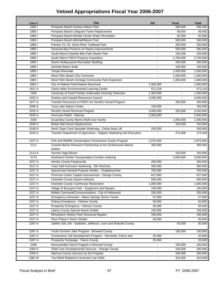| Line # | <b>Title</b>                                                             | <b>GR</b>      | <b>Trust</b>   | <b>Total</b> |
|--------|--------------------------------------------------------------------------|----------------|----------------|--------------|
| 18851  | Pompano Beach-Hunters Manor Park                                         |                | 500,000        | 500,000      |
| 18851  | Pompano Beach-Lifeguard Tower Replacement                                |                | 48,455         | 48,455       |
| 18851  | Pompano Beach-McNair Center Water Recreation                             | ä,             | 92,500         | 92,500       |
| 18851  | Pompano Beach-Mitchell/Moore Pool                                        | $\blacksquare$ | 500,000        | 500,000      |
| 18851  | Putnam Co.-St. Johns River Trailhead Park                                |                | 250,000        | 250,000      |
| 18851  | Sarasota-Bay Preserve at Osprey Improvements                             |                | 500,000        | 500,000      |
| 18851  | South Miami-Citywide Bike Path Master Plan                               |                | 150,000        | 150,000      |
| 18851  | South Miami-YMCA Property Acquisition                                    | ä,             | 2,750,000      | 2,750,000    |
| 18851  | <b>Starke Multipurpose Recreation Building</b>                           |                | 200,000        | 200,000      |
| 1885 l | Surfside Beach Walk                                                      |                | 100,000        | 100,000      |
| 18851  | Tampa Riverwalk                                                          |                | 1,000,000      | 1,000,000    |
| 18851  | West Palm Beach City Commons                                             |                | 1,000,000      | 1,000,000    |
| 18851  | West Palm Beach-Acreage Community Park Expansion                         |                | 1,000,000      | 1,000,000    |
| 1885 J | City of Hialeah Park/Hialeah Racetrack                                   | 1,000,000      |                | 1,000,000    |
| 1911 A | Camp Helen Environmental Learning Center                                 | 571,219        |                | 571,219      |
| 1930   | University of South Florida Underwater Anomaly Detection                 | 1,300,000      |                | 1,300,000    |
| 1933 A | Oceans and Coastal Resources Council                                     | 3,000,000      |                | 3,000,000    |
| 1977 A | Transfer Resources to FWCC for Derelict Vessel Program                   |                | 250,000        | 250,000      |
| 2006 A | <b>Trout Lake Nature Center</b>                                          | 150,000        |                | 150,000      |
| 2032 A | Derelict Vessel Removal Program                                          | 3,000,000      | 250,000        | 3,250,000    |
| 2035 A | Hurricane Relief - Marinas                                               | 2,500,000      |                | 2,500,000    |
| 2036   | Escambia County Marine Multi-Use Facility                                |                | 1,000,000      | 1,000,000    |
| 2036 A | Bellair Bait House Replacement                                           |                | 150,000        | 150,000      |
| 2036 B | North Cape Coral Spreader Waterway - Ceitus Boat Lift                    | 250,000        |                | 250,000      |
| 2043 A | Transfer Department of Agriculture - Alligator Marketing and Education   | $\blacksquare$ | 273,408        | 273,408      |
|        |                                                                          |                |                |              |
| 2107 A | Fish and Wildlife Conservation Commission Grants Program                 | 2,975,000      | $\blacksquare$ | 2,975,000    |
| 2111   | Coastal Marine Research Partnership at the Smithsonian Marine<br>Station | 300,000        |                | 300,000      |
| 2113 A | Harmful Algal Bloom                                                      |                | 150,000        | 150,000      |
| 2173   | Northwest Florida Transportation Corridor Authority                      |                | 3,000,000      | 3,000,000    |
| 2227 A | <b>Hendry County Fairgrounds</b>                                         | 200,000        |                | 200,000      |
| 2227 A | Town Hall Hurricane Hardening - SW Ranches                               | 300,000        | $\blacksquare$ | 300,000      |
| 2227 A | Special and General Purpose Shelter - Chattahoochee                      | 750,000        |                | 750,000      |
| 2227 A | Primrose Center Capital Improvement - Orange County                      | 627,000        |                | 627,000      |
| 2227 A | <b>Charlotte County Airport Authority</b>                                | 500,000        |                | 500,000      |
| 2227 A | <b>Charlotte County Courthouse Restoration</b>                           | 1,000,000      | $\blacksquare$ | 1,000,000    |
| 2227 A | Village of Biscayne Park - Equipment and Repairs                         | 100,000        | $\blacksquare$ | 100,000      |
| 2227 A | Mobile Command/Communications - City of Hollywood                        | 250,000        | L,             | 250,000      |
| 2227 A | Emergency Generator - Miami Springs Senior Center                        | 57,000         | $\blacksquare$ | 57,000       |
| 2227 A | Gritney Emergency - Holmes County                                        | 50,000         | $\blacksquare$ | 50,000       |
| 2227 A | Prosperity Emergency - Holmes County                                     | 50,000         | $\blacksquare$ | 50,000       |
| 2227 A | Liberty County Special Needs Shelter                                     | 100,000        |                | 100,000      |
| 2227 A | Richardson Historic Park Structural Repairs                              | 185,000        |                | 185,000      |
| 2227 A | Pace Phase II Storm Shelter                                              | 50,000         |                | 50,000       |
| 2267 A | Jubilee Job Link - Gadsden, Jefferson, Leon and Wakulla County           |                | 50,000         | 50,000       |
| 2267 A | Youth Summer Jobs Program - Broward County                               |                | 100,000        | 100,000      |
| 2267 A | Connections Job Development Program - Hernando, Pasco and                | 20,000         | L,             | 20,000       |
| 2267 A | Prosperity Campaign - Pasco County                                       | 25,000         |                | 25,000       |
| 2268   | Noncustodial Parent Program in Brevard County                            |                | 100,000        | 100,000      |
| 2303 A | Child Care Developmental Services - Orange County                        |                | 100,000        | 100,000      |
| 2303 A | Alachua County Success by Six Program                                    |                | 250,000        | 250,000      |
| 2382W  | Tax Relief Related to Hurricane Ivan 2004                                |                | 310,000        | 310,000      |
|        |                                                                          |                |                |              |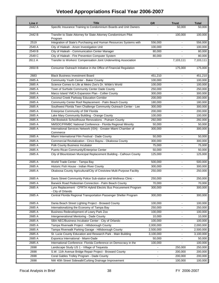| Line # | <b>Title</b>                                                                          | <b>GR</b>      | <b>Trust</b>             | <b>Total</b>        |
|--------|---------------------------------------------------------------------------------------|----------------|--------------------------|---------------------|
| 2442 A | Specific Insurance Training to Condominium Boards and Unit Owners                     |                | 50,000                   | $\overline{50,000}$ |
| 2442 B | Transfer to State Attorney for State Attorney Condominium Pilot<br>Program            |                | 100,000                  | 100,000             |
| 2519   | Integration of State's Purchasing and Human Resources Systems with                    | 556,000        |                          | 556,000             |
| 2549 A | City of Hialeah - Arson Investigation Unit                                            | 100,000        | $\overline{\phantom{a}}$ | 100,000             |
| 2549 B | City of Hialeah - Communication Center Manager                                        | 80,000         |                          | 80,000              |
| 2549 C | City of Hialeah - Fire Prevention Computer System                                     | 80,000         |                          | 80,000              |
| 2611 A | Transfer to Workers' Compensation Joint Underwriting Association                      |                | 7,103,111                | 7,103,111           |
| 2650 B | Consumer Outreach Initiative in the Office of Financial Regulation                    | $\blacksquare$ | 175,000                  | 175,000             |
| 2683   | <b>Black Business Investment Board</b>                                                | 451,210        |                          | 451,210             |
| 2685 A | Community Youth Center - Baker County                                                 | 100,000        |                          | 100,000             |
| 2685 A | Science Comes to Life at Metro Zoo's Dr. Wilde's World                                | 100,000        |                          | 100,000             |
| 2685 A | Town of Surfside Community Center Dade County                                         | 250,000        |                          | 250,000             |
| 2685 A | Marco Island YMCA Expansion Plan - Collier County                                     | 300,000        | $\blacksquare$           | 300,000             |
| 2685 A | Coconut Creek Parkway Education Corridor                                              | 200,000        | $\overline{\phantom{0}}$ | 200,000             |
| 2685 A | Community Center Roof Replacement - Palm Beach County                                 | 180,000        |                          | 180,000             |
| 2685 A | Southwest Florida Teen Challenge Community Outreach Center - Lee                      | 300,000        |                          | 300,000             |
| 2685 A | Enterprise Community of SW Florida                                                    | 200,000        |                          | 200,000             |
| 2685 A | Lake Mary Community Building - Orange County                                          | 100,000        | $\blacksquare$           | 100,000             |
| 2685 A | Old Bostwick Schoolhouse Renovations - Putnam County                                  | 292,000        | $\blacksquare$           | 292,000             |
| 2685 A | NMSDC/FRMBC National Conference - Florida Regional Minority                           | 50,000         |                          | 50,000              |
| 2685 A | International Services Network (ISN) - Greater Miami Chamber of<br>Commerce           | 300,000        |                          | 300,000             |
| 2685 A | Miami International Film Festival - Dade County                                       | 50,000         | $\blacksquare$           | 50,000              |
| 2685 A | Commercial Revitalization - Cinco Bayou - Okaloosa County                             | 300,000        |                          | 300,000             |
| 2685 A | Polk County Business Incubator                                                        | 75,000         |                          | 75,000              |
| 2685 A | Puerto Rican Community/Enterprise Center                                              | 50,000         | L,                       | 50,000              |
| 2685 A | City of Blountstown Municipal Replacement Building - Calhoun County                   | 125,000        |                          | 125,000             |
| 2685 A | World Trade Center - Tampa Bay                                                        | 500,000        | $\blacksquare$           | 500,000             |
| 2685 A | Historic Fish House - Indian River County                                             | 300,000        | $\overline{\phantom{0}}$ | 300,000             |
| 2685 A | Okaloosa County Agricultural/City of Crestview Multi-Purpose Facility                 | 250,000        | ä,                       | 250,000             |
| 2685 A | Davis Street Community Police Sub-station and Wellness Clinic -                       | 250,000        |                          | 250,000             |
| 2685 A | Barwick Road Pedestrian Connection - Palm Beach County                                | 70,000         | $\blacksquare$           | 70,000              |
| 2685 A | Lynx Replacement - CFRTA Hybrid Electric Bus Procurement Program<br>- City of Orlando | 300,000        |                          | 300,000             |
| 2685 A | Central Florida Regional Transportation Passenger Shelter Program                     | 300,000        |                          | 300,000             |
| 2685 A | Dania Beach Street Lighting Project - Broward County                                  | 100,000        | $\blacksquare$           | 100,000             |
| 2685 A | Internationalizing the Economy of Tampa Bay                                           | 250,000        | $\overline{\phantom{a}}$ | 250,000             |
| 2685 A | Business Redevelopment of Lowry Park Zoo                                              | 100,000        | $\blacksquare$           | 100,000             |
| 2685 A | Intergenerational Mentoring - Dade County                                             | 10,000         |                          | 10,000              |
| 2685 A | SBA NEC/Business Incubator Center - City of Orlando                                   | 100,000        | $\overline{\phantom{a}}$ | 100,000             |
| 2685 A | Tampa Riverwalk Project - Hillsborough County                                         | 2,000,000      |                          | 2,000,000           |
| 2685 A | Tampa Riverwalk Parking Garage - Hillsborough County                                  | 2,500,000      |                          | 2,500,000           |
| 2685 A | St. Lucie County Education and Research Park - Main Building                          | 3,100,000      |                          | 3,100,000           |
| 2685 A | Exponica International - Miami-Dade                                                   | 50,000         |                          | 50,000              |
| 2685 A | International Conference- Florida Conference on Democracy in the                      | 100,000        |                          | 100,000             |
| 2698   | Landscape Study US 1 - Village of Tequesta                                            |                | 250,000                  | 250,000             |
| 2698   | S.W. 11th Avenue Bridge Repair Project - Broward County                               | $\blacksquare$ | 200,000                  | 200,000             |
| 2698   | Coral Gables Trolley Program - Dade County                                            |                | 200,000                  | 200,000             |
| 2698   | NW 40th Street Sidewalk/Curbing Drainage Improvement                                  | $\blacksquare$ | 100,000                  | 100,000             |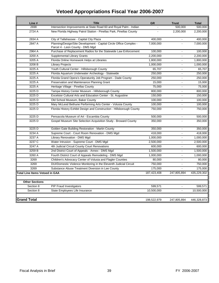| Line #                         | <b>Title</b>                                                                                           | <b>GR</b>      | <b>Trust</b>   | <b>Total</b> |
|--------------------------------|--------------------------------------------------------------------------------------------------------|----------------|----------------|--------------|
| 2698                           | Intersection Improvements at State Road 60 and Royal Palm - Indian                                     |                | 500,000        | 500,000      |
| 2724 A                         | New Florida Highway Patrol Station - Pinellas Park, Pinellas County                                    | $\overline{a}$ | 2,200,000      | 2,200,000    |
| 2834 A                         | City of Tallahassee - Capital City Plaza                                                               | 400,000        | ÷,             | 400,000      |
| 2847 A                         | Planning/Design/Site Development - Capital Circle Office Complex -<br>Parcel 4 - Leon County - DMS Mgd | 7,000,000      |                | 7,000,000    |
| 2964 A                         | Purchase of Replacement Radios for the Statewide Law Enforcement                                       | 100,000        |                | 100,000      |
| 3200 A                         | Supplemental Library Grants                                                                            | 2,200,000      | $\mathbf{r}$   | 2,200,000    |
| 3205 A                         | Florida Online Homework Helps at Libraries                                                             | 1,800,000      | $\blacksquare$ | 1,800,000    |
| 3208 B                         | <b>Library Projects</b>                                                                                | 1,000,000      |                | 1,000,000    |
| 3225 A                         | Youth Cultural Center - Hillsborough County                                                            | 65,707         |                | 65,707       |
| 3225 A                         | Florida Aquarium Underwater Archeology - Statewide                                                     | 250,000        | $\overline{a}$ | 250,000      |
| 3225 A                         | Florida Grand Opera's Operatunity Job Program - Dade County                                            | 250,000        |                | 250,000      |
| 3225 A                         | Preservation and Maintenance Planning Grant                                                            | 15,000         |                | 15,000       |
| 3225 A                         | Heritage Village - Pinellas County                                                                     | 75,000         |                | 75,000       |
| 3225 D                         | Tampa History Center Museum - Hillsborough County                                                      | 800,000        | $\overline{a}$ | 800,000      |
| 3225 D                         | Excelsior Cultural Arts and Education Center - St. Augustine                                           | 150,000        | $\blacksquare$ | 150,000      |
| 3225 D                         | Old School Museum, Baker County                                                                        | 100,000        |                | 100,000      |
| 3225 D                         | Mary McLeod Bethune Performing Arts Center - Volusia County                                            | 100,000        | $\blacksquare$ | 100,000      |
| 3225 D                         | Florida History Exhibit Design and Construction - Hillsborough County                                  | 750,000        |                | 750,000      |
| 3225 D                         | Pensacola Museum of Art - Escambia County                                                              | 500,000        | $\blacksquare$ | 500,000      |
| 3225 D                         | Gospel Museum Site Selection Acquisition Study - Broward County                                        | 350,000        |                | 350,000      |
| 3225 D                         | Golden Gate Building Restoration - Martin County                                                       | 350,000        |                | 350,000      |
| 3234 A                         | Supreme Court - Court Room Renovation - DMS Mgd                                                        | 418,000        | $\overline{a}$ | 418,000      |
| 3237 A                         | Library Renovation - DMS Mgd                                                                           | 1,000,000      | $\sim$         | 1,000,000    |
| 3237 C                         | Water Intrusion - Supreme Court - DMS Mgd                                                              | 2,500,000      |                | 2,500,000    |
| 3247 A                         | 4th Judicial Circuit County Court Renovations                                                          | 600,000        |                | 600,000      |
| 3259 B                         | 2nd District Court of Appeals - Annex - DMS Mgd                                                        | 1,500,000      |                | 1,500,000    |
| 3260 A                         | Fourth District Court of Appeals Remodeling - DMS Mgd                                                  | 1,000,000      |                | 1,000,000    |
| 3269                           | Children's Advocacy Center of Volusia and Flagler Counties                                             | 80,000         | $\overline{a}$ | 80,000       |
| 3269                           | DUI/Domestic Violence Monitoring in the Eleventh Judicial Circuit                                      | 750,000        | $\blacksquare$ | 750,000      |
| 3269                           | Substance Abuse Treatment Diversion in Lee County                                                      | 175,000        |                | 175,000      |
| Total Line Items Vetoed in GAA |                                                                                                        | 187,423,408    | 247,805,894    | 435,229,302  |
| <b>Other Sections</b>          |                                                                                                        |                |                |              |
| Section 8                      | <b>PIP Fraud Investigators</b>                                                                         | 599,571        |                | 599,571      |
| Section 8                      | State Employees Life Insurance                                                                         | 10.500.000     | ÷,             | 10,500,000   |
| <b>Grand Total</b>             |                                                                                                        | 198,522,979    | 247,805,894    | 446,328,873  |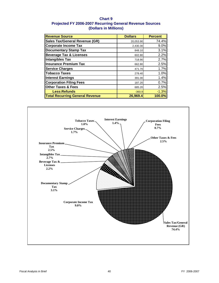## **Chart 9 Projected FY 2006-2007 Recurring General Revenue Sources (Dollars in Millions)**

| <b>Revenue Source</b>                  | <b>Dollars</b> | <b>Percent</b> |
|----------------------------------------|----------------|----------------|
| <b>Sales Tax/General Revenue (GR)</b>  | 20,053.90      | 74.4%          |
| <b>Corporate Income Tax</b>            | 2,430.30       | 9.0%           |
| <b>Documentary Stamp Tax</b>           | 848.10         | 3.1%           |
| <b>Beverage Tax &amp; Licenses</b>     | 602.80         | 2.2%           |
| <b>Intangibles Tax</b>                 | 718.90         | 2.7%           |
| <b>Insurance Premium Tax</b>           | 662.80         | 2.5%           |
| <b>Service Charges</b>                 | 471.70         | 1.7%           |
| Tobacco Taxes                          | 278.40         | 1.0%           |
| Interest Earnings                      | 391.00         | 1.4%           |
| <b>Corporation Filing Fees</b>         | 187.20         | 0.7%           |
| <b>Other Taxes &amp; Fees</b>          | 685.20         | 2.5%           |
| <b>Less:Refunds</b>                    | $-360.9$       | $-1.3%$        |
| <b>Total Recurring General Revenue</b> | 26,969.4       | 100.0%         |

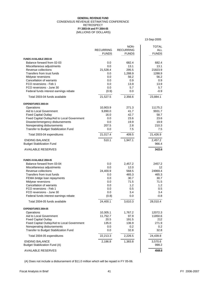### (MILLIONS OF DOLLARS) **GENERAL REVENUE FUND** CONSENSUS REVENUE ESTIMATING CONFERENCE RETROSPECT **FY 2003-04 and FY 2004-05**

|                                                                                  |                  |                  | 13-Sep-2005      |
|----------------------------------------------------------------------------------|------------------|------------------|------------------|
|                                                                                  |                  | NON-             | <b>TOTAL</b>     |
|                                                                                  | <b>RECURRING</b> | <b>RECURRING</b> | <b>ALL</b>       |
|                                                                                  | <b>FUNDS</b>     | <b>FUNDS</b>     | <b>FUNDS</b>     |
| <b>FUNDS AVAILABLE 2003-04</b>                                                   |                  |                  |                  |
| Balance forward from 02-03                                                       | 0.0              | 682.4            | 682.4            |
| Miscellaneous adjustments<br>Revenue collections                                 | 0.0<br>21,528.4  | 13.1<br>295.5    | 13.1<br>21823.9  |
| Transfers from trust funds                                                       | 0.0              | 1,288.9          | 1288.9           |
| Midyear reversions                                                               | 0.0              | 56.2             | 56.2             |
| <b>Cancellation of warrants</b>                                                  | 0.0              | 0.9              | 0.9              |
| FCO reversions - Feb 1                                                           | 0.0              | 13.9             | 13.9             |
| FCO reversions - June 30                                                         | 0.0              | 5.7              | 5.7              |
| Federal funds interest earnings rebate                                           | (0.9)            | 0.0              | $-0.9$           |
| Total 2003-04 funds available                                                    | 21,527.5         | 2,356.6          | 23,884.1         |
| <b>EXPENDITURES 2003-04</b>                                                      |                  |                  |                  |
| Operations                                                                       | 10,903.9         | 271.3            | 11175.2          |
| Aid to Local Government                                                          | 9,890.0          | 41.7             | 9931.7           |
| <b>Fixed Capital Outlay</b>                                                      | 16.0<br>0.0      | 42.7<br>23.6     | 58.7<br>23.6     |
| Fixed Capital Outlay/Aid to Local Government<br>Disaster/emergency disbursements | 0.0              | 19.9             | 19.9             |
| Nonoperating disbursements                                                       | 207.5            | 2.8              | 210.3            |
| Transfer to Budget Stabilization Fund                                            | 0.0              | 7.5              | 7.5              |
| Total 2003-04 expenditures                                                       | 21,017.4         | 409.5            | 21,426.9         |
| <b>ENDING BALANCE</b>                                                            | 510.1            | 1,947.1          | 2,457.2          |
| <b>Budget Stabilization Fund</b>                                                 |                  |                  | 966.4            |
| <b>AVAILABLE RESERVES</b>                                                        |                  |                  | 3423.6           |
| <b>FUNDS AVAILABLE 2004-05</b>                                                   |                  |                  |                  |
| Balance forward from 03-04                                                       | 0.0              | 2,457.2          | 2457.2           |
| Miscellaneous adjustments                                                        | 0.0              | 12.0             | 12               |
| Revenue collections                                                              | 24,400.9         | 568.5            | 24969.4          |
| Transfers from trust funds                                                       | 0.0              | 465.3            | 465.3            |
| FEMA bridge loan repayments                                                      | 0.0              | 30.7             | 30.7             |
| Midyear reversions<br><b>Cancellation of warrants</b>                            | 0.0<br>0.0       | 71.5<br>1.2      | 71.5<br>1.2      |
| FCO reversions - Feb 1                                                           | 0.0              | 0.5              | 0.5              |
| FCO reversions - June 30                                                         | 0.0              | 3.4              | 3.4              |
| Federal funds interest earnings rebate                                           | (0.8)            | 0.0              | $-0.8$           |
| Total 2004-05 funds available                                                    | 24,400.1         | 3,610.3          | 28,010.4         |
| EXPENDITURES 2004-05                                                             |                  |                  |                  |
| Operations                                                                       | 10,305.1         | 1,767.2          | 12072.3          |
| Aid to Local Government                                                          | 11,752.7         | 97.9             | 11850.6          |
| <b>Fixed Capital Outlay</b>                                                      | 20.5             | 191.5            | 212              |
| Fixed Capital Outlay/Aid to Local Government<br>Nonoperating disbursements       | 135.0<br>0.0     | 136.9<br>0.2     | 271.9<br>0.2     |
| Transfer to Budget Stabilization Fund                                            | 0.0              | 32.8             | 32.8             |
| Total 2004-05 expenditures                                                       | 22,213.3         | 2,226.5          | 24,439.8         |
| <b>ENDING BALANCE</b><br><b>Budget Stabilization Fund (A)</b>                    | 2,186.8          | 1,383.8          | 3,570.6<br>999.2 |
| <b>AVAILABLE RESERVES</b>                                                        |                  |                  | 4569.8           |

(A) Does not include a disbursement of \$11.0 million which will be repaid in FY 05-06.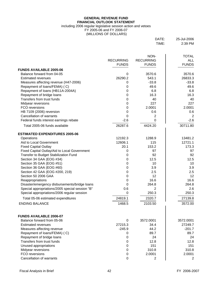### **GENERAL REVENUE FUND FINANCIAL OUTLOOK STATEMENT**

### including 2006 regular legislative session action and vetoes

FY 2005-06 and FY 2006-07

(MILLIONS OF DOLLARS)

| DATE: | 25-Jul-2006 |
|-------|-------------|
| TIME: | $2:39$ PM   |

|                                                 |                  | NON-             | <b>TOTAL</b>   |
|-------------------------------------------------|------------------|------------------|----------------|
|                                                 | <b>RECURRING</b> | <b>RECURRING</b> | <b>ALL</b>     |
|                                                 | <b>FUNDS</b>     | <b>FUNDS</b>     | <b>FUNDS</b>   |
| <b>FUNDS AVAILABLE 2005-06</b>                  |                  |                  |                |
| Balance forward from 04-05                      | 0                | 3570.6           | 3570.6         |
| <b>Estimated revenues</b>                       | 26290.2          | 543.1            | 26833.3        |
| Measures affecting revenue (H47-2006)           | 0                | $-33.8$          | $-33.8$        |
| Repayment of loans/FEMA) (C)                    | 0                | 49.6             | 49.6           |
| Repayment of loans (HB11A-2004A)                | 0                | 6.8              | 6.8            |
| Repayment of bridge loans                       | 0                | 16.3             | 16.3           |
| Transfers from trust funds                      | 0                | 40               | 40             |
| Midyear reversions                              | 0                | 227              | 227            |
| FCO reversions                                  | 0                | 2.0001           | 2.0001         |
| HB 7109 (2006) reversion                        | 0                | 0.6              | 0.6            |
| <b>Cancellation of warrants</b>                 | 0                | 2                | 2              |
| Federal funds interest earnings rebate          | $-2.6$           | 0                | $-2.6$         |
| Total 2005-06 funds available                   | 26287.6          | 4424.20          | 30711.80       |
| <b>ESTIMATED EXPENDITURES 2005-06</b>           |                  |                  |                |
| Operations                                      | 12192.3          | 1288.9           | 13481.2        |
| Aid to Local Government                         | 12606.1          | 115              | 12721.1        |
| <b>Fixed Capital Outlay</b>                     | 20.1             | 153.2            | 173.3          |
| Fixed Capital Outlay/Aid to Local Government    | 0                | 97               | 97             |
| Transfer to Budget Stabilization Fund           | 0                | 92               | 92             |
| Section 34 GAA (EOG #34)                        | 0                | 12.5             | 12.5           |
| Section 35 GAA (EOG #51)                        | 0                | 10               | 10             |
| Section 36 GAA (EOG #60)                        | 0                | 3.9              | 3.9            |
| Section 42 GAA (EOG #200, 219)                  | 0                | 2.5              | 2.5            |
| Section 50 2006 GAA                             | 0                | 12               | 12             |
| Reappropriations                                | 0                | 16.6             | 16.6           |
| Disaster/emergency disbursements/bridge loans   | 0                | 264.8            | 264.8          |
| Special appropriations/2005 special session "B" | 0.6              | 2                | 2.6            |
| Special appropriations/2006 regular session     | 0                | 250.3            | 250.3          |
| Total 05-06 estimated expenditures              | 24819.1          | 2320.7           | 27139.8        |
| <b>ENDING BALANCE</b>                           | 1468.5           | 2103.50          | 3572.00        |
|                                                 |                  |                  |                |
| <b>FUNDS AVAILABLE 2006-07</b>                  |                  |                  |                |
| Balance forward from 05-06                      | $\Omega$         | 3572.0001        | 3572.0001      |
| <b>Estimated revenues</b>                       | 27215.3          | 34.4             | 27249.7        |
| Measures affecting revenue                      | $-245.9$         | 44.2             | $-201.7$       |
| Repayment of loans/FEMA) (C)                    | 0                | 89.7             | 89.7           |
| Repayment of bridge loans                       | 0                | 24               | 24             |
| Transfers from trust funds                      | 0                | 12.8             | 12.8           |
| Unused appropriations                           | 0                | 151              | 151            |
| Midyear reversions                              | 0                | 310.8            | 310.8          |
| FCO reversions                                  | 0                | 2.0001           | 2.0001         |
| <b>Cancellation of warrants</b>                 | 0                | 2                | $\overline{2}$ |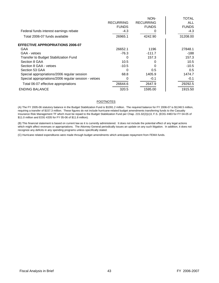|                                                      |                  | NON-             | <b>TOTAL</b> |
|------------------------------------------------------|------------------|------------------|--------------|
|                                                      | <b>RECURRING</b> | <b>RECURRING</b> | <b>ALL</b>   |
|                                                      | <b>FUNDS</b>     | <b>FUNDS</b>     | <b>FUNDS</b> |
| Federal funds interest earnings rebate               | $-4.3$           |                  | -4.3         |
| Total 2006-07 funds available                        | 26965.1          | 4242.90          | 31208.00     |
| <b>EFFECTIVE APPROPRIATIONS 2006-07</b>              |                  |                  |              |
| GAA                                                  | 26652.1          | 1196             | 27848.1      |
| GAA - vetoes                                         | $-76.3$          | $-111.7$         | -188         |
| Transfer to Budget Stabilization Fund                | 0                | 157.3            | 157.3        |
| Section 8 GAA                                        | 10.5             |                  | 10.5         |
| Section 8 GAA - vetoes                               | $-10.5$          |                  | $-10.5$      |
| Section 53 GAA                                       | 0                | 0.5              | 0.5          |
| Special appropriations/2006 regular session          | 68.8             | 1405.9           | 1474.7       |
| Special appropriations/2006 regular session - vetoes | 0                | $-0.1$           | $-0.1$       |
| Total 06-07 effective appropriations                 | 26644.6          | 2647.9           | 29292.5      |
| <b>ENDING BALANCE</b>                                | 320.5            | 1595.00          | 1915.50      |

### FOOTNOTES

(A) The FY 2005-06 statutory balance in the Budget Stabilization Fund is \$1091.2 million. The required balance for FY 2006-07 is \$1248.5 million, requiring a transfer of \$157.3 million. These figures do not include hurricane-related budget amendments transferring funds to the Casualty Insurance Risk Management TF which must be repaid to the Budget Stabilization Fund per Chap. 215.32(2)(c)3, F.S. (EOG #483 for FY 04-05 of \$11.0 million and EOG #205 for FY 05-06 of \$11.8 million).

(B) This financial statement is based on current law as it is currently administered. It does not include the potential effect of any legal actions which might affect revenues or appropriations. The Attorney General periodically issues an update on any such litigation. In addition, it does not recognize any deficits in any spending programs unless specifically stated.

(C) Hurricane related expenditures were made through budget amendments which anticipate repayment from FEMA funds.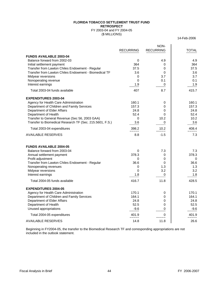### **FLORIDA TOBACCO SETTLEMENT TRUST FUND RETROSPECT** FY 2003-04 and FY 2004-05

(\$ MILLIONS)

14-Feb-2006

|                                                                                                            |                  | NON-             |                |
|------------------------------------------------------------------------------------------------------------|------------------|------------------|----------------|
|                                                                                                            | <b>RECURRING</b> | <b>RECURRING</b> | <b>TOTAL</b>   |
| <b>FUNDS AVAILABLE 2003-04</b>                                                                             |                  |                  |                |
| Balance forward from 2002-03                                                                               | 0                | 4.9              | 4.9            |
| Initial settlement payment                                                                                 | 364              | 0                | 364            |
| Transfer from Lawton Chiles Endowment - Regular                                                            | 37.5             | 0                | 37.5           |
| Transfer from Lawton Chiles Endowment - Biomedical TF                                                      | 3.6              | 0                | 3.6            |
| Midyear reversions                                                                                         | 0                | 3.7              | 3.7            |
| Nonoperating revenue                                                                                       | 0                | 0.1              | 0.1            |
| Interest earnings                                                                                          | 1.9              | 0                | 1.9            |
| Total 2003-04 funds available                                                                              | 407              | 8.7              | 415.7          |
| <b>EXPENDITURES 2003-04</b>                                                                                |                  |                  |                |
| Agency for Health Care Administration                                                                      | 160.1            | 0                | 160.1          |
| Department of Children and Family Services                                                                 | 157.3            | 0                | 157.3          |
| Department of Elder Affairs                                                                                | 24.8             | 0                | 24.8           |
| Department of Health                                                                                       | 52.4             | 0                | 52.4           |
| Transfer to General Revenue (Sec 56, 2003 GAA)<br>Transfer to Biomedical Research TF (Sec. 215.5601, F.S.) | 0                | 10.2<br>0        | 10.2           |
|                                                                                                            | 3.6              |                  | 3.6            |
| Total 2003-04 expenditures                                                                                 | 398.2<br>=====   | 10.2<br>=====    | 408.4<br>===== |
| <b>AVAILABLE RESERVES</b>                                                                                  | 8.8              | $-1.5$           | 7.3            |
| <b>FUNDS AVAILABLE 2004-05</b>                                                                             |                  |                  |                |
| Balance forward from 2003-04                                                                               | 0                | 7.3              | 7.3            |
| Annual settlement payment                                                                                  | 378.3            | 0                | 378.3          |
| Profit adjustment                                                                                          | 0                | 0                | 0              |
| Transfer from Lawton Chiles Endowment - Regular                                                            | 36.6             | 0                | 36.6           |
| Nonoperating revenues                                                                                      | 0                | 1.3              | 1.3            |
| Midyear reversions                                                                                         | 0                | 3.2              | 3.2            |
| Interest earnings                                                                                          | 1.8              | 0                | 1.8            |
| Total 2004-05 funds available                                                                              | 416.7            | 11.8             | 428.5          |
| <b>EXPENDITURES 2004-05</b>                                                                                |                  |                  |                |
| Agency for Health Care Administration                                                                      | 170.1            | 0                | 170.1          |
| Department of Children and Family Services                                                                 | 164.1            | 0                | 164.1          |
| Department of Elder Affairs                                                                                | 24.8             | 0                | 24.8           |
| Department of Health                                                                                       | 52.5             | 0                | 52.5           |
| Unused appropriations                                                                                      | $-9.6$           | 0                | $-9.6$         |
| Total 2004-05 expenditures                                                                                 | 401.9<br>=====   | 0<br>=====       | 401.9<br>===== |
| <b>AVAILABLE RESERVES</b>                                                                                  | 14.8             | 11.8             | 26.6           |

Beginning in FY2004-05, the transfer to the Biomedical Research TF and corresponding appropriations are not included in the outlook statement.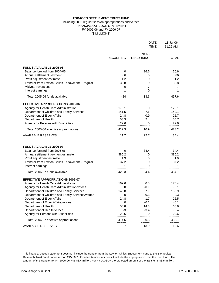### **TOBACCO SETTLEMENT TRUST FUND**

### FINANCIAL OUTLOOK STATEMENT FY 2005-06 and FY 2006-07 (\$ MILLIONS) including 2006 regular session appropriations and vetoes

DATE: 13-Jul-06

|                                                   |                  | TIME:                    | 11:25 AM      |
|---------------------------------------------------|------------------|--------------------------|---------------|
|                                                   | <b>RECURRING</b> | NON-<br><b>RECURRING</b> | <b>TOTAL</b>  |
| <b>FUNDS AVAILABLE 2005-06</b>                    |                  |                          |               |
| Balance forward from 2004-05                      | 0                | 26.6                     | 26.6          |
| Annual settlement payment                         | 386              | 0                        | 386           |
| Profit adjustment estimate                        | 1.2              | 0                        | 1.2           |
| Transfer from Lawton Chiles Endowment - Regular   | 35.8             | 0                        | 35.8          |
| Midyear reversions                                | 0                | 7                        | 7             |
| Interest earnings                                 | 1                | 0                        | 1             |
| Total 2005-06 funds available                     | 424              | 33.6                     | 457.6         |
| <b>EFFECTIVE APPROPRIATIONS 2005-06</b>           |                  |                          |               |
| Agency for Health Care Administration             | 170.1            | 0                        | 170.1         |
| Department of Children and Family Services        | 141.5            | 7.6                      | 149.1         |
| Department of Elder Affairs                       | 24.8             | 0.9                      | 25.7          |
| Department of Health                              | 53.3             | 2.4                      | 55.7          |
| Agency for Persons with Disabilities              | 22.6             | 0                        | 22.6          |
| Total 2005-06 effective appropriations            | 412.3            | 10.9                     | 423.2         |
| <b>AVAILABLE RESERVES</b>                         | =====<br>11.7    | $=====$<br>22.7          | =====<br>34.4 |
| <b>FUNDS AVAILABLE 2006-07</b>                    |                  |                          |               |
| Balance forward from 2005-06                      | 0                | 34.4                     | 34.4          |
| Annual settlement payment estimate                | 380.2            | 0                        | 380.2         |
| Profit adjustment estimate                        | 1.9              | 0                        | 1.9           |
| Transfer from Lawton Chiles Endowment - Regular   | 37.2             | 0                        | 37.2          |
| Interest earnings                                 | 1                | O                        |               |
| Total 2006-07 funds available                     | 420.3            | 34.4                     | 454.7         |
| <b>EFFECTIVE APPROPRIATIONS 2006-07</b>           |                  |                          |               |
| Agency for Health Care Administration             | 169.6            | 0.8                      | 170.4         |
| Agency for Health Care Administration/vetoes      | $\Omega$         | $-0.1$                   | $-0.1$        |
| Department of Children and Family Services        | 146.8            | 7.1                      | 153.9         |
| Department of Children and Family Services/vetoes | 0                | $-0.3$                   | $-0.3$        |
| Department of Elder Affairs                       | 24.8             | 1.7                      | 26.5          |
| Department of Elder Affairs/vetoes                | 0                | $-0.1$                   | $-0.1$        |
| Department of Health                              | 53.8             | 14.8                     | 68.6          |
| Department of Health/vetoes                       | -3               | $-3.4$                   | $-6.4$        |
| Agency for Persons with Disabilities              | 22.6             | 0                        | 22.6          |
| Total 2006-07 effective appropriations            | 414.6<br>=====   | 20.5                     | 435.1         |
| <b>AVAILABLE RESERVES</b>                         | 5.7              | 13.9                     | 19.6          |

This financial outlook statement does not include the transfer from the Lawton Chiles Endowment Fund to the Biomedical Research Trust Fund under section 215.5601, Florida Statutes, nor does it include the appropriation from the trust fund. The amount of this transfer for FY 2005-06 was \$3.4 million. For FY 2006-07 the projected amount of the transfer is \$3.5 million.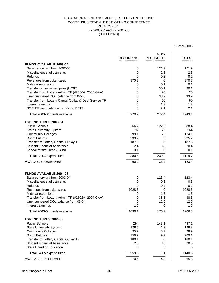### (\$ MILLIONS) EDUCATIONAL ENHANCEMENT (LOTTERY) TRUST FUND CONSENSUS REVENUE ESTIMATING CONFERENCE RETROSPECT FY 2003-04 and FY 2004-05

17-Mar-2006

|                                                        | <b>RECURRING</b> | NON-<br><b>RECURRING</b> | <b>TOTAL</b> |
|--------------------------------------------------------|------------------|--------------------------|--------------|
| <b>FUNDS AVAILABLE 2003-04</b>                         |                  |                          |              |
| Balance forward from 2002-03                           | 0                | 121.9                    | 121.9        |
| Miscellaneous adjustments                              | 0                | 2.3                      | 2.3          |
| Refunds                                                | 0                | 0.2                      | 0.2          |
| Revenues from ticket sales                             | 970.7            | 0                        | 970.7        |
| Midyear reversions                                     | 0                | 0.1                      | 0.1          |
| Transfer of unclaimed prize (H43E)                     | 0                | 30.1                     | 30.1         |
| Transfer from Lottery Admin TF (#2560A, 2003 GAA)      | 0                | 20                       | 20           |
| Unencumbered DOL balance from 02-03                    | 0                | 33.9                     | 33.9         |
| Transfer from Lottery Capital Outlay & Debt Service TF | 0                | 60                       | 60           |
| Interest earnings                                      | 0                | 1.8                      | 1.8          |
| BOR TF cash balance transfer to EETF                   | $\Omega$         | 2.1                      | 2.1          |
| Total 2003-04 funds available                          | 970.7            | 272.4                    | 1243.1       |
| <b>EXPENDITURES 2003-04</b>                            |                  |                          |              |
| <b>Public Schools</b>                                  | 266.2            | 122.2                    | 388.4        |
| <b>State University System</b>                         | 92               | 72                       | 164          |
| <b>Community Colleges</b>                              | 99.1             | 25                       | 124.1        |
| <b>Bright Futures</b>                                  | 233.2            | $\overline{2}$           | 235.2        |
| Transfer to Lottery Capital Outlay TF                  | 187.5            | 0                        | 187.5        |
| <b>Student Financial Assistance</b>                    | 2.4              | 18                       | 20.4         |
| School for the Deaf & Blind                            | 0.1              | 0                        | 0.1          |
| Total 03-04 expenditures                               | 880.5            | 239.2                    | 1119.7       |
| <b>AVAILABLE RESERVES</b>                              | 90.2             | 33.2                     | 123.4        |
| <b>FUNDS AVAILABLE 2004-05</b>                         |                  |                          |              |
| Balance forward from 2003-04                           | 0                | 123.4                    | 123.4        |
| Miscellaneous adjustments                              | 0                | 0.3                      | 0.3          |
| Refunds                                                | 0                | 0.2                      | 0.2          |
| Revenues from ticket sales                             | 1028.6           | 0                        | 1028.6       |
| Midyear reversions                                     | 0                | 1.5                      | 1.5          |
| Transfer from Lottery Admin TF (#2602A, 2004 GAA)      | 0                | 38.3                     | 38.3         |
| Unencumbered DOL balance from 03-04                    | 0                | 12.5                     | 12.5         |
| Interest earnings                                      | 1.5              | 0                        | 1.5          |
| Total 2003-04 funds available                          | 1030.1           | 176.2                    | 1206.3       |
| <b>EXPENDITURES 2004-05</b>                            |                  |                          |              |
| <b>Public Schools</b>                                  | 294              | 143.1                    | 437.1        |
| <b>State University System</b>                         | 128.5            | 1.3                      | 129.8        |
| <b>Community Colleges</b>                              | 95.2             | 3.7                      | 98.9         |
| <b>Bright Futures</b>                                  | 259.2            | 9.9                      | 269.1        |
| Transfer to Lottery Capital Outlay TF                  | 180.1            | 0                        | 180.1        |
| <b>Student Financial Assistance</b>                    | 2.5              | 18                       | 20.5         |
| <b>State Board of Education</b>                        | 0                | 5                        | 5            |
| Total 04-05 expenditures                               | 959.5            | 181                      | 1140.5       |
| <b>AVAILABLE RESERVES</b>                              | 70.6             | $-4.8$                   | 65.8         |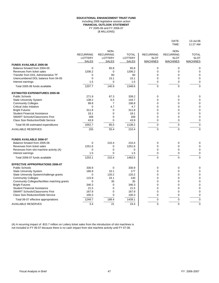### FY 2005-06 and FY 2006-07 (\$ MILLIONS) **EDUCATIONAL ENHANCEMENT TRUST FUND** including 2006 legislative session action **FINANCIAL OUTLOOK STATEMENT**

|                                               | <b>RECURRING</b><br><b>LOTTERY</b><br><b>SALES</b> | NON-<br><b>RECURRING</b><br><b>LOTTERY</b> | <b>TOTAL</b><br><b>LOTTERY</b> | <b>RECURRING</b><br><b>SLOT</b> | NON-<br><b>RECURRING</b><br><b>SLOT</b><br><b>MACHINES</b> | <b>TOTAL</b><br><b>SLOT</b><br><b>MACHINES</b> |
|-----------------------------------------------|----------------------------------------------------|--------------------------------------------|--------------------------------|---------------------------------|------------------------------------------------------------|------------------------------------------------|
| <b>FUNDS AVAILABLE 2005-06</b>                |                                                    | <b>SALES</b>                               | <b>SALES</b>                   | <b>MACHINES</b>                 |                                                            |                                                |
| Balance forward from 2004-05                  | 0                                                  | 65.8                                       | 65.8                           | 0                               | 0                                                          | 0                                              |
| Revenues from ticket sales                    | 1206.2                                             | $\Omega$                                   | 1206.2                         | 0                               | 0                                                          | 0                                              |
| Transfer from DOL Administrative TF           | 0                                                  | 60                                         | 60                             | 0                               | 0                                                          | 0                                              |
| Unencumbered DOL balance from 04-05           | $\Omega$                                           | 15.1                                       | 15.1                           | 0                               | 0                                                          | 0                                              |
| Interest earnings                             | 1.5                                                | $\mathbf 0$                                | 1.5                            | 0                               | 0                                                          | 0                                              |
| Total 2005-06 funds available                 | 1207.7                                             | 140.9                                      | 1348.6                         | $\Omega$                        | 0                                                          | $\Omega$                                       |
| <b>ESTIMATED EXPENDITURES 2005-06</b>         |                                                    |                                            |                                |                                 |                                                            |                                                |
| <b>Public Schools</b>                         | 271.9                                              | 67.3                                       | 339.2                          | 0                               | 0                                                          | 0                                              |
| <b>State University System</b>                | 138.2                                              | 6.5                                        | 144.7                          | 0                               | 0                                                          |                                                |
| <b>Community Colleges</b>                     | 99.8                                               | $\overline{7}$                             | 106.8                          | 0                               | 0                                                          | 0                                              |
| <b>Critical Jobs Initiative</b>               | 0                                                  | 4.7                                        | 4.7                            | 0                               | 0                                                          | 0                                              |
| <b>Bright Futures</b>                         | 311.8                                              | $\Omega$                                   | 311.8                          | 0                               | 0                                                          | 0                                              |
| <b>Student Financial Assistance</b>           | 18.1                                               | 0                                          | 18.1                           | 0                               | 0                                                          | 0                                              |
| <b>SMART Schools/Classrooms First</b>         | 169                                                | 0                                          | 169                            | 0                               | 0                                                          | 0                                              |
| <b>Class Size Reduction/Debt Service</b>      | 43.9                                               | 0                                          | 43.9                           | 0                               | 0                                                          | 0                                              |
| Total 05-06 estimated expenditures            | 1052.7                                             | 85.5                                       | 1138.2                         | $\Omega$                        | 0                                                          | 0                                              |
| <b>AVAILABLE RESERVES</b>                     | 155                                                | 55.4                                       | 210.4                          | $\Omega$                        | 0                                                          | 0                                              |
| <b>FUNDS AVAILABLE 2006-07</b>                |                                                    |                                            |                                |                                 |                                                            |                                                |
| Balance forward from 2005-06                  | 0                                                  | 210.4                                      | 210.4                          | 0                               | 0                                                          | 0                                              |
| Revenues from ticket sales                    | 1251.6                                             | 0                                          | 1251.6                         | 0                               | 0                                                          | 0                                              |
| Revenues from slot machine activity (A)       | 0                                                  | 0                                          | 0                              | 0                               | 0                                                          | 0                                              |
| Interest earnings                             | 1.5                                                | 0                                          | 1.5                            | 0                               | 0                                                          | 0                                              |
| Total 2006-07 funds available                 | 1253.1                                             | 210.4                                      | 1463.5                         | $\overline{0}$                  | 0                                                          | 0                                              |
| <b>EFFECTIVE APPROPRIATIONS 2006-07</b>       |                                                    |                                            |                                |                                 |                                                            |                                                |
| <b>Public Schools</b>                         | 330.9                                              | U                                          | 330.9                          | 0                               | O                                                          |                                                |
| <b>State University System</b>                | 166.9                                              | 10.1                                       | 177                            | 0                               | 0                                                          |                                                |
| State University System/challenge grants      | 0                                                  | 120.2                                      | 120.2                          | O                               | 0                                                          |                                                |
| <b>Community Colleges</b>                     | 115.9                                              | 24.1                                       | 140                            |                                 | 0                                                          |                                                |
| Community Colleges/facilities matching grants | 0                                                  | 35                                         | 35                             | 0                               | 0                                                          |                                                |
| <b>Bright Futures</b>                         | 346.3                                              | 0                                          | 346.3                          | 0                               | 0                                                          |                                                |
| <b>Student Financial Assistance</b>           | 21.5                                               | 0                                          | 21.5                           | 0                               | 0                                                          |                                                |
| <b>SMART Schools/Classrooms First</b>         | 167.9                                              | 0                                          | 167.9                          | 0                               | 0                                                          |                                                |
| <b>Class Size Reduction/Debt Service</b>      | 100.3                                              | 0                                          | 100.3                          | 0                               | 0                                                          |                                                |
| Total 06-07 effective appropriations          | 1249.7                                             | 189.4                                      | 1439.1                         | 0                               | 0                                                          | 0                                              |
| <b>AVAILABLE RESERVES</b>                     | 3.4                                                | 21                                         | 24.4                           | 0                               | 0                                                          | 0                                              |

(A) A recurring impact of -\$15.7 million on Lottery ticket sales from the introduction of slot machines is not included in FY 06-07 because there is no cash impact from slot machine activity until FY 07-08.

DATE: 13-Jul-06<br>TIME: 11:27 AM

11:27 AM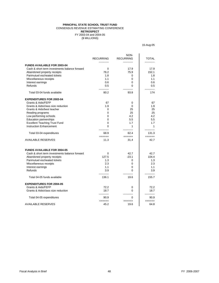### **PRINCIPAL STATE SCHOOL TRUST FUND** CONSENSUS REVENUE ESTIMATING CONFERENCE

**RETROSPECT**

(\$ MILLIONS) FY 2003-04 and 2004-05

15-Aug-05

|                                               | <b>RECURRING</b> | NON-<br><b>RECURRING</b>    | <b>TOTAL</b>     |
|-----------------------------------------------|------------------|-----------------------------|------------------|
| <b>FUNDS AVAILABLE FOR 2003-04</b>            |                  |                             |                  |
| Cash & short term investments balance forward | 0                | 17.9                        | 17.9             |
| Abandoned property receipts                   | 76.2             | 75.9                        | 152.1            |
| Parimutuel escheated tickets                  | 1.8              | 0                           | 1.8              |
| Miscellaneous receipts                        | 1.1              | 0                           | 1.1              |
| Interest earnings                             | 0.6              | $\Omega$                    | 0.6              |
| Refunds                                       | 0.5              | 0                           | 0.5              |
| Total 03-04 funds available                   | 80.2             | 93.8                        | 174              |
| <b>EXPENDITURES FOR 2003-04</b>               |                  |                             |                  |
| Grants & Aids/FEFP                            | 67               | 0                           | 67               |
| Grants & Aids/class size reduction            | 1.9              | $\Omega$                    | 1.9              |
| Grants & Aids/best teacher                    | $\mathbf 0$      | 25                          | 25               |
| Reading programs                              | 0                | 25                          | 25               |
| Low performing schools                        | $\mathbf 0$      | 4.2                         | 4.2              |
| <b>Education partnerships</b>                 | 0                | 5.5                         | 5.5              |
| <b>Excellent Teaching Trust Fund</b>          | $\Omega$         | 1.7                         | 1.7              |
| <b>Instruction Enhancement</b>                | 0                | 1                           | 1<br>----------- |
| Total 03-04 expenditures                      | 68.9<br>======   | 62.4<br>$=$ $=$ $=$ $=$ $=$ | 131.3<br>======  |
| <b>AVAILABLE RESERVES</b>                     | 11.3             | 31.4                        | 42.7             |
| <b>FUNDS AVAILABLE FOR 2004-05</b>            |                  |                             |                  |
| Cash & short term investments balance forward | 0                | 42.7                        | 42.7             |
| Abandoned property receipts                   | 127.5            | $-23.1$                     | 104.4            |
| Parimutuel escheated tickets                  | 1.3              | 0                           | 1.3              |
| Miscellaneous receipts                        | 2.3              | 0                           | 2.3              |
| Interest earnings                             | 1.1              | 0                           | 1.1              |
| Refunds                                       | 3.9              | 0                           | 3.9              |
| Total 04-05 funds available                   | 136.1            | 19.6                        | 155.7            |
| <b>EXPENDITURES FOR 2004-05</b>               |                  |                             |                  |
| <b>Grants &amp; Aids/FEFP</b>                 | 72.2             | 0                           | 72.2             |
| Grants & Aids/class size reduction            | 18.7             | 0                           | 18.7             |
| Total 04-05 expenditures                      | 90.9<br>$======$ | 0<br>======                 | 90.9<br>======   |
| <b>AVAILABLE RESERVES</b>                     | 45.2             | 19.6                        | 64.8             |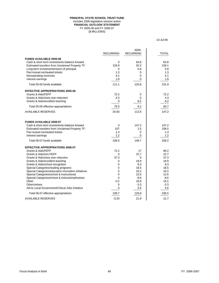### **PRINCIPAL STATE SCHOOL TRUST FUND** includes 2006 legislative session action **FINANCIAL OUTLOOK STATEMENT** FY 2005-06 and FY 2006-07 (\$ MILLIONS)

13-Jul-06

|                                                     |                  | NON-                         |                    |
|-----------------------------------------------------|------------------|------------------------------|--------------------|
|                                                     | <b>RECURRING</b> | <b>RECURRING</b>             | <b>TOTAL</b>       |
| <b>FUNDS AVAILABLE 2005-06</b>                      |                  |                              |                    |
| Cash & short term investments balance forward       | 0                | 64.8                         | 64.8               |
| Estimated transfers from Unclaimed Property TF      | 103.9            | 55.2                         | 159.1              |
| Long-term investments/return of principal           | 0                | 0.8                          | 0.8                |
| Pari-mutuel escheated tickets                       | 1.3              | 0                            | 1.3                |
| Nonoperating revenues                               | 4.1              | 0                            | 4.1                |
| Interest earnings                                   | 1.8              | 0                            | 1.8                |
| Total 05-06 funds available                         | 111.1            | 120.8                        | 231.9              |
| <b>EFFECTIVE APPROPRIATIONS 2005-06</b>             |                  |                              |                    |
| Grants & Aids/FEFP                                  | 72.2             | 0                            | 72.2               |
| Grants & Aids/class size reduction                  | 4.3              | 0                            | 4.3                |
| Grants & Aids/excellent teaching                    | $rac{0}{1}$      | 8.2                          | 8.2                |
| Total 05-06 effective appropriations                | 76.5             | 8.2                          | $rac{84.7}{22.20}$ |
| <b>AVAILABLE RESERVES</b>                           | =====<br>34.60   | $=$ $=$ $=$ $=$ $=$<br>112.6 | 147.2              |
| <b>FUNDS AVAILABLE 2006-07</b>                      |                  |                              |                    |
| Cash & short term investments balance forward       | 0                | 147.2                        | 147.2              |
| Estimated transfers from Unclaimed Property TF      | 107              | 1.5                          | 108.5              |
| Pari-mutuel escheated tickets                       | 1.3              | 0                            | 1.3                |
| Interest earnings                                   | 1.2              | 0                            | 1.2                |
| Total 06-07 funds available                         | 109.5            | 148.7                        | 258.2              |
| <b>EFFECTIVE APPROPRIATIONS 2006-07</b>             |                  |                              |                    |
| Grants & Aids/FEFP                                  | 72.2             | 17                           | 89.2               |
| Grants & Aids/non-FEFP                              | 0                | 22.7                         | 22.7               |
| Grants & Aids/class size reduction                  | 37.3             | 0                            | 37.3               |
| Grants & Aids/excellent teaching                    | 0                | 18.9                         | 18.9               |
| Grants & Aids/school recognition                    | 0                | 8.3                          | 8.3                |
| Special Categories/reading programs                 | $\pmb{0}$        | 18.5                         | 18.5               |
| Special Categories/education innovation initiatives | 0                | 16.2                         | 16.2               |
| Special Categories/school & instructional           | 0                | 12.6                         | 12.6               |
| Special Categories/school & instructional/vetoes    | 0                | $-8.6$                       | $-8.6$             |
| Other                                               | 0.2              | 18.9                         | 19.1               |
| Other/vetoes                                        | 0                | $-3.3$                       | $-3.3$             |
| Aid to Local Government/Critical Jobs Initiative    | 0                | 5.6                          | 5.6                |
| Total 06-07 effective appropriations                | 109.7<br>=====   | 126.8<br>=====               | 236.5<br>=====     |
| <b>AVAILABLE RESERVES</b>                           | $-0.20$          | 21.9                         | 21.7               |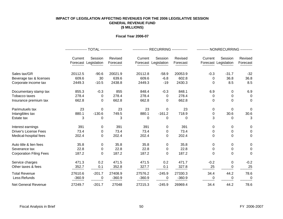### **IMPACT OF LEGISLATION AFFECTING REVENUES FOR THE 2006 LEGISLATIVE SESSION GENERAL REVENUE FUND (\$ MILLIONS)**

### **Fiscal Year 2006-07**

|                                |          |                                 |                     |          | ------------- RECURRING ------------- |                     | --------- NONRECURRING ---------- |                                 |                     |  |  |  |  |  |
|--------------------------------|----------|---------------------------------|---------------------|----------|---------------------------------------|---------------------|-----------------------------------|---------------------------------|---------------------|--|--|--|--|--|
|                                | Current  | Session<br>Forecast Legislation | Revised<br>Forecast | Current  | Session<br>Forecast Legislation       | Revised<br>Forecast | Current                           | Session<br>Forecast Legislation | Revised<br>Forecast |  |  |  |  |  |
|                                |          |                                 |                     |          |                                       |                     |                                   |                                 |                     |  |  |  |  |  |
| Sales tax/GR                   | 20112.5  | $-90.6$                         | 20021.9             | 20112.8  | $-58.9$                               | 20053.9             | $-0.3$                            | $-31.7$                         | $-32$               |  |  |  |  |  |
| Beverage tax & licenses        | 609.6    | 30                              | 639.6               | 609.6    | $-6.8$                                | 602.8               | 0                                 | 36.8                            | 36.8                |  |  |  |  |  |
| Corporate income tax           | 2449.3   | $-10.5$                         | 2438.8              | 2449.3   | $-19$                                 | 2430.3              | $\Omega$                          | 8.5                             | 8.5                 |  |  |  |  |  |
| Documentary stamp tax          | 855.3    | $-0.3$                          | 855                 | 848.4    | $-0.3$                                | 848.1               | 6.9                               | 0                               | 6.9                 |  |  |  |  |  |
| Tobacco taxes                  | 278.4    | 0                               | 278.4               | 278.4    | 0                                     | 278.4               | 0                                 | 0                               | $\Omega$            |  |  |  |  |  |
| Insurance premium tax          | 662.8    | 0                               | 662.8               | 662.8    | 0                                     | 662.8               | 0                                 | $\Omega$                        | $\mathbf{0}$        |  |  |  |  |  |
| Parimutuels tax                | 23       | $\Omega$                        | 23                  | 23       | $\Omega$                              | 23                  | 0                                 | $\Omega$                        | $\Omega$            |  |  |  |  |  |
| Intangibles tax                | 880.1    | $-130.6$                        | 749.5               | 880.1    | $-161.2$                              | 718.9               | 0                                 | 30.6                            | 30.6                |  |  |  |  |  |
| Estate tax                     | 3        | 0                               | 3                   | 0        | 0                                     | 0                   | 3                                 | 0                               | 3                   |  |  |  |  |  |
| Interest earnings              | 391      | 0                               | 391                 | 391      | 0                                     | 391                 | 0                                 | 0                               | 0                   |  |  |  |  |  |
| <b>Driver's License Fees</b>   | 73.4     | 0                               | 73.4                | 73.4     | 0                                     | 73.4                | 0                                 | 0                               | $\Omega$            |  |  |  |  |  |
| Medical-hospital fees          | 202.4    | 0                               | 202.4               | 202.4    | 0                                     | 202.4               | 0                                 | 0                               | 0                   |  |  |  |  |  |
| Auto title & lien fees         | 35.8     | 0                               | 35.8                | 35.8     | 0                                     | 35.8                | 0                                 | 0                               | 0                   |  |  |  |  |  |
| Severance tax                  | 22.8     | 0                               | 22.8                | 22.8     | 0                                     | 22.8                | 0                                 | 0                               | 0                   |  |  |  |  |  |
| <b>Corporation Filing Fees</b> | 187.2    | 0                               | 187.2               | 187.2    | 0                                     | 187.2               | $\Omega$                          | 0                               | $\Omega$            |  |  |  |  |  |
| Service charges                | 471.3    | 0.2                             | 471.5               | 471.5    | 0.2                                   | 471.7               | $-0.2$                            | 0                               | $-0.2$              |  |  |  |  |  |
| Other taxes & fees             | 352.7    | 0.1                             | 352.8               | 327.7    | 0.1                                   | 327.8               | 25                                | 0                               | 25                  |  |  |  |  |  |
| <b>Total Revenue</b>           | 27610.6  | $-201.7$                        | 27408.9             | 27576.2  | $-245.9$                              | 27330.3             | 34.4                              | 44.2                            | 78.6                |  |  |  |  |  |
| Less:Refunds                   | $-360.9$ | $_{-}$ 0                        | $-360.9$            | $-360.9$ | 0                                     | $-360.9$            | 0                                 | 0                               | 0                   |  |  |  |  |  |
| <b>Net General Revenue</b>     | 27249.7  | $-201.7$                        | 27048               | 27215.3  | $-245.9$                              | 26969.4             | 34.4                              | 44.2                            | 78.6                |  |  |  |  |  |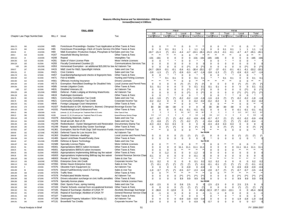| FINAL--8/8/06 |                             |           |                   |                                                                            |                                      |             |          | FY06-07      |                       |            |              |                   |            |             |          | FY07-08        |             |             |              |                   |         |
|---------------|-----------------------------|-----------|-------------------|----------------------------------------------------------------------------|--------------------------------------|-------------|----------|--------------|-----------------------|------------|--------------|-------------------|------------|-------------|----------|----------------|-------------|-------------|--------------|-------------------|---------|
|               |                             |           |                   |                                                                            |                                      | GR          |          | Trust        |                       | Local      |              |                   | Total      | GR          |          | <b>Trust</b>   |             | Local       |              | Total             |         |
|               | Chapter Law Page Numbe Date |           | BILL#             | Issue                                                                      | Tax                                  | Cash Recur. |          | Cash Recur.  |                       | Cash Recur |              | <b>Cash Recur</b> |            | Cash Recur. |          | Cash Recur.    |             | Cash Recur. |              | <b>Cash Recur</b> |         |
|               |                             |           |                   |                                                                            |                                      |             |          |              |                       |            |              |                   |            |             |          |                |             |             |              |                   |         |
|               |                             |           |                   |                                                                            |                                      |             |          |              |                       |            |              |                   |            |             |          |                |             |             |              |                   |         |
| 2006-175      | 363                         | 6/15/2006 | H65               | Foreclosure Proceedings--Surplus Trust Application a Other Taxes & Fees    |                                      |             |          |              |                       |            |              |                   |            |             |          |                |             |             |              |                   |         |
| 2006-175      | 363                         | 6/15/2006 | H65               | Foreclosure Proceedings--Clerk of Courts Service Ch: Other Taxes & Fees    |                                      | $\Omega$    | $\Omega$ | 0.1          | 0.1                   |            |              | 1.1               | 1.1        |             | $\Omega$ | 0.1            | 0.1         |             |              |                   | 1.1     |
| 2006-56       | 22                          | 2/10/2006 | H69               | M&E Exemption: Productive Output, Phosphate & Fed Sales and Use Tax        |                                      | $-19.7$     | $-21.3$  | $(*)$        | $-0.1$                | $-4.4$     | $-4.7$       | $-24.1$           | $-26.1$    | $-21.3$     | $-21.3$  | $-0.1$         | $-0.1$      | $-4.7$      | $-4.7$       | $-26.1$           | $-26.1$ |
| 2006-4        | 318                         | 6/1/2006  | H <sub>167</sub>  | <b>Household Moving Services</b>                                           | Other Taxes & Fees                   |             | $***$    | $***$        | $***$                 |            | $\Omega$     | $***$             | $**$       | $***$       | $***$    | $***$          | $***$       |             |              |                   | $***$   |
| 2006-312      | 24                          | 2/10/2006 | H <sub>209</sub>  | Repeal                                                                     | Intangibles Tax                      | -131        | $-161$   |              |                       |            | $\Omega$     | $-131$            | $-161$     | $-165$      | -165     |                |             |             |              | 65                | $-165$  |
| 2006-293      | 319                         | 6/1/2006  | H <sub>281</sub>  | State of Vision License Plate                                              | Motor Vehicle Licenses               |             | $\Omega$ |              |                       |            |              |                   |            |             |          |                |             |             |              |                   |         |
| 2006-229      | 320                         | 6/1/2006  | H <sub>293</sub>  | <b>Fiscally Constrained Counties (2)</b>                                   | <b>Communications Services Tax</b>   |             |          |              |                       |            |              |                   |            |             |          |                |             |             |              |                   |         |
| HJR           | 195                         | 3/31/2006 | H353              | Homestead Exemption - an additional \$25,000 for low Ad Valorem Tax        |                                      |             |          |              |                       |            |              | 0                 |            |             | 0        | 0              |             |             |              |                   |         |
| 2006-57       | 197                         | 3/31/2006 | H415              | M&E Used for R&D Spaceflight Vehicle                                       | Sales and Use Tax                    | $-24.7$     | $-26.9$  | $-0.1$       | $-0.1$                | $-5.6$     | $-6.1$       | $-30.4$           | $-33.1$    | $-27$       | $-27$    | $-0.1$         | $-0.1$      | -6.1        | $-6.1$       | $-33.2$           | $-33.2$ |
| 2006-101      | 12                          | 2/3/2006  | H421              | <b>Civic Centers</b>                                                       | Sales and Use Tax                    | $-3.8$      | $-1.3$   | $(*)$        | $(*)$                 | $-0.9$     | $-0.3$       | $-4.7$            | $-1.6$     | $-3.8$      | $-1.3$   | $(*)$          | $(\star)$   | $-0.9$      | $-0.3$       |                   | $-1.6$  |
| 2006-178      | 321                         | 6/7/2006  | H457              | Guardianship/background checks & fingerprint fees                          | Other Taxes & Fees                   |             |          |              |                       |            | $\Omega$     |                   |            |             |          |                |             |             |              |                   |         |
| 2006-304      | 322                         | 6/1/2006  | H471              | Fish & Wildlife                                                            | Hunting and Fishing Licenses         |             |          | 0.1          | 0.1                   |            | $\Omega$     | 0.1               | 0.1        |             |          |                | 0.1         |             |              |                   | 0.1     |
| 2006-305      | 324                         | 6/1/2006  | H <sub>561</sub>  | Offenses Involving Insurance                                               | <b>Drivers Licenses</b>              | $***$       |          |              | $**$                  |            |              | $***$             |            |             |          |                | $**$        |             |              |                   | $***$   |
| 2006-250      | 233                         | 4/7/2006  | H <sub>573</sub>  | Exemption: Retrofitted Dwellings for Disabled Vets                         | Local License and Permit Fees        |             | $\Omega$ |              | 0                     |            |              | $(\hbox{}^\star)$ |            |             |          |                |             |             |              |                   |         |
| 2006-294      | 325                         | 6/1/2006  | H585              | Inmate Litigation Costs                                                    | Other Taxes & Fees                   | 0.1         | 0.1      |              | $\Omega$              | $\Omega$   | $\Omega$     | 0.1               | 0.1        | 0.1         | 0.1      | $\Omega$       | $\Omega$    |             | $\mathbf{0}$ | 0.1               | 0.1     |
| HJR           | 327                         | 6/1/2006  | H631              | Disabled Veterans (4)                                                      | Ad Valorem Tax                       |             |          |              | 0                     |            |              | 0                 | **\        |             |          |                |             |             |              |                   | $(**)$  |
| 2006-220      | 199                         | 3/31/2006 | H683              | Deferral - Public Lodging at Working Waterfronts                           | Ad Valorem Tax                       |             |          |              |                       |            | $(**)$       | 0                 | $***$ \    |             | $\Omega$ | 0              |             |             | $(**)$       | (**)              | /**\    |
| 2006-139      | 329                         | 6/7/2006  | H819              | <b>Radiologist Assistants</b>                                              | Other Taxes & Fees                   |             | $\Omega$ |              |                       | $\Omega$   | $\Omega$     |                   |            |             | $\Omega$ | $\star$        |             | 0           | $\cap$       |                   |         |
| 2006-78       | 330                         | 6/1/2006  | H821              | <b>Community Contribution Tax Credit</b>                                   | Sales and Use Tax                    | $-1.6$      | $-1.6$   |              |                       | $-0.2$     | $-0.2$       | $-1.8$            | -1.8       | $-1.6$      | $-1.6$   |                |             |             | -0.2         |                   |         |
| 2006-78       | 330                         | 6/1/2006  | H821              | <b>Community Contribution Tax Credit</b>                                   | Corporate Income Tax                 | $-0.2$      | $-0.2$   |              | $\Omega$              | $\Omega$   | $\Omega$     | $-0.2$            | $-0.2$     | $-0.2$      | $-0.2$   | $\Omega$       |             |             |              | $-0.2$            | $-0.2$  |
| 2006-253      | 331                         | 6/7/2006  | H849              | Foreign Language Court Interpreters                                        | Other Taxes & Fees                   |             | $\Omega$ | $\star\star$ | $***$                 |            | $\Omega$     | $***$             | $**$       |             | $\Omega$ | $\star\star$   | $***$       |             |              |                   |         |
| 2006-182      | 278                         | 4/14/2006 | H1027             | Redistribution to GR: Alzheimer's, Biomed, Chiropract Beverage Excise Tax  |                                      | 30          | 30       | $-30$        | $-30$                 |            |              |                   |            | 30          | 30       | -30            | -30         |             |              |                   |         |
| 2006-143      | 332                         | 6/1/2006  | H <sub>1031</sub> | Pawnbroking/Local Ordinances/Fees                                          | Other Taxes & Fees                   |             | $\Omega$ |              |                       | $-0.1$     | $-0.1$       | $-0.1$            | $-0.1$     |             | $\Omega$ |                |             |             |              |                   | $-0.1$  |
| 2006-13       | 296                         | 4/26/2006 | H1039             | Limerock: 12, 18, 24 cents per ton; Treatment Plant of 15 cents            | Other Taxes & Fees                   |             |          | $\Omega$     |                       |            | 14.7         | 4.6               | 14.7       |             |          |                |             |             | 14.7         | 11.2              | 14.7    |
| 2006-13       | 296                         | 4/26/2006 | H1039             | Limerock: 12, 18, 24 cents per ton; Treatment Plant of 15 cents            | General Revenue Service Charge       | 0.3         | 1.2      |              |                       |            |              | 0.3               | 1.2        | 0.9         | 1.2      |                |             |             |              |                   |         |
| 2006-144      | 138                         | 3/17/2006 | H1079             | Advertising Materials, mailers                                             | Sales and Use Tax                    | $-0.7$      | $-0.7$   |              |                       | $-0.2$     | $-0.2$       | $-0.9$            | $-0.9$     | $-0.7$      | $-0.7$   |                |             | $-0.2$      | $-0.2$       | $-0.9$            | $-0.9$  |
| 2006-144      | 304                         | 4/26/2006 | H1079             | Small aircraft, fleet of 25                                                | Sales and Use Tax                    |             | $-0.8$   | $(*)$        | $(\dot{z})$           |            | $-0.2$       | $(*)$             | -1         | $-0.4$      | $-0.8$   | $(*)$          | $(\dot{a})$ |             | $-0.2$       | $-0.4$            |         |
| 2006-185      | 185                         | 3/31/2006 | H1249             | Redistribution - Oyster Management and Restoration                         | Documentary Stamp Tax                | $-0.3$      | $-0.3$   | 0.3          | 0.3                   |            | $\Omega$     |                   |            | $-0.3$      | $-0.3$   | 0.3            | 0.3         |             |              |                   |         |
| 2006-185      | 185                         | 3/31/2006 | H1249             | Repeal-- Apalachicola Bay Oyster Surcharge                                 | Other Taxes & Fees                   |             |          |              |                       |            | 0            |                   |            |             |          |                |             |             |              |                   |         |
| VETOED        | 287                         | 4/21/2006 | H1361             | Exemption: Not-for-Profit Orgs' Self-Insurance Funds Insurance Premium Tax |                                      | $***$       |          | ∩            | $\cap$                | $\Omega$   |              | $***$             | $***$      |             | **       |                |             |             |              |                   |         |
| 2006-69       | 162                         | 3/17/2006 | H1363             | Deferred Taxes for Low Income Srs                                          | Ad Valorem Tax                       |             |          |              |                       |            |              |                   | See SB1268 |             |          |                |             |             |              |                   |         |
| 2006-69       | 233                         | 4/7/2006  | H1363             | <b>Disabled Veterans--dwellings</b>                                        | <b>Local License and Permit Fees</b> | 0           |          |              |                       |            |              | (*)               |            |             |          |                |             |             |              |                   |         |
| 2006-296      | 333                         | 6/1/2006  | H1465             | Speed Limit/State Roads/Penalty Zone                                       | Other Taxes & Fees                   | $\Omega$    | $\Omega$ | $\Omega$     | $\Omega$              | $\Omega$   | $\mathbf 0$  | 0                 | $\Omega$   |             | $\Omega$ | $\Omega$       |             |             | - റ          |                   |         |
| 2006-60       | 197                         | 3/31/2006 | H1489             | Defense & Space Technology                                                 | Sales and Use Tax                    |             |          |              |                       |            |              |                   | See HB 415 |             |          |                |             |             |              |                   |         |
| 2006-297      | 334                         | 6/1/2006  | H1589             | <b>Specialty License Plates</b>                                            | Motor Vehicle Licenses               |             | $\Omega$ |              |                       |            |              |                   | $**$       |             | $\Omega$ |                |             |             |              |                   |         |
| 2006-25       | NA                          | 8/8/2006  | H5001             | Appropriations Bill/CC tuition increases                                   | Other Taxes & Fees                   |             | $\Omega$ |              |                       |            | 11.1         | 11.1              | 11.1       |             | $\Omega$ |                |             |             | 11.1         |                   | 11.1    |
| 2006-25       | NA                          | 8/8/2006  | H5001             | Appropriations Bill/SUS tuition increases                                  | Other Taxes & Fees                   |             |          |              |                       |            |              |                   |            |             | $\Omega$ | $\Omega$       |             |             |              |                   |         |
| 2006-26       | 335                         | 6/1/2006  | H5003             | Appropriations Implementing Bill/trap tag fee waiver                       | Other Taxes & Fees                   |             |          | $-1.2$       |                       |            | $\Omega$     | $-1.2$            |            |             |          | $\overline{0}$ |             |             |              |                   |         |
| 2006-26       | 335                         | 6/1/2006  | H5003             | Appropriations Implementing Bill/trap tag fee waiver                       | General Revenue Service Chare        | $-0.1$      |          |              |                       |            | 0            | $-0.1$            |            |             | $\Omega$ | $\overline{0}$ |             |             | 0            |                   |         |
| 2006-105      | 336                         | 6/1/2006  | H6003             | Resale of Tickets / Scalping                                               | Sales & Use Tax                      | $***$       | $***$    | $***$        | $***$                 |            | $\star\star$ | $***$             | $**$       | $***$       | $***$    | $***$          |             | $***$       | $**$         |                   | $**$    |
| 2006-113      | 106                         | 3/10/2006 | H7055             | Enterprise Zone Job Credit                                                 | Corporate Income Tax                 | 0.1         | 0.2      |              | 0                     |            | $\Omega$     | 0.1               | 0.2        | 0.2         | 0.2      | $\Omega$       |             |             | $\Omega$     | 0.2               | 0.2     |
| 2006-113      | 316                         | 4/28/2006 | H7055             | Winter Haven Enterprise Zone                                               | Sales & Use Tax                      |             | $-0.1$   | $(*)$        | $(\dot{\phantom{a}})$ |            | $(*)$        | $(*)$             | $-0.1$     | $-0.1$      | $-0.1$   | $(*)$          |             |             |              | $-0.1$            | $-0.1$  |
| 2006-289      | .5                          | 2/3/2006  | H7075             | Obsolete Farm Equipment (1)                                                | Ad Valorem Tax                       |             | $\Omega$ |              | $\Omega$              | $\Omega$   | $-0.9$       | $\Omega$          | $-0.9$     |             | $\Omega$ | $\Omega$       |             | $-0.9$      | $-0.9$       | $-0.9$            | $-0.9$  |
| 2006-289      | 96                          | 3/3/2006  | H7075             | Diesel Fuel/Electricity Used in Farming                                    | Sales & Use Tax                      | $-1.8$      | $-3.7$   |              | $(\hbox{}^\star)$     | $-0.5$     | $-0.7$       | $-2.3$            | -4.4       | $-2.8$      | $-3.7$   |                |             | -0.7        | $-0.7$       | $-3.5$            | $-4.4$  |
| 2006-290      | 338                         | 6/7/2006  | H7079             | <b>Traffic fines</b>                                                       | Other Taxes & Fees                   |             | $\Omega$ | $***$        | $***$                 | $**$       | $***$        | $***$             |            |             |          | $***$          | $**$        |             |              |                   |         |
| 2006-290      | 338                         | 6/7/2006  | H7079             | <b>Prefabricated Mobile Homes</b>                                          | Ad Valorem Tax                       |             |          |              |                       |            |              |                   |            |             |          |                |             |             |              |                   |         |
| 2006-290      | 338                         | 6/7/2006  | H7079             | Drivers education surcharge on civic traffic penalties                     | Other Taxes & Fees                   |             | $\Omega$ | $\Omega$     | $\Omega$              | 9.9        | 9.9          | 9.9               | 9.9        |             | $\Omega$ |                |             | 9.9         | 9.9          | 9.9               | 9.9     |
| 2006-290      | 338                         | 6/7/2006  | H7079             | Specialty license plates                                                   | Motor Vehicle License Fees           |             |          |              |                       |            |              |                   | See HB1589 |             |          |                |             |             |              |                   |         |
| 2006-262      | 232                         | 4/7/2006  | H7089             | Distr: Sports Franc, spring training                                       | Sales and Use Tax                    | $-0.8$      | $-2.5$   |              |                       | 0.8        | 2.5          |                   |            | $-2.5$      | $-2.5$   |                |             | 2.5         | 2.5          |                   |         |
| 2006-190      | 340                         | 6/7/2006  | H7103             | Charter Schools--exempt from occupational licenses                         | Other Taxes & Fees                   |             | $\Omega$ |              | $\Omega$              |            | $(*)$        | $(*)$             | $(*)$      |             | $\Omega$ | $\Omega$       |             |             | $(*)$        |                   |         |
| 2006-162      | 341                         | 6/7/2006  | H7105             | Repeal of Surcharge; Abolition of CASA TF                                  | Alcoholic Beverage Surcharge         | $\mathbf 0$ | $-36.8$  |              | $-12.8$               | 0          | $\Omega$     | $\mathbf{0}$      | $-49.6$    | $-32.3$     | $-37.7$  | $-13.1$        | $-13.1$     |             | $\mathbf 0$  | -45.4             | $-50.8$ |
| 2006-162      | 341                         | 6/7/2006  | H7105             | Repeal of Surcharge; Abolition of CASA TF                                  | General Revenue Service Chare        |             | -1       |              |                       |            | $\Omega$     |                   | -1         |             |          | $\Omega$       |             |             |              | -1                |         |
| 2006-191      | 343                         | 6/7/2006  | H7107             | <b>Trademarks</b>                                                          | Other Taxes & Fees                   |             |          |              |                       |            | $\Omega$     |                   |            |             |          | $\Omega$       |             |             |              |                   |         |
| 2006-311      | 90                          | 3/3/2006  | H7109             | Destroyed Property Valuation / SOH Study (1)                               | Ad Valorem Tax                       |             | $\Omega$ |              | 0                     | $-0.9$     | $-3.8$       | $-0.9$            | $-3.8$     |             | 0        |                |             | $-1.9$      | $-3.8$       | $-1.9$            | $-3.8$  |
| 2006-291      | 345                         | 6/1/2006  | H7131             | <b>Brownfield Tax Credits</b>                                              | Corporate Income Tax                 | $-0.9$      | $\Omega$ |              | 0                     |            | $\Omega$     | $-0.9$            |            | $-0.7$      | $\Omega$ |                |             | 0           | $\Omega$     | $-0.7$            |         |
|               |                             |           |                   |                                                                            |                                      |             |          |              |                       |            |              |                   |            |             |          |                |             |             |              |                   |         |

### **Measures Affecting Revenue and Tax Administration - 2006 Regular Session Increase/(Decrease) in \$ Millions**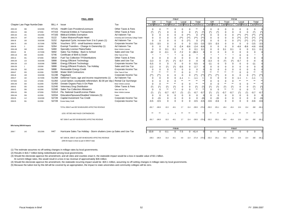| FINAL--8/8/06 |                              |           |                  |                                                                            |                                          | FY06-07     |                       |                                                                                                                  |                     |             |                |                       |          |                       | FY07-08             |                |          |             |          |                                  |                       |
|---------------|------------------------------|-----------|------------------|----------------------------------------------------------------------------|------------------------------------------|-------------|-----------------------|------------------------------------------------------------------------------------------------------------------|---------------------|-------------|----------------|-----------------------|----------|-----------------------|---------------------|----------------|----------|-------------|----------|----------------------------------|-----------------------|
|               |                              |           |                  |                                                                            |                                          | GR          |                       |                                                                                                                  | Trust<br>Local      |             |                | Total                 |          | GR                    |                     | Trust          |          | Local       |          | Total                            |                       |
|               | Chapter Law Page Numbe Date  |           | BILL#            | Issue                                                                      | Tax                                      | Cash Recur. |                       | Cash Recur.                                                                                                      |                     | Cash Recur. |                | <b>Cash Recur</b>     |          | Cash Recur.           |                     | Cash Recur.    |          | Cash Recur. |          | Cash Recur                       |                       |
| 2006-192      | 366                          | 6/15/2006 | H7141            | <b>Health Care Providers/Licensure</b>                                     | Other Taxes & Fees                       | $\Omega$    |                       |                                                                                                                  |                     |             |                | $***$                 |          |                       |                     |                |          |             |          |                                  |                       |
| 2006-213      | 346                          | 6/7/2006  | H7153            | <b>Financial Entities &amp; Transactions</b>                               | <b>Other Taxes &amp; Fees</b>            |             |                       |                                                                                                                  |                     |             | $\mathbf 0$    | $(\dot{\phantom{a}})$ |          |                       |                     | -0             |          |             |          |                                  |                       |
| 2006-164      | 191                          | 3/31/2006 | H7183            | <b>Biblical Exhibits Exemption</b>                                         | Ad Valorem Tax                           | $\Omega$    | $\Omega$              |                                                                                                                  | 0                   | $\Omega$    | $($ **)        | $\mathbf 0$           | /**\     |                       |                     | $\overline{0}$ |          |             |          | $(\hbox{}^{\ast}\hbox{}^{\ast})$ | $(**)$                |
| 2006-273      | 347                          | 6/1/2006  | S <sub>122</sub> | <b>Tuition Waivers/Purple Heart</b>                                        | University and Community College Tuition |             | $\Omega$              |                                                                                                                  | $\Omega$            | $(**)$      | $(**)$         | $***$                 |          |                       |                     | $\Omega$       | $\Omega$ | $(***)$     | $(**)$   | $^{(*)}$                         | $(**)$                |
| 2006-36       | 100                          | 3/10/2006 | S <sub>152</sub> | Appraisal Cycle; increase from 3 to 5 years (1)                            | Ad Valorem Tax                           | $\Omega$    | $\Omega$              |                                                                                                                  | 0                   | $\Omega$    | $***$          | 0                     |          |                       |                     | $\Omega$       | $\Omega$ | $***$       | $^{***}$ | /**)                             | $($ **)               |
| 2006-75       | 150                          | 3/17/2006 | S256             | Vouchers: SFO - small business reserve                                     | Corporate Income Tax                     | $-3.5$      | $-3.5$                |                                                                                                                  | $\Omega$            | $\Omega$    | $\Omega$       | $-3.5$                | $-3.5$   | $-3.5$                | $-3.5$              | $\Omega$       | ∩        |             |          | $-3.5$                           | $-3.5$                |
| 2006-38       | 3                            | 2/3/2006  | S264             | Exempt Transfers - Change In Ownership (1)                                 | Ad Valorem Tax                           |             |                       |                                                                                                                  | 0                   | $-2.4$      | $-8.6$         | $-2.4$                | $-8.6$   |                       |                     | $\Omega$       |          | $-4.6$      | $-8.6$   | $-4.6$                           | $-8.6$                |
| 2006-169      | 349                          | 6/1/2006  | S460             | <b>Specialty License Plates/Sales</b>                                      | Motor Vehicle Licenses                   | $\Omega$    |                       | 0.1                                                                                                              | 0.1                 | $\Omega$    | $\Omega$       | 0.1                   | 0.1      |                       |                     | 0.1            | 0.1      | 0           | $\Omega$ | 0.1                              | 0.1                   |
| 2006-63       | 58                           | 2/17/2006 | S692             | Sales Tax Holiday - Back to School                                         | Sales and Use Tax                        | $-32$       | 0                     | $-0.1$                                                                                                           | $\Omega$            | $-7.2$      | $\mathbf 0$    | $-39.3$               |          |                       |                     | $\Omega$       | $\Omega$ | 0           |          |                                  |                       |
| 2006-118      | 350                          | 6/1/2006  | S746             | Certificate of Birth & Death                                               | Other Taxes & Fees                       |             |                       |                                                                                                                  |                     | $\Omega$    | $\Omega$       |                       |          |                       |                     |                |          |             |          |                                  |                       |
| 2006-16       | 351                          | 6/7/2006  | S818             | <b>Fuel Tax Collection TF/Distributions</b>                                | Other Taxes & Fees                       | $\Omega$    |                       |                                                                                                                  |                     |             | $\Omega$       |                       |          |                       |                     | -0             |          |             |          |                                  |                       |
| 2006-230      | 123                          | 3/10/2006 | S888             | <b>Energy Efficient Technology</b>                                         | Sales and Use Tax                        | $-3.3$      | 0                     | $(*)$                                                                                                            | $(\dot{ }^{\ast} )$ | $-0.7$      | $\overline{0}$ | $-4$                  |          | $-3.3$                | $\Omega$            | $(*)$          |          | $-0.7$      |          | $-4$                             |                       |
| 2006-230      | 123                          | 3/10/2006 | S888             | <b>Energy Efficient Technology</b>                                         | Corporate Income Tax                     | $-5.5$      | $\Omega$              | $\Omega$                                                                                                         | $\Omega$            | $\Omega$    | $\Omega$       | $-5.5$                |          | $-11$                 |                     | $\Omega$       | $\Omega$ | $\Omega$    |          | -11                              |                       |
| 2006-230      |                              | 2/3/2006  | S888             | Energy Efficient Products, Tax Holiday                                     | Sales and Use Tax                        | $-2.2$      | $\Omega$              | $(*)$                                                                                                            | $(\dot{ }^{\ast} )$ | $-0.5$      | $\Omega$       | $-2.7$                |          |                       |                     | $\Omega$       | $\Omega$ | $\Omega$    |          | $\Omega$                         |                       |
| 2006-230      | 352                          | 6/1/2006  | S888             | Renewable Energy Credit                                                    | Corporate Income Tax                     |             | $\Omega$              |                                                                                                                  | $\Omega$            | 0           | $\mathbf 0$    |                       |          |                       |                     | -0             | $\Omega$ |             |          | -5                               |                       |
| 2006-87       | 353                          | 6/1/2006  | S1090            | <b>Water Well Contractors</b>                                              | Other Taxes & Fees                       | $**$        | $***$                 | $***$                                                                                                            | $***$               |             |                | $***$                 | $***$    | $***$                 | $***$               | $**$           | $***$    |             |          | $***$                            |                       |
| 2006-46       | 108                          | 3/10/2006 | S1198            | Piggyback                                                                  | Corporate Income Tax                     |             | /**\                  |                                                                                                                  | 0                   | $\Omega$    | $\Omega$       | /**\                  |          | /**)                  | /**\                | $\Omega$       |          |             |          | /**\                             | $^{(*)}$              |
| 2006-47       | 162                          | 3/17/2006 | S1268            | Deferred Taxes; age and income requirements (1)                            | Ad Valorem Tax                           |             | $\Omega$              |                                                                                                                  | 0                   | $-1.1$      |                | $-1.1$                |          |                       |                     | $\Omega$       |          |             |          | $-1.1$                           | $+ -$                 |
| <b>VETOED</b> | 216                          | 4/7/2006  | S1350            | Local Option; countywide referendum; \$2.00 per day ( Rental Car Surcharge |                                          |             | $\Omega$              |                                                                                                                  | $\Omega$            |             | $***$          | $***$                 | $**$     |                       |                     | $\Omega$       |          |             | $***$    | $***$                            | $***$                 |
| 2006-240      | 354                          | 6/1/2006  | S1450            | Donate Organs-Pass It On Plate                                             | Motor Vehicle Licenses                   |             |                       | $\star\star$                                                                                                     | $***$               |             | $\Omega$       | $***$                 | $***$    |                       |                     | $***$          | $***$    |             |          | $***$                            | $***$                 |
| 2006-92       | 355                          | 6/1/2006  | S1540            | Veterinary Drug Distribution                                               | Other Taxes & Fees                       |             | $(\dot{\phantom{a}})$ | $(*)$                                                                                                            | $(\hbox{}^\star)$   | 0           | $\mathbf 0$    | $(\dot{\phantom{a}})$ |          | $(\dot{\phantom{a}})$ | $(\dot{ }^{\ast })$ | $(*)$          |          | 0           |          | $(\dot{\phantom{a}})$            | $(\dot{\phantom{a}})$ |
| 2006-52       | 356                          | 6/1/2006  | S1590            | <b>Sales Tax Collection Allowance</b>                                      | Sales and Use Tax                        | - റ         | $\Omega$              | $***$                                                                                                            | $***$               | $\Omega$    | $\overline{0}$ | $***$                 | $***$    |                       | $\Omega$            | $***$          | $***$    | $\Omega$    | $\Omega$ | $***$                            |                       |
| 2006-241      | 356                          | 6/7/2006  | S1614            | Fla. National Guard/License Plates                                         | Motor Vehicle Licenses                   |             |                       | $-0.7$                                                                                                           | $-0.7$              |             |                | $-0.7$                | $-0.7$   | $(*)$                 | $(*)$               | $-0.7$         | $-0.7$   |             |          | $-0.7$                           | $-0.7$                |
| 2006-244      | 359                          | 6/1/2006  | S2034            | Education/Spouses/Disabled Veterans (5)                                    | Tuition                                  | $\Omega$    | $\Omega$              |                                                                                                                  | $\Omega$            | $\Omega$    | 0              |                       | $\Omega$ |                       | 0                   | -0             | $\Omega$ | 0           | $\Omega$ |                                  |                       |
| 2006-55       | 112                          | 3/10/2006 | S2728            | Capital Investment Tax Credit                                              | Corporate Income Tax                     | $\Omega$    | $-15$                 |                                                                                                                  | $\Omega$            | $\Omega$    | $\overline{0}$ | $\Omega$              | $-15$    | $\Omega$              | $-15$               | -0             | $\Omega$ |             |          |                                  | $-15$                 |
| 2006-55       | 361                          | 6/1/2006  | S2728            | <b>Excess Salary Credit</b>                                                | Corporate Income Tax                     | $-0.5$      | $-0.5$                | $\Omega$                                                                                                         | $\Omega$            |             | $\Omega$       | $-0.5$                | $-0.5$   | $-0.6$                | $-0.6$              | $\Omega$       |          |             |          | -0.6                             | $-0.6$                |
|               |                              |           |                  |                                                                            |                                          |             |                       |                                                                                                                  |                     |             |                |                       |          |                       |                     |                |          |             |          |                                  |                       |
|               |                              |           |                  | TOTAL 2006-07 and 2007-08 MEASURES AFFECTING REVENUE                       |                                          | $-201.$     | $-245.9$              | $-31.5$                                                                                                          |                     |             | 13.4           | $-230.5$              | $-275.6$ | $-252.2$              | $-251$              |                |          |             |          |                                  | $-281$                |
|               |                              |           |                  | LESS: VETOES AND FAILED CONTINGENCIES                                      |                                          |             |                       |                                                                                                                  |                     |             |                |                       |          |                       |                     |                |          |             |          |                                  |                       |
|               |                              |           |                  | NET 2006-07 and 2007-08 MEASURES AFFECTING REVENUE                         |                                          |             |                       | $-201.7$ $-245.9$ $-31.5$ $-43.1$ $2.7$ $13.4$ $-230.5$ $-275.6$ $-252.2$ $-251.1$ $-43.4$ $-43.4$ $13.6$ $13.4$ |                     |             |                |                       |          |                       |                     |                |          |             |          | $-282 - 281.1$                   |                       |
|               | Bills having 2005-06 Impacts |           |                  |                                                                            |                                          |             |                       |                                                                                                                  |                     |             |                |                       |          |                       |                     |                |          |             |          |                                  |                       |
|               |                              |           |                  |                                                                            |                                          |             |                       |                                                                                                                  | FY05-06             |             |                |                       |          |                       |                     |                | FY06-07  |             |          |                                  |                       |
| 2006-7        | 143                          | 3/31/2006 | H47              | Hurricane Sales Tax Holiday - Storm shutters (one cyc Sales and Use Tax    |                                          | $-33.8$     | $\mathbf{0}$          | $-0.1$                                                                                                           |                     | $0 - 7.5$   |                | $0 -41.4$             |          | $\Omega$              | 0                   | -0             | $\Omega$ |             |          | $\mathbf{0}$                     |                       |
|               |                              |           |                  | NET 2005-06, 2006-07 and 2007-08 MEASURES AFFECTING REVENUE                |                                          | $-235.5$    | -245.9                | $-31.6$                                                                                                          | $-43.1$             | -4.8        |                | 13.4 -271.9           | $-275.6$ | $-252.2$              | $-251.1$            | $-43.4$        | $-43.4$  | 13.6        | 13.4     | -282                             | $-281.1$              |
|               |                              |           |                  | (2005-06 impact is shown as part of 2006-07 total)                         |                                          |             |                       |                                                                                                                  |                     |             |                |                       |          |                       |                     |                |          |             |          |                                  |                       |

(1) The estimate assumes no off-setting changes in millage rates by local governments.

(2) Results in \$16.7 million being redistributed among local governments.

(3) Should the electorate approve the amendment, and all cities and counties enact it, the statewide impact would be a loss in taxable value of \$3.1 billion.

At current millage rates, this would result in a loss in tax revenue of approximately \$36 million.

(4) Should the electorate approve the amendment, the statewide recurring impact would be -\$20.1 million, assuming no off-setting changes in millage rates by local governments.

(5) Because the tuition lost by this bill will be covered by an appropriation, the impact to state universities and community colleges will be zero.